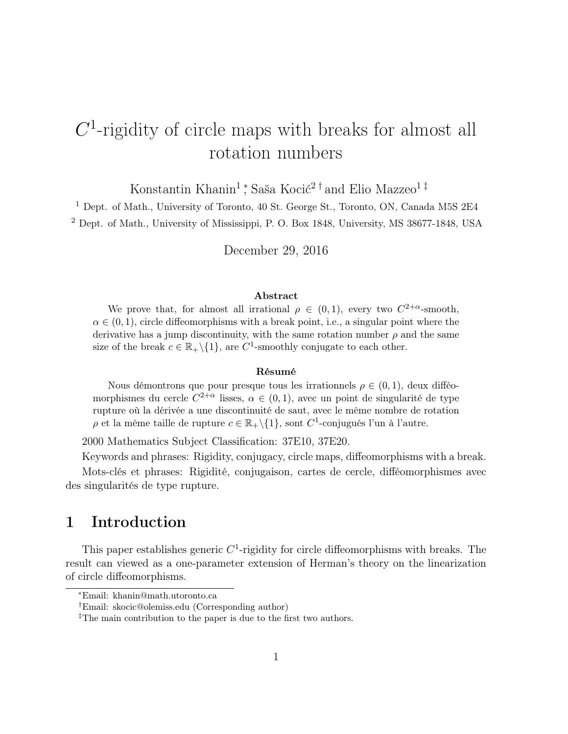# $C<sup>1</sup>$ -rigidity of circle maps with breaks for almost all rotation numbers

Konstantin Khanin<sup>1</sup><sup>\*</sup>, Saša Kocić<sup>2†</sup> and Elio Mazzeo<sup>1‡</sup>

<sup>1</sup> Dept. of Math., University of Toronto, 40 St. George St., Toronto, ON, Canada M5S 2E4 <sup>2</sup> Dept. of Math., University of Mississippi, P. O. Box 1848, University, MS 38677-1848, USA

December 29, 2016

#### Abstract

We prove that, for almost all irrational  $\rho \in (0,1)$ , every two  $C^{2+\alpha}$ -smooth,  $\alpha \in (0,1)$ , circle diffeomorphisms with a break point, i.e., a singular point where the derivative has a jump discontinuity, with the same rotation number  $\rho$  and the same size of the break  $c \in \mathbb{R}_+ \setminus \{1\}$ , are  $C^1$ -smoothly conjugate to each other.

#### Résumé

Nous démontrons que pour presque tous les irrationnels  $\rho \in (0,1)$ , deux difféomorphismes du cercle  $C^{2+\alpha}$  lisses,  $\alpha \in (0,1)$ , avec un point de singularité de type rupture où la dérivée a une discontinuité de saut, avec le même nombre de rotation  $\rho$  et la même taille de rupture  $c \in \mathbb{R}_+ \backslash \{1\}$ , sont  $C^1$ -conjugués l'un à l'autre.

2000 Mathematics Subject Classification: 37E10, 37E20.

Keywords and phrases: Rigidity, conjugacy, circle maps, diffeomorphisms with a break. Mots-clés et phrases: Rigidité, conjugaison, cartes de cercle, difféomorphismes avec des singularités de type rupture.

## 1 Introduction

This paper establishes generic  $C<sup>1</sup>$ -rigidity for circle diffeomorphisms with breaks. The result can viewed as a one-parameter extension of Herman's theory on the linearization of circle diffeomorphisms.

<sup>∗</sup>Email: khanin@math.utoronto.ca

<sup>†</sup>Email: skocic@olemiss.edu (Corresponding author)

<sup>&</sup>lt;sup>‡</sup>The main contribution to the paper is due to the first two authors.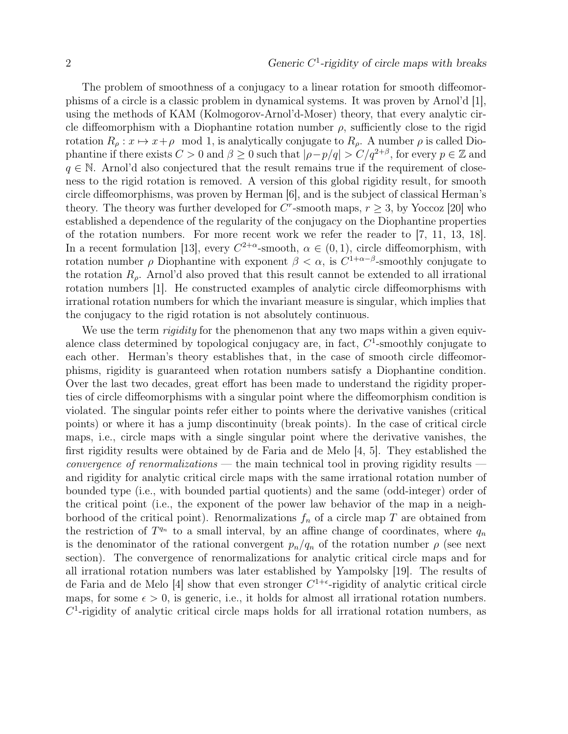The problem of smoothness of a conjugacy to a linear rotation for smooth diffeomorphisms of a circle is a classic problem in dynamical systems. It was proven by Arnol'd [1], using the methods of KAM (Kolmogorov-Arnol'd-Moser) theory, that every analytic circle diffeomorphism with a Diophantine rotation number  $\rho$ , sufficiently close to the rigid rotation  $R_\rho: x \mapsto x+\rho \mod 1$ , is analytically conjugate to  $R_\rho$ . A number  $\rho$  is called Diophantine if there exists  $C > 0$  and  $\beta \geq 0$  such that  $|\rho - p/q| > C/q^{2+\beta}$ , for every  $p \in \mathbb{Z}$  and  $q \in \mathbb{N}$ . Arnol'd also conjectured that the result remains true if the requirement of closeness to the rigid rotation is removed. A version of this global rigidity result, for smooth circle diffeomorphisms, was proven by Herman [6], and is the subject of classical Herman's theory. The theory was further developed for  $C^r$ -smooth maps,  $r \geq 3$ , by Yoccoz [20] who established a dependence of the regularity of the conjugacy on the Diophantine properties of the rotation numbers. For more recent work we refer the reader to [7, 11, 13, 18]. In a recent formulation [13], every  $C^{2+\alpha}$ -smooth,  $\alpha \in (0,1)$ , circle diffeomorphism, with rotation number  $\rho$  Diophantine with exponent  $\beta < \alpha$ , is  $C^{1+\alpha-\beta}$ -smoothly conjugate to the rotation  $R_{\rho}$ . Arnol'd also proved that this result cannot be extended to all irrational rotation numbers [1]. He constructed examples of analytic circle diffeomorphisms with irrational rotation numbers for which the invariant measure is singular, which implies that the conjugacy to the rigid rotation is not absolutely continuous.

We use the term *rigidity* for the phenomenon that any two maps within a given equivalence class determined by topological conjugacy are, in fact,  $C<sup>1</sup>$ -smoothly conjugate to each other. Herman's theory establishes that, in the case of smooth circle diffeomorphisms, rigidity is guaranteed when rotation numbers satisfy a Diophantine condition. Over the last two decades, great effort has been made to understand the rigidity properties of circle diffeomorphisms with a singular point where the diffeomorphism condition is violated. The singular points refer either to points where the derivative vanishes (critical points) or where it has a jump discontinuity (break points). In the case of critical circle maps, i.e., circle maps with a single singular point where the derivative vanishes, the first rigidity results were obtained by de Faria and de Melo [4, 5]. They established the *convergence of renormalizations* — the main technical tool in proving rigidity results and rigidity for analytic critical circle maps with the same irrational rotation number of bounded type (i.e., with bounded partial quotients) and the same (odd-integer) order of the critical point (i.e., the exponent of the power law behavior of the map in a neighborhood of the critical point). Renormalizations  $f_n$  of a circle map T are obtained from the restriction of  $T^{q_n}$  to a small interval, by an affine change of coordinates, where  $q_n$ is the denominator of the rational convergent  $p_n/q_n$  of the rotation number  $\rho$  (see next section). The convergence of renormalizations for analytic critical circle maps and for all irrational rotation numbers was later established by Yampolsky [19]. The results of de Faria and de Melo [4] show that even stronger  $C^{1+\epsilon}$ -rigidity of analytic critical circle maps, for some  $\epsilon > 0$ , is generic, i.e., it holds for almost all irrational rotation numbers.  $C<sup>1</sup>$ -rigidity of analytic critical circle maps holds for all irrational rotation numbers, as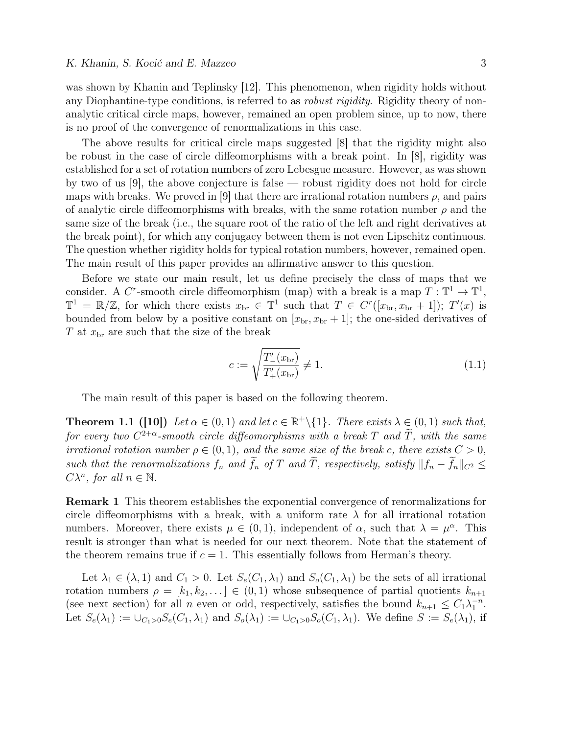was shown by Khanin and Teplinsky [12]. This phenomenon, when rigidity holds without any Diophantine-type conditions, is referred to as *robust rigidity*. Rigidity theory of nonanalytic critical circle maps, however, remained an open problem since, up to now, there is no proof of the convergence of renormalizations in this case.

The above results for critical circle maps suggested [8] that the rigidity might also be robust in the case of circle diffeomorphisms with a break point. In [8], rigidity was established for a set of rotation numbers of zero Lebesgue measure. However, as was shown by two of us [9], the above conjecture is false — robust rigidity does not hold for circle maps with breaks. We proved in [9] that there are irrational rotation numbers  $\rho$ , and pairs of analytic circle diffeomorphisms with breaks, with the same rotation number  $\rho$  and the same size of the break (i.e., the square root of the ratio of the left and right derivatives at the break point), for which any conjugacy between them is not even Lipschitz continuous. The question whether rigidity holds for typical rotation numbers, however, remained open. The main result of this paper provides an affirmative answer to this question.

Before we state our main result, let us define precisely the class of maps that we consider. A C<sup>r</sup>-smooth circle diffeomorphism (map) with a break is a map  $T: \mathbb{T}^1 \to \mathbb{T}^1$ ,  $\mathbb{T}^1 = \mathbb{R}/\mathbb{Z}$ , for which there exists  $x_{\text{br}} \in \mathbb{T}^1$  such that  $T \in C^r([x_{\text{br}}, x_{\text{br}} + 1])$ ;  $T'(x)$  is bounded from below by a positive constant on  $[x_{\text{br}}, x_{\text{br}} + 1]$ ; the one-sided derivatives of  $T$  at  $x<sub>br</sub>$  are such that the size of the break

$$
c := \sqrt{\frac{T'_{-}(x_{\text{br}})}{T'_{+}(x_{\text{br}})}} \neq 1.
$$
\n(1.1)

The main result of this paper is based on the following theorem.

**Theorem 1.1 ([10])** Let  $\alpha \in (0,1)$  and let  $c \in \mathbb{R}^+\setminus\{1\}$ . There exists  $\lambda \in (0,1)$  such that, for every two  $C^{2+\alpha}$ -smooth circle diffeomorphisms with a break T and T, with the same irrational rotation number  $\rho \in (0,1)$ , and the same size of the break c, there exists  $C > 0$ , such that the renormalizations  $f_n$  and  $\tilde{f}_n$  of T and  $\tilde{T}$ , respectively, satisfy  $||f_n - \tilde{f}_n||_{C^2} \le$  $C\lambda^n$ , for all  $n \in \mathbb{N}$ .

Remark 1 This theorem establishes the exponential convergence of renormalizations for circle diffeomorphisms with a break, with a uniform rate  $\lambda$  for all irrational rotation numbers. Moreover, there exists  $\mu \in (0,1)$ , independent of  $\alpha$ , such that  $\lambda = \mu^{\alpha}$ . This result is stronger than what is needed for our next theorem. Note that the statement of the theorem remains true if  $c = 1$ . This essentially follows from Herman's theory.

Let  $\lambda_1 \in (\lambda, 1)$  and  $C_1 > 0$ . Let  $S_e(C_1, \lambda_1)$  and  $S_o(C_1, \lambda_1)$  be the sets of all irrational rotation numbers  $\rho = [k_1, k_2, \dots] \in (0, 1)$  whose subsequence of partial quotients  $k_{n+1}$ (see next section) for all *n* even or odd, respectively, satisfies the bound  $k_{n+1} \leq C_1 \lambda_1^{-n}$ . Let  $S_e(\lambda_1) := \bigcup_{C_1>0} S_e(C_1,\lambda_1)$  and  $S_o(\lambda_1) := \bigcup_{C_1>0} S_o(C_1,\lambda_1)$ . We define  $S := S_e(\lambda_1)$ , if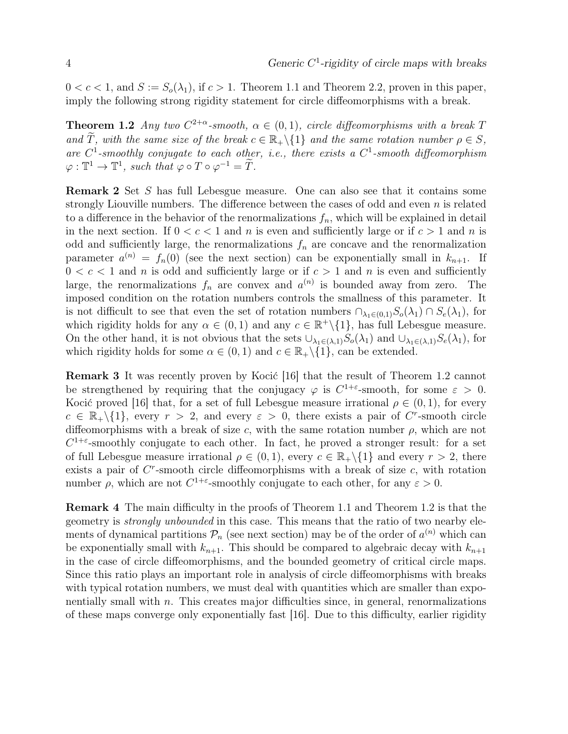$0 < c < 1$ , and  $S := S_o(\lambda_1)$ , if  $c > 1$ . Theorem 1.1 and Theorem 2.2, proven in this paper, imply the following strong rigidity statement for circle diffeomorphisms with a break.

**Theorem 1.2** Any two  $C^{2+\alpha}$ -smooth,  $\alpha \in (0,1)$ , circle diffeomorphisms with a break T and  $\widetilde{T}$ , with the same size of the break  $c \in \mathbb{R}_+ \setminus \{1\}$  and the same rotation number  $\rho \in S$ , are  $C^1$ -smoothly conjugate to each other, i.e., there exists a  $C^1$ -smooth diffeomorphism  $\varphi: \mathbb{T}^1 \to \mathbb{T}^1$ , such that  $\varphi \circ T \circ \varphi^{-1} = \widetilde{T}$ .

Remark 2 Set S has full Lebesgue measure. One can also see that it contains some strongly Liouville numbers. The difference between the cases of odd and even  $n$  is related to a difference in the behavior of the renormalizations  $f_n$ , which will be explained in detail in the next section. If  $0 < c < 1$  and n is even and sufficiently large or if  $c > 1$  and n is odd and sufficiently large, the renormalizations  $f_n$  are concave and the renormalization parameter  $a^{(n)} = f_n(0)$  (see the next section) can be exponentially small in  $k_{n+1}$ . If  $0 < c < 1$  and n is odd and sufficiently large or if  $c > 1$  and n is even and sufficiently large, the renormalizations  $f_n$  are convex and  $a^{(n)}$  is bounded away from zero. The imposed condition on the rotation numbers controls the smallness of this parameter. It is not difficult to see that even the set of rotation numbers  $\cap_{\lambda_1\in(0,1)}S_o(\lambda_1)\cap S_e(\lambda_1)$ , for which rigidity holds for any  $\alpha \in (0,1)$  and any  $c \in \mathbb{R}^+\setminus\{1\}$ , has full Lebesgue measure. On the other hand, it is not obvious that the sets  $\cup_{\lambda_1\in(\lambda,1)}S_o(\lambda_1)$  and  $\cup_{\lambda_1\in(\lambda,1)}S_e(\lambda_1)$ , for which rigidity holds for some  $\alpha \in (0,1)$  and  $c \in \mathbb{R}_+ \setminus \{1\}$ , can be extended.

Remark 3 It was recently proven by Kocić [16] that the result of Theorem 1.2 cannot be strengthened by requiring that the conjugacy  $\varphi$  is  $C^{1+\varepsilon}$ -smooth, for some  $\varepsilon > 0$ . Kocić proved [16] that, for a set of full Lebesgue measure irrational  $\rho \in (0,1)$ , for every  $c \in \mathbb{R}_+\backslash\{1\}$ , every  $r > 2$ , and every  $\varepsilon > 0$ , there exists a pair of C<sup>r</sup>-smooth circle diffeomorphisms with a break of size c, with the same rotation number  $\rho$ , which are not  $C^{1+\varepsilon}$ -smoothly conjugate to each other. In fact, he proved a stronger result: for a set of full Lebesgue measure irrational  $\rho \in (0,1)$ , every  $c \in \mathbb{R}_+ \setminus \{1\}$  and every  $r > 2$ , there exists a pair of  $C<sup>r</sup>$ -smooth circle diffeomorphisms with a break of size  $c$ , with rotation number  $\rho$ , which are not  $C^{1+\varepsilon}$ -smoothly conjugate to each other, for any  $\varepsilon > 0$ .

Remark 4 The main difficulty in the proofs of Theorem 1.1 and Theorem 1.2 is that the geometry is strongly unbounded in this case. This means that the ratio of two nearby elements of dynamical partitions  $P_n$  (see next section) may be of the order of  $a^{(n)}$  which can be exponentially small with  $k_{n+1}$ . This should be compared to algebraic decay with  $k_{n+1}$ in the case of circle diffeomorphisms, and the bounded geometry of critical circle maps. Since this ratio plays an important role in analysis of circle diffeomorphisms with breaks with typical rotation numbers, we must deal with quantities which are smaller than exponentially small with  $n$ . This creates major difficulties since, in general, renormalizations of these maps converge only exponentially fast [16]. Due to this difficulty, earlier rigidity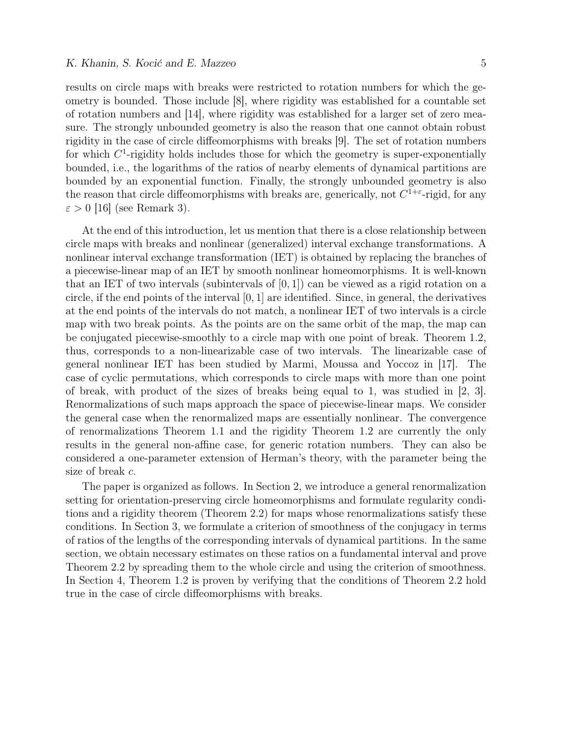results on circle maps with breaks were restricted to rotation numbers for which the geometry is bounded. Those include [8], where rigidity was established for a countable set of rotation numbers and [14], where rigidity was established for a larger set of zero measure. The strongly unbounded geometry is also the reason that one cannot obtain robust rigidity in the case of circle diffeomorphisms with breaks [9]. The set of rotation numbers for which  $C<sup>1</sup>$ -rigidity holds includes those for which the geometry is super-exponentially bounded, i.e., the logarithms of the ratios of nearby elements of dynamical partitions are bounded by an exponential function. Finally, the strongly unbounded geometry is also the reason that circle diffeomorphisms with breaks are, generically, not  $C^{1+\epsilon}$ -rigid, for any  $\varepsilon > 0$  [16] (see Remark 3).

At the end of this introduction, let us mention that there is a close relationship between circle maps with breaks and nonlinear (generalized) interval exchange transformations. A nonlinear interval exchange transformation (IET) is obtained by replacing the branches of a piecewise-linear map of an IET by smooth nonlinear homeomorphisms. It is well-known that an IET of two intervals (subintervals of  $[0, 1]$ ) can be viewed as a rigid rotation on a circle, if the end points of the interval  $[0, 1]$  are identified. Since, in general, the derivatives at the end points of the intervals do not match, a nonlinear IET of two intervals is a circle map with two break points. As the points are on the same orbit of the map, the map can be conjugated piecewise-smoothly to a circle map with one point of break. Theorem 1.2, thus, corresponds to a non-linearizable case of two intervals. The linearizable case of general nonlinear IET has been studied by Marmi, Moussa and Yoccoz in [17]. The case of cyclic permutations, which corresponds to circle maps with more than one point of break, with product of the sizes of breaks being equal to 1, was studied in [2, 3]. Renormalizations of such maps approach the space of piecewise-linear maps. We consider the general case when the renormalized maps are essentially nonlinear. The convergence of renormalizations Theorem 1.1 and the rigidity Theorem 1.2 are currently the only results in the general non-affine case, for generic rotation numbers. They can also be considered a one-parameter extension of Herman's theory, with the parameter being the size of break c.

The paper is organized as follows. In Section 2, we introduce a general renormalization setting for orientation-preserving circle homeomorphisms and formulate regularity conditions and a rigidity theorem (Theorem 2.2) for maps whose renormalizations satisfy these conditions. In Section 3, we formulate a criterion of smoothness of the conjugacy in terms of ratios of the lengths of the corresponding intervals of dynamical partitions. In the same section, we obtain necessary estimates on these ratios on a fundamental interval and prove Theorem 2.2 by spreading them to the whole circle and using the criterion of smoothness. In Section 4, Theorem 1.2 is proven by verifying that the conditions of Theorem 2.2 hold true in the case of circle diffeomorphisms with breaks.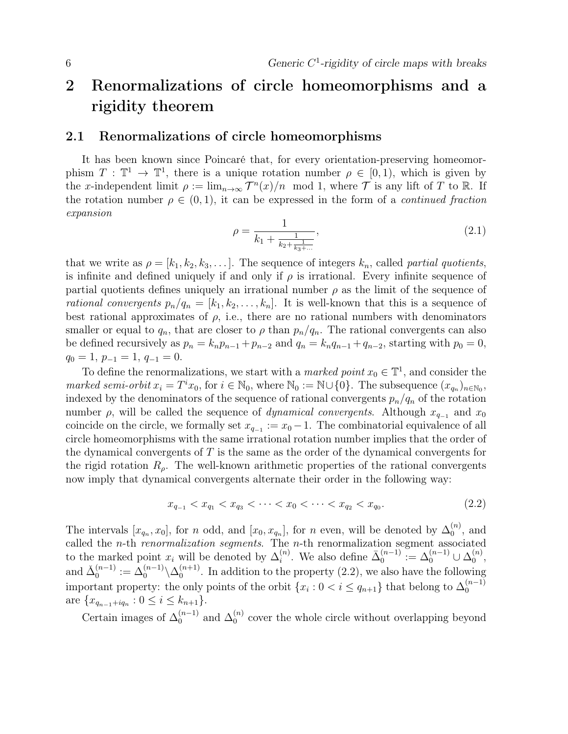## 2 Renormalizations of circle homeomorphisms and a rigidity theorem

### 2.1 Renormalizations of circle homeomorphisms

It has been known since Poincaré that, for every orientation-preserving homeomorphism  $T : \mathbb{T}^1 \to \mathbb{T}^1$ , there is a unique rotation number  $\rho \in [0,1)$ , which is given by the x-independent limit  $\rho := \lim_{n \to \infty} T^n(x)/n \mod 1$ , where  $\mathcal T$  is any lift of T to R. If the rotation number  $\rho \in (0, 1)$ , it can be expressed in the form of a *continued fraction* expansion

$$
\rho = \frac{1}{k_1 + \frac{1}{k_2 + \frac{1}{k_3 + \dots}}},\tag{2.1}
$$

that we write as  $\rho = [k_1, k_2, k_3, \dots]$ . The sequence of integers  $k_n$ , called partial quotients, is infinite and defined uniquely if and only if  $\rho$  is irrational. Every infinite sequence of partial quotients defines uniquely an irrational number  $\rho$  as the limit of the sequence of rational convergents  $p_n/q_n = [k_1, k_2, \ldots, k_n]$ . It is well-known that this is a sequence of best rational approximates of  $\rho$ , i.e., there are no rational numbers with denominators smaller or equal to  $q_n$ , that are closer to  $\rho$  than  $p_n/q_n$ . The rational convergents can also be defined recursively as  $p_n = k_n p_{n-1} + p_{n-2}$  and  $q_n = k_n q_{n-1} + q_{n-2}$ , starting with  $p_0 = 0$ ,  $q_0 = 1, p_{-1} = 1, q_{-1} = 0.$ 

To define the renormalizations, we start with a *marked point*  $x_0 \in \mathbb{T}^1$ , and consider the marked semi-orbit  $x_i = T^i x_0$ , for  $i \in \mathbb{N}_0$ , where  $\mathbb{N}_0 := \mathbb{N} \cup \{0\}$ . The subsequence  $(x_{q_n})_{n \in \mathbb{N}_0}$ , indexed by the denominators of the sequence of rational convergents  $p_n/q_n$  of the rotation number  $\rho$ , will be called the sequence of *dynamical convergents*. Although  $x_{q-1}$  and  $x_0$ coincide on the circle, we formally set  $x_{q-1} := x_0 - 1$ . The combinatorial equivalence of all circle homeomorphisms with the same irrational rotation number implies that the order of the dynamical convergents of  $T$  is the same as the order of the dynamical convergents for the rigid rotation  $R_{\rho}$ . The well-known arithmetic properties of the rational convergents now imply that dynamical convergents alternate their order in the following way:

$$
x_{q_{-1}} < x_{q_1} < x_{q_3} < \dots < x_0 < \dots < x_{q_2} < x_{q_0}.\tag{2.2}
$$

The intervals  $[x_{q_n}, x_0]$ , for n odd, and  $[x_0, x_{q_n}]$ , for n even, will be denoted by  $\Delta_0^{(n)}$  $\binom{n}{0}$ , and called the *n*-th *renormalization segments*. The *n*-th renormalization segment associated to the marked point  $x_i$  will be denoted by  $\Delta_i^{(n)}$  $i^{(n)}$ . We also define  $\bar{\Delta}_0^{(n-1)}$  $\mathcal{O}_0^{(n-1)} \coloneqq \Delta_0^{(n-1)} \cup \Delta_0^{(n)}$  $\overset{(n)}{0},$ and  $\check{\Delta}_0^{(n-1)}$  $\mathcal{D}_0^{(n-1)}:=\Delta_0^{(n-1)}\backslash \Delta_0^{(n+1)}$  $\binom{n+1}{0}$ . In addition to the property  $(2.2)$ , we also have the following important property: the only points of the orbit  $\{x_i : 0 < i \le q_{n+1}\}\)$  that belong to  $\Delta_0^{(n-1)}$ 0 are  $\{x_{q_{n-1}+iq_n} : 0 \leq i \leq k_{n+1}\}.$ 

Certain images of  $\Delta_0^{(n-1)}$  $\mathcal{L}_0^{(n-1)}$  and  $\Delta_0^{(n)}$  $\binom{n}{0}$  cover the whole circle without overlapping beyond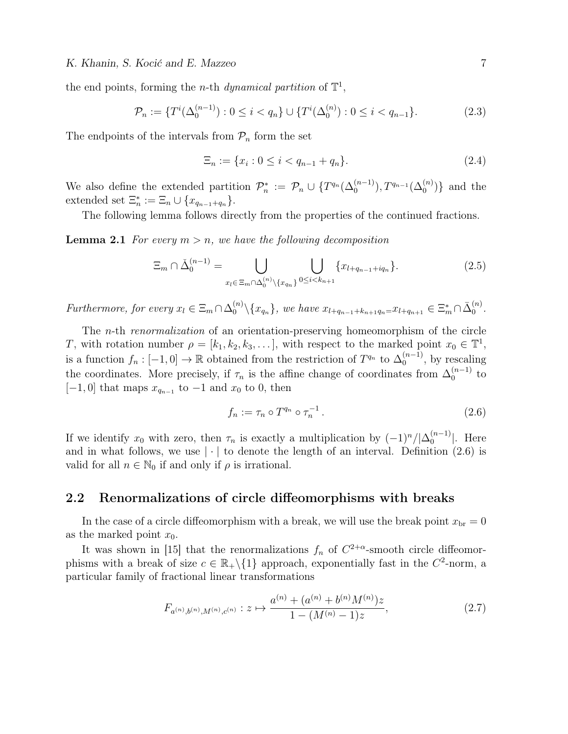the end points, forming the *n*-th *dynamical partition* of  $\mathbb{T}^1$ ,

$$
\mathcal{P}_n := \{ T^i(\Delta_0^{(n-1)}) : 0 \le i < q_n \} \cup \{ T^i(\Delta_0^{(n)}) : 0 \le i < q_{n-1} \}. \tag{2.3}
$$

The endpoints of the intervals from  $P_n$  form the set

$$
\Xi_n := \{ x_i : 0 \le i < q_{n-1} + q_n \}. \tag{2.4}
$$

We also define the extended partition  $\mathcal{P}_n^* := \mathcal{P}_n \cup \{T^{q_n}(\Delta_0^{(n-1)}), T^{q_{n-1}}(\Delta_0^{(n)})\}$  and the extended set  $\Xi_n^* := \Xi_n \cup \{x_{q_{n-1}+q_n}\}.$ 

The following lemma follows directly from the properties of the continued fractions.

**Lemma 2.1** For every  $m > n$ , we have the following decomposition

$$
\Xi_m \cap \check{\Delta}_0^{(n-1)} = \bigcup_{x_l \in \Xi_m \cap \Delta_0^{(n)} \backslash \{x_{q_n}\}} \bigcup_{0 \le i < k_{n+1}} \{x_{l+q_{n-1}+iq_n}\}.
$$
\n(2.5)

Furthermore, for every  $x_l \in \Xi_m \cap \Delta_0^{(n)} \setminus \{x_{q_n}\}$ , we have  $x_{l+q_{n-1}+k_{n+1}q_n=x_{l+q_{n+1}} \in \Xi_m^* \cap \overline{\Delta}_0^{(n)}$  $\overset{(n)}{0}.$ 

The n-th renormalization of an orientation-preserving homeomorphism of the circle T, with rotation number  $\rho = [k_1, k_2, k_3, \dots]$ , with respect to the marked point  $x_0 \in \mathbb{T}^1$ , is a function  $f_n: [-1,0] \to \mathbb{R}$  obtained from the restriction of  $T^{q_n}$  to  $\Delta_0^{(n-1)}$  $\binom{n-1}{0}$ , by rescaling the coordinates. More precisely, if  $\tau_n$  is the affine change of coordinates from  $\Delta_0^{(n-1)}$  $_{0}^{(n-1)}$  to  $[-1, 0]$  that maps  $x_{q_{n-1}}$  to  $-1$  and  $x_0$  to 0, then

$$
f_n := \tau_n \circ T^{q_n} \circ \tau_n^{-1} \,. \tag{2.6}
$$

If we identify  $x_0$  with zero, then  $\tau_n$  is exactly a multiplication by  $(-1)^n/|\Delta_0^{(n-1)}|$  $\binom{n-1}{0}$ . Here and in what follows, we use  $|\cdot|$  to denote the length of an interval. Definition (2.6) is valid for all  $n \in \mathbb{N}_0$  if and only if  $\rho$  is irrational.

#### 2.2 Renormalizations of circle diffeomorphisms with breaks

In the case of a circle diffeomorphism with a break, we will use the break point  $x_{\text{br}} = 0$ as the marked point  $x_0$ .

It was shown in [15] that the renormalizations  $f_n$  of  $C^{2+\alpha}$ -smooth circle diffeomorphisms with a break of size  $c \in \mathbb{R}_+ \setminus \{1\}$  approach, exponentially fast in the  $C^2$ -norm, a particular family of fractional linear transformations

$$
F_{a^{(n)},b^{(n)},M^{(n)},c^{(n)}}:z \mapsto \frac{a^{(n)} + (a^{(n)} + b^{(n)}M^{(n)})z}{1 - (M^{(n)} - 1)z},\tag{2.7}
$$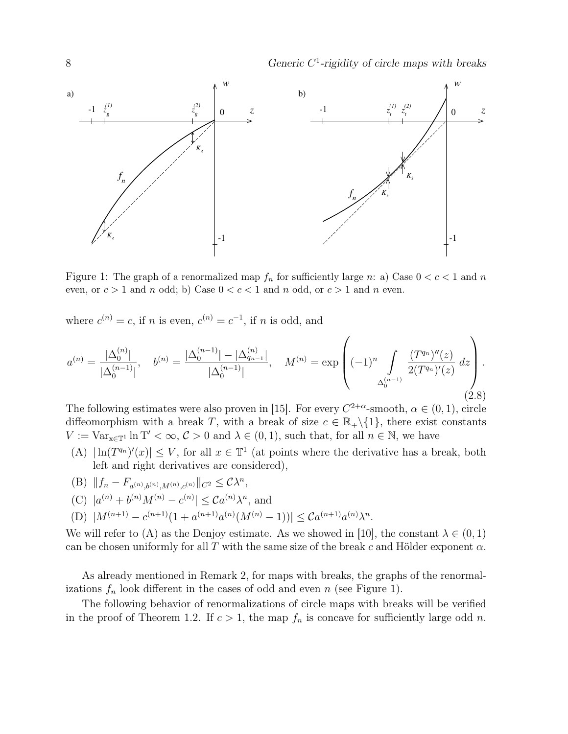

Figure 1: The graph of a renormalized map  $f_n$  for sufficiently large n: a) Case  $0 < c < 1$  and n even, or  $c > 1$  and n odd; b) Case  $0 < c < 1$  and n odd, or  $c > 1$  and n even.

where  $c^{(n)} = c$ , if n is even,  $c^{(n)} = c^{-1}$ , if n is odd, and

$$
a^{(n)} = \frac{|\Delta_0^{(n)}|}{|\Delta_0^{(n-1)}|}, \quad b^{(n)} = \frac{|\Delta_0^{(n-1)}| - |\Delta_{q_{n-1}}^{(n)}|}{|\Delta_0^{(n-1)}|}, \quad M^{(n)} = \exp\left((-1)^n \int\limits_{\Delta_0^{(n-1)}} \frac{(T^{q_n})''(z)}{2(T^{q_n})'(z)} \, dz\right).
$$
\n(2.8)

The following estimates were also proven in [15]. For every  $C^{2+\alpha}$ -smooth,  $\alpha \in (0,1)$ , circle diffeomorphism with a break T, with a break of size  $c \in \mathbb{R}_+ \setminus \{1\}$ , there exist constants  $V := \text{Var}_{x \in \mathbb{T}^1} \ln T' < \infty$ ,  $C > 0$  and  $\lambda \in (0, 1)$ , such that, for all  $n \in \mathbb{N}$ , we have

(A)  $|\ln(T^{q_n})'(x)| \leq V$ , for all  $x \in \mathbb{T}^1$  (at points where the derivative has a break, both left and right derivatives are considered),

(B) 
$$
||f_n - F_{a^{(n)},b^{(n)},M^{(n)},c^{(n)}}||_{C^2} \leq C\lambda^n
$$
,

(C) 
$$
|a^{(n)} + b^{(n)}M^{(n)} - c^{(n)}| \leq Ca^{(n)}\lambda^n
$$
, and

(D)  $|M^{(n+1)} - c^{(n+1)}(1 + a^{(n+1)}a^{(n)}(M^{(n)} - 1))| \leq Ca^{(n+1)}a^{(n)}\lambda^n$ .

We will refer to (A) as the Denjoy estimate. As we showed in [10], the constant  $\lambda \in (0,1)$ can be chosen uniformly for all T with the same size of the break c and Hölder exponent  $\alpha$ .

As already mentioned in Remark 2, for maps with breaks, the graphs of the renormalizations  $f_n$  look different in the cases of odd and even n (see Figure 1).

The following behavior of renormalizations of circle maps with breaks will be verified in the proof of Theorem 1.2. If  $c > 1$ , the map  $f_n$  is concave for sufficiently large odd n.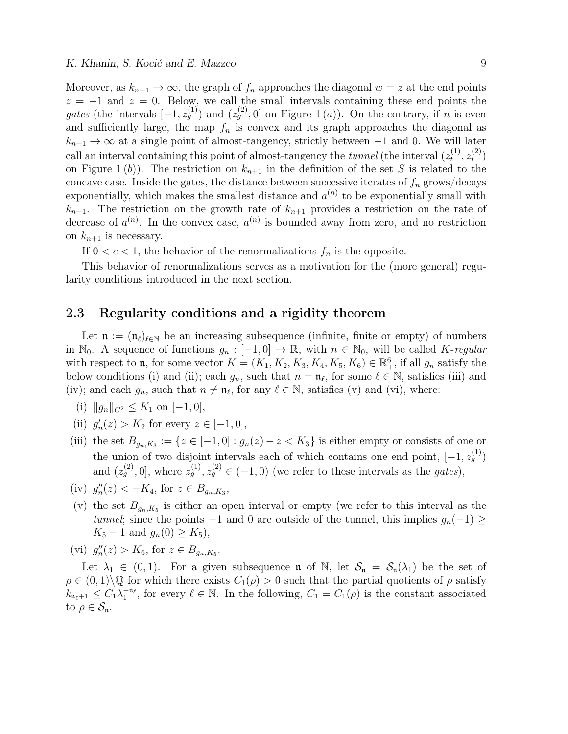Moreover, as  $k_{n+1} \to \infty$ , the graph of  $f_n$  approaches the diagonal  $w = z$  at the end points  $z = -1$  and  $z = 0$ . Below, we call the small intervals containing these end points the gates (the intervals  $[-1, z_g^{(1)}]$  and  $(z_g^{(2)}, 0]$  on Figure 1(a)). On the contrary, if n is even and sufficiently large, the map  $f_n$  is convex and its graph approaches the diagonal as  $k_{n+1} \to \infty$  at a single point of almost-tangency, strictly between -1 and 0. We will later call an interval containing this point of almost-tangency the *tunnel* (the interval  $(z_t^{(1)})$  $\overset{(1)}{t},z_t^{(2)}$  $t^{(2)}$ on Figure 1(b)). The restriction on  $k_{n+1}$  in the definition of the set S is related to the concave case. Inside the gates, the distance between successive iterates of  $f_n$  grows/decays exponentially, which makes the smallest distance and  $a^{(n)}$  to be exponentially small with  $k_{n+1}$ . The restriction on the growth rate of  $k_{n+1}$  provides a restriction on the rate of decrease of  $a^{(n)}$ . In the convex case,  $a^{(n)}$  is bounded away from zero, and no restriction on  $k_{n+1}$  is necessary.

If  $0 < c < 1$ , the behavior of the renormalizations  $f_n$  is the opposite.

This behavior of renormalizations serves as a motivation for the (more general) regularity conditions introduced in the next section.

### 2.3 Regularity conditions and a rigidity theorem

Let  $\mathfrak{n} := (\mathfrak{n}_{\ell})_{\ell \in \mathbb{N}}$  be an increasing subsequence (infinite, finite or empty) of numbers in  $\mathbb{N}_0$ . A sequence of functions  $g_n : [-1, 0] \to \mathbb{R}$ , with  $n \in \mathbb{N}_0$ , will be called K-regular with respect to **n**, for some vector  $K = (K_1, K_2, K_3, K_4, K_5, K_6) \in \mathbb{R}^6_+$ , if all  $g_n$  satisfy the below conditions (i) and (ii); each  $g_n$ , such that  $n = \mathfrak{n}_{\ell}$ , for some  $\ell \in \mathbb{N}$ , satisfies (iii) and (iv); and each  $g_n$ , such that  $n \neq \mathfrak{n}_\ell$ , for any  $\ell \in \mathbb{N}$ , satisfies (v) and (vi), where:

(i)  $||g_n||_{C^2} \leq K_1$  on  $[-1, 0],$ 

- (ii)  $g'_n(z) > K_2$  for every  $z \in [-1, 0],$
- (iii) the set  $B_{g_n,K_3} := \{z \in [-1,0] : g_n(z) z < K_3\}$  is either empty or consists of one or the union of two disjoint intervals each of which contains one end point,  $[-1, z_g^{(1)}]$ and  $(z_g^{(2)}, 0]$ , where  $z_g^{(1)}, z_g^{(2)} \in (-1, 0)$  (we refer to these intervals as the *gates*),
- (iv)  $g''_n(z) < -K_4$ , for  $z \in B_{g_n, K_3}$ ,
- (v) the set  $B_{g_n,K_5}$  is either an open interval or empty (we refer to this interval as the tunnel; since the points  $-1$  and 0 are outside of the tunnel, this implies  $g_n(-1) \ge$  $K_5 - 1$  and  $g_n(0) \geq K_5$ ,

(vi) 
$$
g''_n(z) > K_6
$$
, for  $z \in B_{g_n, K_5}$ .

Let  $\lambda_1 \in (0,1)$ . For a given subsequence **n** of N, let  $S_n = S_n(\lambda_1)$  be the set of  $\rho \in (0,1) \backslash \mathbb{Q}$  for which there exists  $C_1(\rho) > 0$  such that the partial quotients of  $\rho$  satisfy  $k_{\mathfrak{n}_{\ell}+1} \leq C_1 \lambda_1^{-\mathfrak{n}_{\ell}}$ , for every  $\ell \in \mathbb{N}$ . In the following,  $C_1 = C_1(\rho)$  is the constant associated to  $\rho \in \mathcal{S}_{\mathfrak{n}}$ .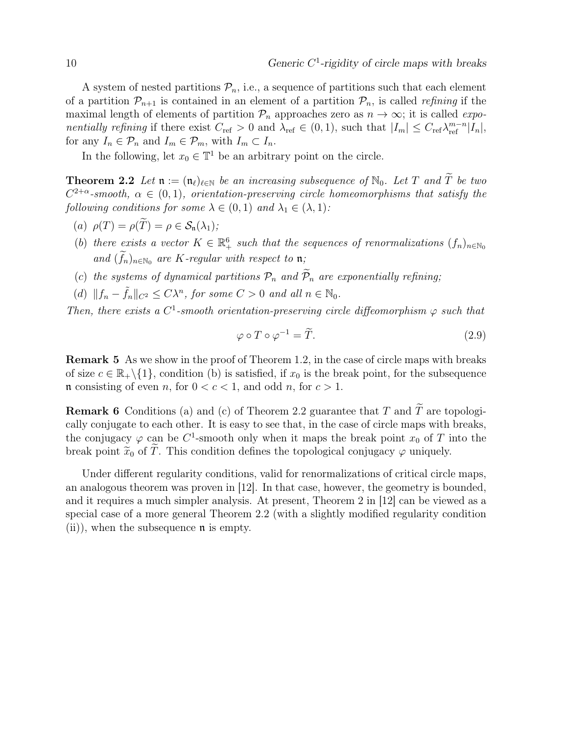A system of nested partitions  $\mathcal{P}_n$ , i.e., a sequence of partitions such that each element of a partition  $\mathcal{P}_{n+1}$  is contained in an element of a partition  $\mathcal{P}_n$ , is called *refining* if the maximal length of elements of partition  $\mathcal{P}_n$  approaches zero as  $n \to \infty$ ; it is called *expo*nentially refining if there exist  $C_{\text{ref}} > 0$  and  $\lambda_{\text{ref}} \in (0, 1)$ , such that  $|I_m| \leq C_{\text{ref}} \lambda_{\text{ref}}^{m-n} |I_n|$ , for any  $I_n \in \mathcal{P}_n$  and  $I_m \in \mathcal{P}_m$ , with  $I_m \subset I_n$ .

In the following, let  $x_0 \in \mathbb{T}^1$  be an arbitrary point on the circle.

**Theorem 2.2** Let  $\mathfrak{n} := (\mathfrak{n}_{\ell})_{\ell \in \mathbb{N}}$  be an increasing subsequence of  $\mathbb{N}_0$ . Let T and  $\widetilde{T}$  be two  $C^{2+\alpha}$ -smooth,  $\alpha \in (0,1)$ , orientation-preserving circle homeomorphisms that satisfy the following conditions for some  $\lambda \in (0,1)$  and  $\lambda_1 \in (\lambda,1)$ :

- (a)  $\rho(T) = \rho(\widetilde{T}) = \rho \in \mathcal{S}_n(\lambda_1);$
- (b) there exists a vector  $K \in \mathbb{R}^6_+$  such that the sequences of renormalizations  $(f_n)_{n \in \mathbb{N}_0}$ and  $(f_n)_{n\in\mathbb{N}_0}$  are K-regular with respect to  $\mathfrak{n}$ ;
- (c) the systems of dynamical partitions  $\mathcal{P}_n$  and  $\widetilde{\mathcal{P}}_n$  are exponentially refining;
- (d)  $||f_n \tilde{f}_n||_{C^2} \leq C\lambda^n$ , for some  $C > 0$  and all  $n \in \mathbb{N}_0$ .

Then, there exists a  $C^1$ -smooth orientation-preserving circle diffeomorphism  $\varphi$  such that

$$
\varphi \circ T \circ \varphi^{-1} = \tilde{T}.
$$
\n(2.9)

**Remark 5** As we show in the proof of Theorem 1.2, in the case of circle maps with breaks of size  $c \in \mathbb{R}_+ \setminus \{1\}$ , condition (b) is satisfied, if  $x_0$  is the break point, for the subsequence n consisting of even n, for  $0 < c < 1$ , and odd n, for  $c > 1$ .

**Remark 6** Conditions (a) and (c) of Theorem 2.2 guarantee that T and T are topologically conjugate to each other. It is easy to see that, in the case of circle maps with breaks, the conjugacy  $\varphi$  can be C<sup>1</sup>-smooth only when it maps the break point  $x_0$  of T into the break point  $\widetilde{x}_0$  of  $\widetilde{T}$ . This condition defines the topological conjugacy  $\varphi$  uniquely.

Under different regularity conditions, valid for renormalizations of critical circle maps, an analogous theorem was proven in [12]. In that case, however, the geometry is bounded, and it requires a much simpler analysis. At present, Theorem 2 in [12] can be viewed as a special case of a more general Theorem 2.2 (with a slightly modified regularity condition  $(ii)$ , when the subsequence  $\mathfrak n$  is empty.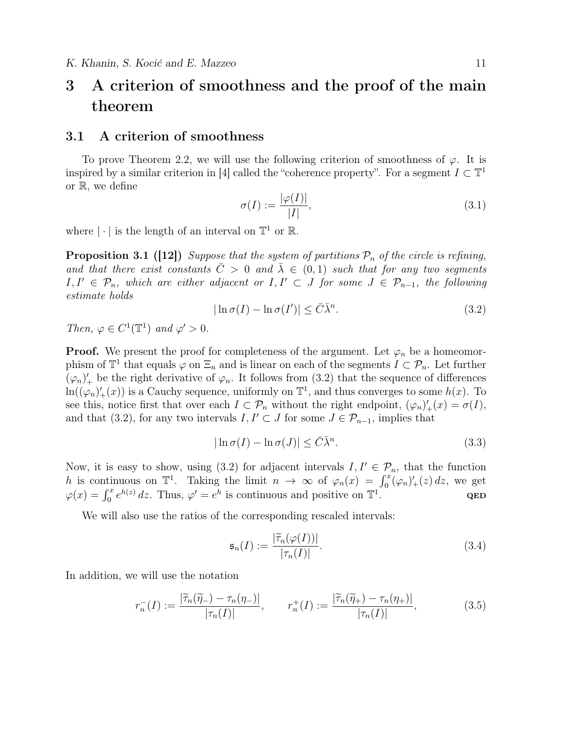## 3 A criterion of smoothness and the proof of the main theorem

### 3.1 A criterion of smoothness

To prove Theorem 2.2, we will use the following criterion of smoothness of  $\varphi$ . It is inspired by a similar criterion in [4] called the "coherence property". For a segment  $I \subset \mathbb{T}^1$ or R, we define

$$
\sigma(I) := \frac{|\varphi(I)|}{|I|},\tag{3.1}
$$

where  $|\cdot|$  is the length of an interval on  $\mathbb{T}^1$  or  $\mathbb{R}$ .

**Proposition 3.1 ([12])** Suppose that the system of partitions  $P_n$  of the circle is refining, and that there exist constants  $\overline{C} > 0$  and  $\overline{\lambda} \in (0,1)$  such that for any two segments I, I' ∈  $\mathcal{P}_n$ , which are either adjacent or I, I' ⊂ J for some  $J \in \mathcal{P}_{n-1}$ , the following estimate holds

$$
|\ln \sigma(I) - \ln \sigma(I')| \leq \bar{C}\bar{\lambda}^n. \tag{3.2}
$$

Then,  $\varphi \in C^1(\mathbb{T}^1)$  and  $\varphi' > 0$ .

**Proof.** We present the proof for completeness of the argument. Let  $\varphi_n$  be a homeomorphism of  $\mathbb{T}^1$  that equals  $\varphi$  on  $\Xi_n$  and is linear on each of the segments  $I \subset \mathcal{P}_n$ . Let further  $(\varphi_n)'_+$  be the right derivative of  $\varphi_n$ . It follows from (3.2) that the sequence of differences  $\ln((\varphi_n)'_+(x))$  is a Cauchy sequence, uniformly on  $\mathbb{T}^1$ , and thus converges to some  $h(x)$ . To see this, notice first that over each  $I \subset \mathcal{P}_n$  without the right endpoint,  $(\varphi_n)'_+(x) = \sigma(I)$ , and that (3.2), for any two intervals  $I, I' \subset J$  for some  $J \in \mathcal{P}_{n-1}$ , implies that

$$
|\ln \sigma(I) - \ln \sigma(J)| \leq \bar{C} \bar{\lambda}^n. \tag{3.3}
$$

Now, it is easy to show, using (3.2) for adjacent intervals  $I, I' \in \mathcal{P}_n$ , that the function h is continuous on  $\mathbb{T}^1$ . Taking the limit  $n \to \infty$  of  $\varphi_n(x) = \int_0^x (\varphi_n)'_+(z) dz$ , we get  $\varphi(x) = \int_0^x e^{h(z)} dz$ . Thus,  $\varphi' = e^h$  is continuous and positive on  $\mathbb{T}^1$ . QED

We will also use the ratios of the corresponding rescaled intervals:

$$
\mathfrak{s}_n(I) := \frac{|\widetilde{\tau}_n(\varphi(I))|}{|\tau_n(I)|}.\tag{3.4}
$$

In addition, we will use the notation

$$
r_n^-(I) := \frac{|\widetilde{\tau}_n(\widetilde{\eta}_-) - \tau_n(\eta_-)|}{|\tau_n(I)|}, \qquad r_n^+(I) := \frac{|\widetilde{\tau}_n(\widetilde{\eta}_+) - \tau_n(\eta_+)|}{|\tau_n(I)|},\tag{3.5}
$$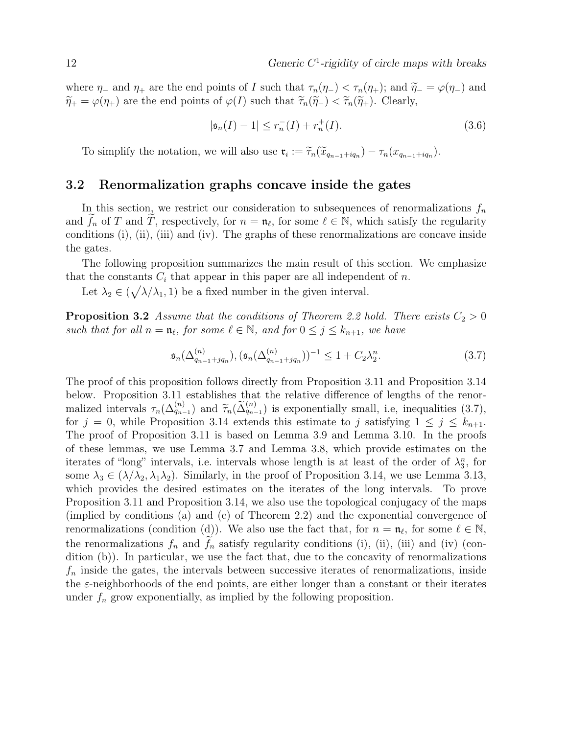where  $\eta_-$  and  $\eta_+$  are the end points of I such that  $\tau_n(\eta_-) < \tau_n(\eta_+)$ ; and  $\widetilde{\eta}_- = \varphi(\eta_-)$  and  $\widetilde{\eta}_+ = \varphi(\eta_+)$  are the end points of  $\varphi(I)$  such that  $\widetilde{\tau}_n(\widetilde{\eta}_-) < \widetilde{\tau}_n(\widetilde{\eta}_+)$ . Clearly,

$$
|\mathfrak{s}_n(I) - 1| \le r_n^{-}(I) + r_n^{+}(I). \tag{3.6}
$$

To simplify the notation, we will also use  $\mathfrak{r}_i := \widetilde{\tau}_n(\widetilde{x}_{q_{n-1}+iq_n}) - \tau_n(x_{q_{n-1}+iq_n}).$ 

### 3.2 Renormalization graphs concave inside the gates

In this section, we restrict our consideration to subsequences of renormalizations  $f_n$ and  $\widetilde{f}_n$  of T and  $\widetilde{T}$ , respectively, for  $n = \mathfrak{n}_{\ell}$ , for some  $\ell \in \mathbb{N}$ , which satisfy the regularity conditions (i), (ii), (iii) and (iv). The graphs of these renormalizations are concave inside the gates.

The following proposition summarizes the main result of this section. We emphasize that the constants  $C_i$  that appear in this paper are all independent of n.

Let  $\lambda_2 \in (\sqrt{\lambda/\lambda_1}, 1)$  be a fixed number in the given interval.

**Proposition 3.2** Assume that the conditions of Theorem 2.2 hold. There exists  $C_2 > 0$ such that for all  $n = \mathfrak{n}_{\ell}$ , for some  $\ell \in \mathbb{N}$ , and for  $0 \leq j \leq k_{n+1}$ , we have

$$
\mathfrak{s}_{n}(\Delta_{q_{n-1}+jq_n}^{(n)}), (\mathfrak{s}_{n}(\Delta_{q_{n-1}+jq_n}^{(n)}))^{-1} \le 1 + C_2 \lambda_2^n. \tag{3.7}
$$

The proof of this proposition follows directly from Proposition 3.11 and Proposition 3.14 below. Proposition 3.11 establishes that the relative difference of lengths of the renormalized intervals  $\tau_n(\Delta_{q_{n-1}}^{(n)})$  and  $\tilde{\tau}_n(\tilde{\Delta}_{q_{n-1}}^{(n)})$  is exponentially small, i.e, inequalities (3.7), for  $i = 0$ , while Proposition 3.14 extends this estimate to *i* satisfying  $1 \leq i \leq k$ for  $j = 0$ , while Proposition 3.14 extends this estimate to j satisfying  $1 \leq j \leq k_{n+1}$ . The proof of Proposition 3.11 is based on Lemma 3.9 and Lemma 3.10. In the proofs of these lemmas, we use Lemma 3.7 and Lemma 3.8, which provide estimates on the iterates of "long" intervals, i.e. intervals whose length is at least of the order of  $\lambda_3^n$ , for some  $\lambda_3 \in (\lambda/\lambda_2, \lambda_1\lambda_2)$ . Similarly, in the proof of Proposition 3.14, we use Lemma 3.13, which provides the desired estimates on the iterates of the long intervals. To prove Proposition 3.11 and Proposition 3.14, we also use the topological conjugacy of the maps (implied by conditions (a) and (c) of Theorem 2.2) and the exponential convergence of renormalizations (condition (d)). We also use the fact that, for  $n = \mathfrak{n}_{\ell}$ , for some  $\ell \in \mathbb{N}$ , the renormalizations  $f_n$  and  $f_n$  satisfy regularity conditions (i), (ii), (iii) and (iv) (condition (b)). In particular, we use the fact that, due to the concavity of renormalizations  $f_n$  inside the gates, the intervals between successive iterates of renormalizations, inside the  $\varepsilon$ -neighborhoods of the end points, are either longer than a constant or their iterates under  $f_n$  grow exponentially, as implied by the following proposition.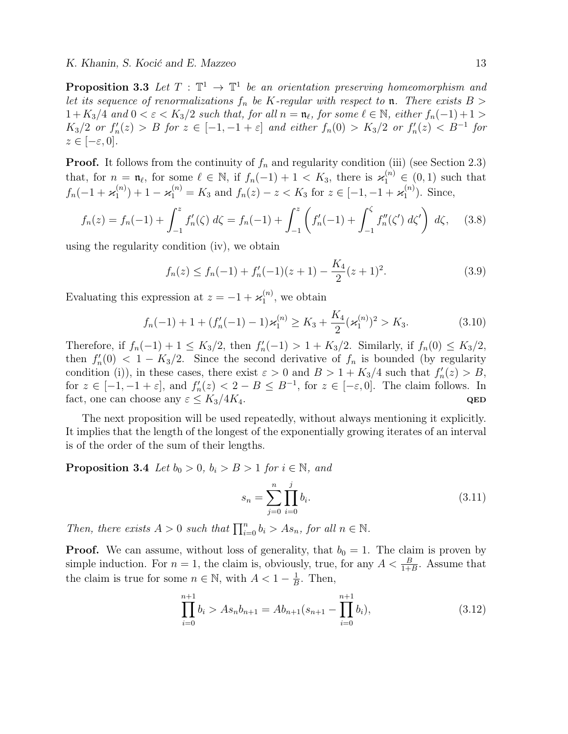**Proposition 3.3** Let  $T : \mathbb{T}^1 \to \mathbb{T}^1$  be an orientation preserving homeomorphism and let its sequence of renormalizations  $f_n$  be K-regular with respect to **n**. There exists  $B >$  $1 + K_3/4$  and  $0 < \varepsilon < K_3/2$  such that, for all  $n = \mathfrak{n}_{\ell}$ , for some  $\ell \in \mathbb{N}$ , either  $f_n(-1) + 1 >$  $K_3/2$  or  $f'_n(z) > B$  for  $z \in [-1, -1 + \varepsilon]$  and either  $f_n(0) > K_3/2$  or  $f'_n(z) < B^{-1}$  for  $z \in [-\varepsilon, 0].$ 

**Proof.** It follows from the continuity of  $f_n$  and regularity condition (iii) (see Section 2.3) that, for  $n = \mathfrak{n}_{\ell}$ , for some  $\ell \in \mathbb{N}$ , if  $f_n(-1) + 1 < K_3$ , there is  $\varkappa_1^{(n)} \in (0,1)$  such that  $f_n(-1 + \varkappa_1^{(n)}$  $f_1^{(n)}$  + 1 –  $\varkappa_1^{(n)}$  =  $K_3$  and  $f_n(z)$  –  $z$  <  $K_3$  for  $z \in [-1, -1 + \varkappa_1^{(n)}]$  $\binom{n}{1}$ . Since,

$$
f_n(z) = f_n(-1) + \int_{-1}^z f'_n(\zeta) \ d\zeta = f_n(-1) + \int_{-1}^z \left( f'_n(-1) + \int_{-1}^\zeta f''_n(\zeta') \ d\zeta' \right) \ d\zeta, \tag{3.8}
$$

using the regularity condition (iv), we obtain

$$
f_n(z) \le f_n(-1) + f'_n(-1)(z+1) - \frac{K_4}{2}(z+1)^2. \tag{3.9}
$$

Evaluating this expression at  $z = -1 + \varkappa_1^{(n)}$  $n_1^{(n)}$ , we obtain

$$
f_n(-1) + 1 + (f'_n(-1) - 1)\varkappa_1^{(n)} \ge K_3 + \frac{K_4}{2}(\varkappa_1^{(n)})^2 > K_3.
$$
 (3.10)

Therefore, if  $f_n(-1) + 1 \leq K_3/2$ , then  $f'_n(-1) > 1 + K_3/2$ . Similarly, if  $f_n(0) \leq K_3/2$ , then  $f'_n(0) < 1 - K_3/2$ . Since the second derivative of  $f_n$  is bounded (by regularity condition (i)), in these cases, there exist  $\varepsilon > 0$  and  $B > 1 + K_3/4$  such that  $f'_n(z) > B$ , for  $z \in [-1, -1 + \varepsilon]$ , and  $f'_n(z) < 2 - B \leq B^{-1}$ , for  $z \in [-\varepsilon, 0]$ . The claim follows. In fact, one can choose any  $\varepsilon \leq K_3/4K_4$ . QED

The next proposition will be used repeatedly, without always mentioning it explicitly. It implies that the length of the longest of the exponentially growing iterates of an interval is of the order of the sum of their lengths.

**Proposition 3.4** Let  $b_0 > 0$ ,  $b_i > B > 1$  for  $i \in \mathbb{N}$ , and

$$
s_n = \sum_{j=0}^n \prod_{i=0}^j b_i.
$$
 (3.11)

Then, there exists  $A > 0$  such that  $\prod_{i=0}^{n} b_i > As_n$ , for all  $n \in \mathbb{N}$ .

**Proof.** We can assume, without loss of generality, that  $b_0 = 1$ . The claim is proven by simple induction. For  $n = 1$ , the claim is, obviously, true, for any  $A < \frac{B}{1+B}$ . Assume that the claim is true for some  $n \in \mathbb{N}$ , with  $A < 1 - \frac{1}{R}$  $\frac{1}{B}$ . Then,

$$
\prod_{i=0}^{n+1} b_i > As_n b_{n+1} = Ab_{n+1}(s_{n+1} - \prod_{i=0}^{n+1} b_i),
$$
\n(3.12)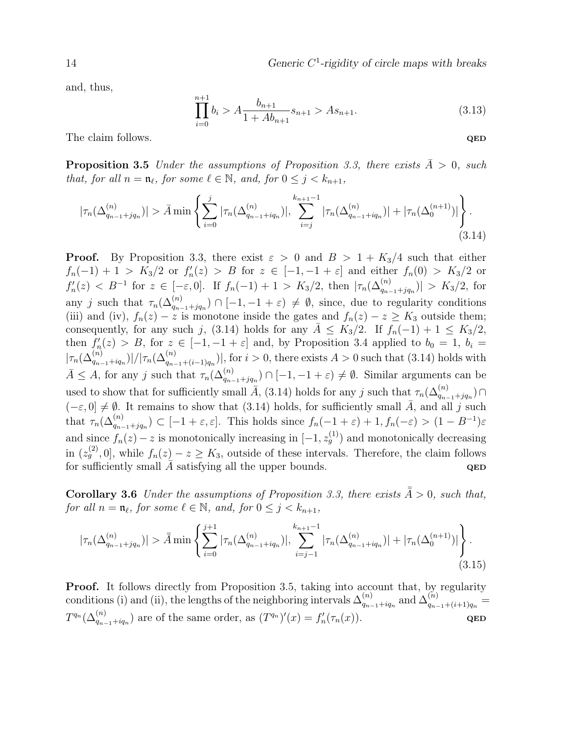14 Generic C<sup>1</sup>-rigidity of circle maps with breaks

and, thus,

$$
\prod_{i=0}^{n+1} b_i > A \frac{b_{n+1}}{1 + Ab_{n+1}} s_{n+1} > As_{n+1}.
$$
\n(3.13)

The claim follows.  $QED$ 

**Proposition 3.5** Under the assumptions of Proposition 3.3, there exists  $\bar{A} > 0$ , such that, for all  $n = \mathfrak{n}_{\ell}$ , for some  $\ell \in \mathbb{N}$ , and, for  $0 \leq j < k_{n+1}$ ,

$$
|\tau_n(\Delta_{q_{n-1}+jq_n}^{(n)})| > \bar{A} \min \left\{ \sum_{i=0}^j |\tau_n(\Delta_{q_{n-1}+iq_n}^{(n)})|, \sum_{i=j}^{k_{n+1}-1} |\tau_n(\Delta_{q_{n-1}+iq_n}^{(n)})| + |\tau_n(\Delta_0^{(n+1)})| \right\}.
$$
\n(3.14)

**Proof.** By Proposition 3.3, there exist  $\varepsilon > 0$  and  $B > 1 + K_3/4$  such that either  $f_n(-1) + 1 > K_3/2$  or  $f'_n(z) > B$  for  $z \in [-1, -1 + \varepsilon]$  and either  $f_n(0) > K_3/2$  or  $f'_n(z) < B^{-1}$  for  $z \in [-\varepsilon, 0]$ . If  $f_n(-1) + 1 > K_3/2$ , then  $|\tau_n(\Delta_{q_{n-1}+jq_n}^{(n)})| > K_3/2$ , for any j such that  $\tau_n(\Delta_{q_{n-1}+jq_n}^{(n)}) \cap [-1, -1+\varepsilon) \neq \emptyset$ , since, due to regularity conditions (iii) and (iv),  $f_n(z) - z$  is monotone inside the gates and  $f_n(z) - z \geq K_3$  outside them; consequently, for any such j, (3.14) holds for any  $\overline{A} \leq K_3/2$ . If  $f_n(-1) + 1 \leq K_3/2$ , then  $f'_n(z) > B$ , for  $z \in [-1, -1 + \varepsilon]$  and, by Proposition 3.4 applied to  $b_0 = 1$ ,  $b_i =$  $|\tau_n(\Delta_{q_{n-1}+iq_n}^{(n)})|/|\tau_n(\Delta_{q_{n-1}+(i-1)q_n}^{(n)})|$ , for  $i>0$ , there exists  $A>0$  such that (3.14) holds with  $\bar{A} \leq A$ , for any j such that  $\tau_n(\Delta_{q_{n-1}+jq_n}^{(n)}) \cap [-1, -1+\varepsilon) \neq \emptyset$ . Similar arguments can be used to show that for sufficiently small  $\bar{A}$ , (3.14) holds for any j such that  $\tau_n(\Delta_{q_{n-1}+jq_n}^{(n)}) \cap$  $(-\varepsilon, 0] \neq \emptyset$ . It remains to show that (3.14) holds, for sufficiently small  $\overline{A}$ , and all j such that  $\tau_n(\Delta_{q_{n-1}+jq_n}^{(n)}) \subset [-1+\varepsilon,\varepsilon]$ . This holds since  $f_n(-1+\varepsilon)+1, f_n(-\varepsilon) > (1-B^{-1})\varepsilon$ and since  $f_n(z) - z$  is monotonically increasing in  $[-1, z_g^{(1)}]$  and monotonically decreasing in  $(z_g^{(2)}, 0]$ , while  $f_n(z) - z \geq K_3$ , outside of these intervals. Therefore, the claim follows for sufficiently small  $\overline{A}$  satisfying all the upper bounds. QED

**Corollary 3.6** Under the assumptions of Proposition 3.3, there exists  $\bar{\bar{A}} > 0$ , such that, for all  $n = \mathfrak{n}_{\ell}$ , for some  $\ell \in \mathbb{N}$ , and, for  $0 \leq j < k_{n+1}$ ,

$$
|\tau_n(\Delta_{q_{n-1}+jq_n}^{(n)})| > \bar{A} \min \left\{ \sum_{i=0}^{j+1} |\tau_n(\Delta_{q_{n-1}+iq_n}^{(n)})|, \sum_{i=j-1}^{k_{n+1}-1} |\tau_n(\Delta_{q_{n-1}+iq_n}^{(n)})| + |\tau_n(\Delta_0^{(n+1)})| \right\}.
$$
\n(3.15)

**Proof.** It follows directly from Proposition 3.5, taking into account that, by regularity conditions (i) and (ii), the lengths of the neighboring intervals  $\Delta_{a_n}^{(n)}$  $_{q_{n-1}+iq_{n}}^{(n)}\text{ and }\Delta _{q_{n-1}}^{(n)}$  $\frac{(n)}{q_{n-1}+(i+1)q_n} =$  $T^{q_n}(\Delta_{q_{n-1}+iq_n}^{(n)})$  are of the same order, as  $(T^{q_n})'(x) = f'_n(\tau_n(x)).$  QED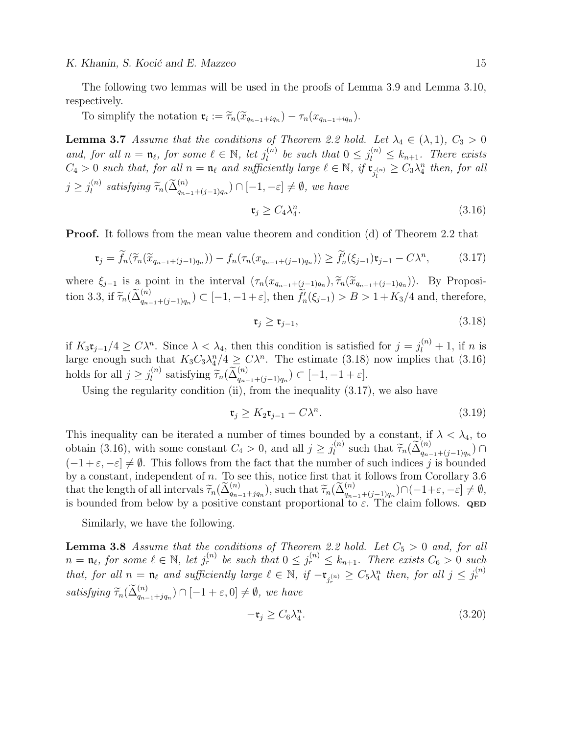K. Khanin, S. Kocić and E. Mazzeo 15

The following two lemmas will be used in the proofs of Lemma 3.9 and Lemma 3.10, respectively.

To simplify the notation  $\mathfrak{r}_i := \widetilde{\tau}_n(\widetilde{x}_{q_{n-1}+iq_n}) - \tau_n(x_{q_{n-1}+iq_n}).$ 

**Lemma 3.7** Assume that the conditions of Theorem 2.2 hold. Let  $\lambda_4 \in (\lambda, 1), C_3 > 0$ and, for all  $n = \mathfrak{n}_{\ell}$ , for some  $\ell \in \mathbb{N}$ , let  $j_{l}^{(n)}$  $\ell_l^{(n)}$  be such that  $0 \leq j_l^{(n)} \leq k_{n+1}$ . There exists  $C_4 > 0$  such that, for all  $n = \mathfrak{n}_{\ell}$  and sufficiently large  $\ell \in \mathbb{N}$ , if  $\mathfrak{r}_{j_l^{(n)}} \geq C_3 \lambda_4^n$  then, for all  $j \geq j_l^{(n)}$  $\ell_l^{(n)}$  satisfying  $\widetilde{\tau}_n(\widetilde{\Delta}_{q_{n-1}+(j-1)q_n}^{(n)}) \cap [-1, -\varepsilon] \neq \emptyset$ , we have

$$
\mathfrak{r}_j \ge C_4 \lambda_4^n. \tag{3.16}
$$

Proof. It follows from the mean value theorem and condition (d) of Theorem 2.2 that

$$
\mathfrak{r}_j = \widetilde{f}_n(\widetilde{\tau}_n(\widetilde{x}_{q_{n-1}+(j-1)q_n})) - f_n(\tau_n(x_{q_{n-1}+(j-1)q_n})) \ge \widetilde{f}'_n(\xi_{j-1})\mathfrak{r}_{j-1} - C\lambda^n, \tag{3.17}
$$

where  $\xi_{j-1}$  is a point in the interval  $(\tau_n(x_{q_{n-1}+(j-1)q_n}), \tilde{\tau}_n(\tilde{x}_{q_{n-1}+(j-1)q_n}))$ . By Proposi-<br> $\tilde{\tau}_j(\tilde{x}_{q_{n-1}+(j-1)q_n})$ . tion 3.3, if  $\widetilde{\tau}_n(\widetilde{\Delta}_{q_{n-1}+(j-1)q_n}^{(n)}) \subset [-1, -1+\varepsilon]$ , then  $\widetilde{f}'_n(\xi_{j-1}) > B > 1 + K_3/4$  and, therefore,

$$
\mathfrak{r}_j \ge \mathfrak{r}_{j-1},\tag{3.18}
$$

if  $K_3\mathfrak{r}_{j-1}/4 \geq C\lambda^n$ . Since  $\lambda < \lambda_4$ , then this condition is satisfied for  $j = j_l^{(n)} + 1$ , if n is large enough such that  $K_3C_3\lambda_4^n/4 \geq C\lambda^n$ . The estimate (3.18) now implies that (3.16) holds for all  $j \geq j_l^{(n)}$  $\widetilde{I}_l^{(n)}$  satisfying  $\widetilde{\tau}_n(\widetilde{\Delta}_{q_{n-1}+(j-1)q_n}^{(n)}) \subset [-1, -1+\varepsilon].$ 

Using the regularity condition (ii), from the inequality  $(3.17)$ , we also have

$$
\mathfrak{r}_j \ge K_2 \mathfrak{r}_{j-1} - C\lambda^n. \tag{3.19}
$$

This inequality can be iterated a number of times bounded by a constant, if  $\lambda < \lambda_4$ , to obtain (3.16), with some constant  $C_4 > 0$ , and all  $j \geq j_l^{(n)}$  $\widetilde{I}_l^{(n)}$  such that  $\widetilde{\tau}_n(\widetilde{\Delta}_{q_{n-1}+(j-1)q_n}^{(n)}) \cap$  $(-1+\varepsilon, -\varepsilon] \neq \emptyset$ . This follows from the fact that the number of such indices j is bounded by a constant, independent of n. To see this, notice first that it follows from Corollary 3.6 that the length of all intervals  $\widetilde{\tau}_n(\widetilde{\Delta}_{q_{n-1}+jq_n}^{(n)})$ , such that  $\widetilde{\tau}_n(\widetilde{\Delta}_{q_{n-1}+(j-1)q_n}^{(n)})\cap(-1+\varepsilon,-\varepsilon]\neq\emptyset$ , is bounded from below by a positive constant proportional to  $\varepsilon$ . The claim follows. **QED** 

Similarly, we have the following.

**Lemma 3.8** Assume that the conditions of Theorem 2.2 hold. Let  $C_5 > 0$  and, for all  $n = \mathfrak{n}_{\ell}$ , for some  $\ell \in \mathbb{N}$ , let  $j_r^{(n)}$  be such that  $0 \leq j_r^{(n)} \leq k_{n+1}$ . There exists  $C_6 > 0$  such that, for all  $n = \mathfrak{n}_{\ell}$  and sufficiently large  $\ell \in \mathbb{N}$ , if  $-\mathfrak{r}_{j_r^{(n)}} \geq C_5 \lambda_4^n$  then, for all  $j \leq j_r^{(n)}$ satisfying  $\widetilde{\tau}_n(\widetilde{\Delta}_{q_{n-1}+jq_n}^{(n)}) \cap [-1+\varepsilon,0] \neq \emptyset$ , we have

$$
-\mathfrak{r}_j \ge C_6 \lambda_4^n. \tag{3.20}
$$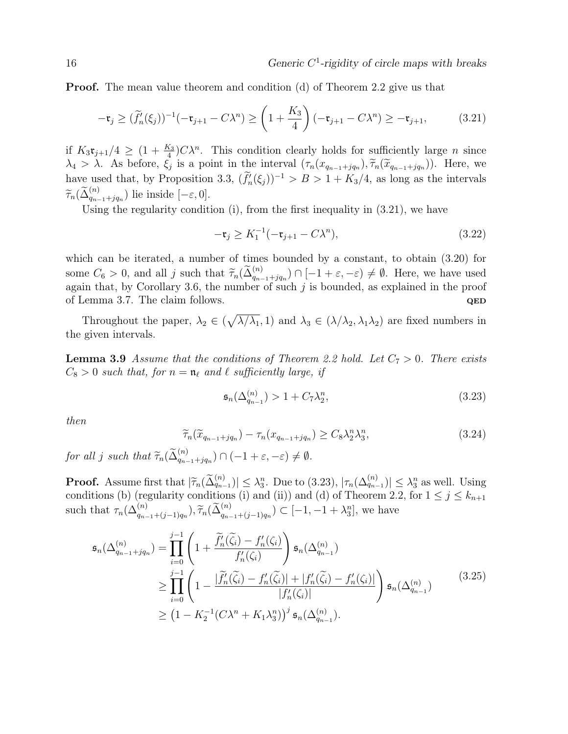**Proof.** The mean value theorem and condition (d) of Theorem 2.2 give us that

$$
-\mathfrak{r}_{j} \geq (\widetilde{f}_{n}'(\xi_{j}))^{-1}(-\mathfrak{r}_{j+1} - C\lambda^{n}) \geq \left(1 + \frac{K_{3}}{4}\right)(-\mathfrak{r}_{j+1} - C\lambda^{n}) \geq -\mathfrak{r}_{j+1},
$$
 (3.21)

if  $K_3\mathfrak{r}_{j+1}/4 \geq (1+\frac{K_3}{4})C\lambda^n$ . This condition clearly holds for sufficiently large *n* since  $\lambda_4 > \lambda$ . As before,  $\xi_j$  is a point in the interval  $(\tau_n(x_{q_{n-1}+jq_n}), \tilde{\tau}_n(\tilde{x}_{q_{n-1}+jq_n}))$ . Here, we have used that, by Proposition 3.3,  $(\tilde{f}'_n(\xi_j))^{-1} > B > 1 + K_3/4$ , as long as the intervals  $\widetilde{\tau}_n(\widetilde{\Delta}_{q_{n-1}+jq_n}^{(n)})$  lie inside  $[-\varepsilon, 0].$ 

Using the regularity condition (i), from the first inequality in (3.21), we have

$$
-\mathfrak{r}_{j} \geq K_{1}^{-1}(-\mathfrak{r}_{j+1} - C\lambda^{n}), \tag{3.22}
$$

which can be iterated, a number of times bounded by a constant, to obtain (3.20) for some  $C_6 > 0$ , and all j such that  $\widetilde{\tau}_n(\widetilde{\Delta}_{q_{n-1}+jq_n}^{(n)}) \cap [-1+\varepsilon,-\varepsilon) \neq \emptyset$ . Here, we have used again that, by Corollary 3.6, the number of such  $j$  is bounded, as explained in the proof of Lemma 3.7. The claim follows.  $QED$ 

Throughout the paper,  $\lambda_2 \in (\sqrt{\lambda/\lambda_1}, 1)$  and  $\lambda_3 \in (\lambda/\lambda_2, \lambda_1\lambda_2)$  are fixed numbers in the given intervals.

**Lemma 3.9** Assume that the conditions of Theorem 2.2 hold. Let  $C_7 > 0$ . There exists  $C_8 > 0$  such that, for  $n = \mathfrak{n}_\ell$  and  $\ell$  sufficiently large, if

$$
\mathfrak{s}_n(\Delta_{q_{n-1}}^{(n)}) > 1 + C_7 \lambda_2^n,\tag{3.23}
$$

then

$$
\widetilde{\tau}_n(\widetilde{x}_{q_{n-1}+jq_n}) - \tau_n(x_{q_{n-1}+jq_n}) \ge C_8 \lambda_2^n \lambda_3^n,
$$
\n(3.24)

for all j such that  $\widetilde{\tau}_n(\widetilde{\Delta}_{q_{n-1}+jq_n}^{(n)}) \cap (-1+\varepsilon,-\varepsilon) \neq \emptyset$ .

**Proof.** Assume first that  $|\widetilde{\tau}_n(\widetilde{\Delta}_{q_{n-1}}^{(n)})| \leq \lambda_3^n$ . Due to (3.23),  $|\tau_n(\Delta_{q_{n-1}}^{(n)})| \leq \lambda_3^n$  as well. Using conditions (b) (requiring conditions (i) and (i)) and (d) of Theorem 2.2, for  $1 \leq i \leq k$ conditions (b) (regularity conditions (i) and (ii)) and (d) of Theorem 2.2, for  $1 \le j \le k_{n+1}$ such that  $\tau_n(\Delta_{q_{n-1}+(j-1)q_n}^{(n)}), \tilde{\tau}_n(\tilde{\Delta}_{q_{n-1}+(j-1)q_n}^{(n)}) \subset [-1, -1 + \lambda_3^n]$ , we have

$$
\mathfrak{s}_{n}(\Delta_{q_{n-1}+jq_n}^{(n)}) = \prod_{i=0}^{j-1} \left( 1 + \frac{\widetilde{f}'_{n}(\widetilde{\zeta}_{i}) - f'_{n}(\zeta_{i})}{f'_{n}(\zeta_{i})} \right) \mathfrak{s}_{n}(\Delta_{q_{n-1}}^{(n)}) \n\geq \prod_{i=0}^{j-1} \left( 1 - \frac{|\widetilde{f}'_{n}(\widetilde{\zeta}_{i}) - f'_{n}(\widetilde{\zeta}_{i})| + |f'_{n}(\widetilde{\zeta}_{i}) - f'_{n}(\zeta_{i})|}{|f'_{n}(\zeta_{i})|} \right) \mathfrak{s}_{n}(\Delta_{q_{n-1}}^{(n)}) \n\geq (1 - K_{2}^{-1}(C\lambda^{n} + K_{1}\lambda_{3}^{n}))^{j} \mathfrak{s}_{n}(\Delta_{q_{n-1}}^{(n)}).
$$
\n(3.25)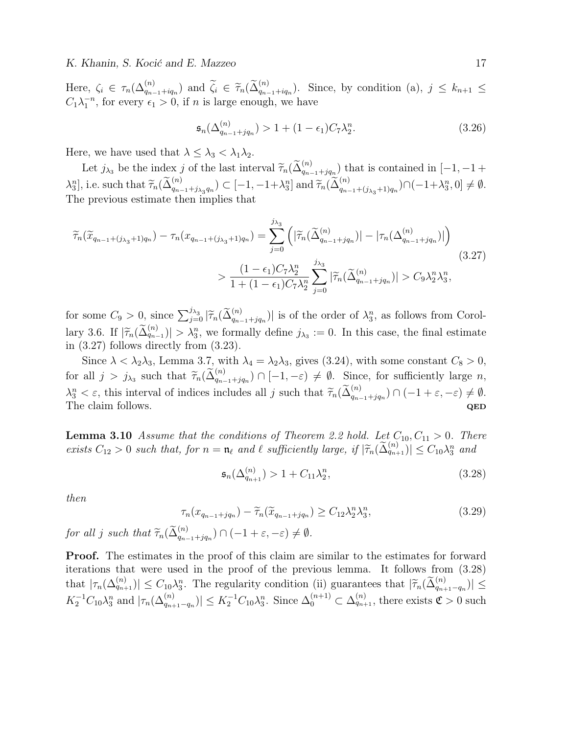Here,  $\zeta_i \in \tau_n(\Delta_{q_{n-1}+iq_n}^{(n)})$  and  $\widetilde{\zeta}_i \in \widetilde{\tau}_n(\widetilde{\Delta}_{q_{n-1}+iq_n}^{(n)})$ . Since, by condition (a),  $j \leq k_{n+1} \leq C$  $C_1 \lambda_1^{-n}$ , for every  $\epsilon_1 > 0$ , if n is large enough, we have

$$
\mathfrak{s}_n(\Delta_{q_{n-1}+jq_n}^{(n)}) > 1 + (1 - \epsilon_1)C_7\lambda_2^n.
$$
\n(3.26)

Here, we have used that  $\lambda \leq \lambda_3 < \lambda_1 \lambda_2$ .

Let  $j_{\lambda_3}$  be the index j of the last interval  $\widetilde{\tau}_n(\widetilde{\Delta}_{q_{n-1}+jq_n}^{(n)})$  that is contained in  $[-1, -1 +$  $\lambda_3^n$ , i.e. such that  $\widetilde{\tau}_n(\widetilde{\Delta}_{q_{n-1}+j_{\lambda_3}q_n}^{(n)}) \subset [-1, -1+\lambda_3^n]$  and  $\widetilde{\tau}_n(\widetilde{\Delta}_{q_{n-1}+({j_{\lambda_3}+1})q_n}^{(n)}) \cap (-1+\lambda_3^n, 0] \neq \emptyset$ . The previous estimate then implies that

$$
\widetilde{\tau}_{n}(\widetilde{x}_{q_{n-1}+(j_{\lambda_3}+1)q_n}) - \tau_{n}(x_{q_{n-1}+(j_{\lambda_3}+1)q_n}) = \sum_{j=0}^{j_{\lambda_3}} \left( |\widetilde{\tau}_{n}(\widetilde{\Delta}_{q_{n-1}+jq_n}^{(n)})| - |\tau_{n}(\Delta_{q_{n-1}+jq_n}^{(n)})| \right)
$$
\n
$$
> \frac{(1-\epsilon_1)C_7\lambda_2^n}{1+(1-\epsilon_1)C_7\lambda_2^n} \sum_{j=0}^{j_{\lambda_3}} |\widetilde{\tau}_{n}(\widetilde{\Delta}_{q_{n-1}+jq_n}^{(n)})| > C_9\lambda_2^n\lambda_3^n,
$$
\n
$$
(3.27)
$$

for some  $C_9 > 0$ , since  $\sum_{j=0}^{j_{\lambda_3}} |\widetilde{\tau}_n(\widetilde{\Delta}_{q_{n-1}+jq_n}^{(n)})|$  is of the order of  $\lambda_3^n$ , as follows from Corollary 3.6. If  $|\tilde{\tau}_n(\tilde{\Delta}_{q_{n-1}}^{(n)})| > \lambda_3^n$ , we formally define  $j_{\lambda_3} := 0$ . In this case, the final estimate in (3.27) follows directly from (3.23).

Since  $\lambda < \lambda_2 \lambda_3$ , Lemma 3.7, with  $\lambda_4 = \lambda_2 \lambda_3$ , gives (3.24), with some constant  $C_8 > 0$ , for all  $j > j_{\lambda_3}$  such that  $\widetilde{\tau}_n(\widetilde{\Delta}_{q_{n-1}+jq_n}^{(n)}) \cap [-1, -\varepsilon) \neq \emptyset$ . Since, for sufficiently large n,  $\lambda_3^n < \varepsilon$ , this interval of indices includes all j such that  $\widetilde{\tau}_n(\widetilde{\Delta}_{q_{n-1}+jq_n}^{(n)}) \cap (-1 + \varepsilon, -\varepsilon) \neq \emptyset$ .<br>The claim follows The claim follows.  $QED$ 

**Lemma 3.10** Assume that the conditions of Theorem 2.2 hold. Let  $C_{10}$ ,  $C_{11} > 0$ . There exists  $C_{12} > 0$  such that, for  $n = \mathfrak{n}_{\ell}$  and  $\ell$  sufficiently large, if  $|\tilde{\tau}_n(\tilde{\Delta}_{q_{n+1}}^{(n)})| \leq C_{10}\lambda_3^n$  and

$$
\mathfrak{s}_n(\Delta_{q_{n+1}}^{(n)}) > 1 + C_{11}\lambda_2^n,\tag{3.28}
$$

then

$$
\tau_n(x_{q_{n-1}+jq_n}) - \widetilde{\tau}_n(\widetilde{x}_{q_{n-1}+jq_n}) \ge C_{12} \lambda_2^n \lambda_3^n,
$$
\n(3.29)

for all j such that  $\widetilde{\tau}_n(\widetilde{\Delta}_{q_{n-1}+jq_n}^{(n)}) \cap (-1+\varepsilon,-\varepsilon) \neq \emptyset$ .

Proof. The estimates in the proof of this claim are similar to the estimates for forward iterations that were used in the proof of the previous lemma. It follows from (3.28) that  $|\tau_n(\Delta_{q_{n+1}}^{(n)})| \leq C_{10}\lambda_3^n$ . The regularity condition (ii) guarantees that  $|\widetilde{\tau}_n(\widetilde{\Delta}_{q_{n+1}-q_n}^{(n)})| \leq$  $K_2^{-1}C_{10}\lambda_3^n$  and  $|\tau_n(\Delta_{q_{n+1}-q_n}^{(n)})| \leq K_2^{-1}C_{10}\lambda_3^n$ . Since  $\Delta_0^{(n+1)} \subset \Delta_{q_{n+1}}^{(n)}$ , there exists  $\mathfrak{C} > 0$  such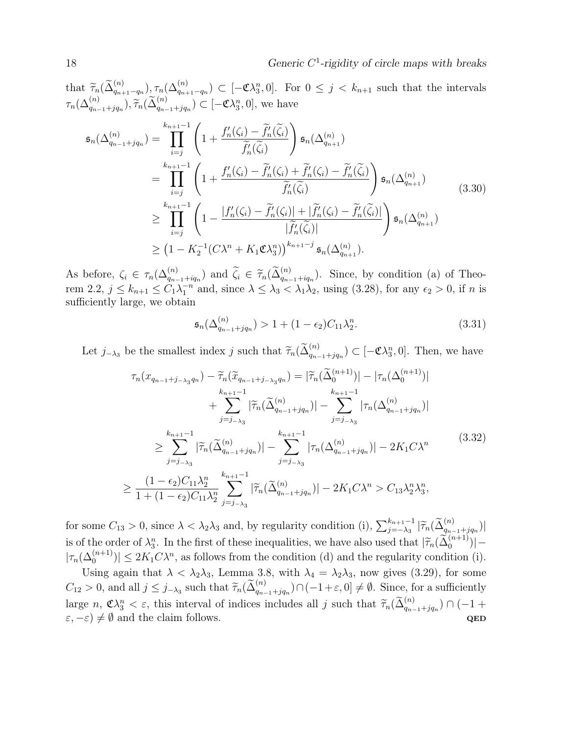that  $\tilde{\tau}_n(\tilde{\Delta}_{q_{n+1}-q_n}^{(n)}, \tau_n(\Delta_{q_{n+1}-q_n}^{(n)}) \subset [-\mathfrak{C}\lambda_3^n, 0]$ . For  $0 \leq j \leq k_{n+1}$  such that the intervals  $\tau_n(\Delta_{q_{n-1}+jq_n}^{(n)}), \widetilde{\tau}_n(\widetilde{\Delta}_{q_{n-1}+jq_n}^{(n)}) \subset [-\mathfrak{C}\lambda_3^n, 0],$  we have

$$
\mathfrak{s}_{n}(\Delta_{q_{n-1}+jq_{n}}^{(n)}) = \prod_{i=j}^{k_{n+1}-1} \left(1 + \frac{f'_{n}(\zeta_{i}) - \widetilde{f}'_{n}(\widetilde{\zeta}_{i})}{\widetilde{f}'_{n}(\widetilde{\zeta}_{i})}\right) \mathfrak{s}_{n}(\Delta_{q_{n+1}}^{(n)})
$$
\n
$$
= \prod_{i=j}^{k_{n+1}-1} \left(1 + \frac{f'_{n}(\zeta_{i}) - \widetilde{f}'_{n}(\zeta_{i}) + \widetilde{f}'_{n}(\zeta_{i}) - \widetilde{f}'_{n}(\widetilde{\zeta}_{i})}{\widetilde{f}'_{n}(\widetilde{\zeta}_{i})}\right) \mathfrak{s}_{n}(\Delta_{q_{n+1}}^{(n)})
$$
\n
$$
\geq \prod_{i=j}^{k_{n+1}-1} \left(1 - \frac{|f'_{n}(\zeta_{i}) - \widetilde{f}'_{n}(\zeta_{i})| + |\widetilde{f}'_{n}(\zeta_{i}) - \widetilde{f}'_{n}(\widetilde{\zeta}_{i})|}{|\widetilde{f}'_{n}(\widetilde{\zeta}_{i})|}\right) \mathfrak{s}_{n}(\Delta_{q_{n+1}}^{(n)})
$$
\n
$$
\geq (1 - K_{2}^{-1}(C\lambda^{n} + K_{1}\mathfrak{C}\lambda_{3}^{n}))^{k_{n+1}-j} \mathfrak{s}_{n}(\Delta_{q_{n+1}}^{(n)}).
$$
\n(3.30)

As before,  $\zeta_i \in \tau_n(\Delta_{q_{n-1}+iq_n}^{(n)})$  and  $\widetilde{\zeta}_i \in \widetilde{\tau}_n(\widetilde{\Delta}_{q_{n-1}+iq_n}^{(n)})$ . Since, by condition (a) of Theo-<br>range  $2, 2, i \leq k$  and  $\zeta(\widetilde{\Delta}_{q_{n-1}+iq_n}^{(n)})$  and  $\zeta(\widetilde{\Delta}_{q_{n-1}+iq_n}^{(n)})$  and  $\zeta(\widetilde{\Delta}_{q_{n$ rem 2.2,  $j \leq k_{n+1} \leq C_1 \lambda_1^{-n}$  and, since  $\lambda \leq \lambda_3 < \lambda_1 \lambda_2$ , using (3.28), for any  $\epsilon_2 > 0$ , if n is sufficiently large, we obtain

$$
\mathfrak{s}_n(\Delta_{q_{n-1}+jq_n}^{(n)}) > 1 + (1 - \epsilon_2)C_{11}\lambda_2^n.
$$
\n(3.31)

Let  $j_{-\lambda_3}$  be the smallest index j such that  $\widetilde{\tau}_n(\widetilde{\Delta}_{q_{n-1}+jq_n}^{(n)}) \subset [-\mathfrak{C}\lambda_3^n, 0]$ . Then, we have

$$
\tau_n(x_{q_{n-1}+j_{-\lambda_3}q_n}) - \tilde{\tau}_n(\tilde{x}_{q_{n-1}+j_{-\lambda_3}q_n}) = |\tilde{\tau}_n(\tilde{\Delta}_{0}^{(n+1)})| - |\tau_n(\Delta_{0}^{(n+1)})| \n+ \sum_{j=j_{-\lambda_3}}^{k_{n+1}-1} |\tilde{\tau}_n(\tilde{\Delta}_{q_{n-1}+jq_n}^{(n)})| - \sum_{j=j_{-\lambda_3}}^{k_{n+1}-1} |\tau_n(\Delta_{q_{n-1}+jq_n}^{(n)})| \n\geq \sum_{j=j_{-\lambda_3}}^{k_{n+1}-1} |\tilde{\tau}_n(\tilde{\Delta}_{q_{n-1}+jq_n}^{(n)})| - \sum_{j=j_{-\lambda_3}}^{k_{n+1}-1} |\tau_n(\Delta_{q_{n-1}+jq_n}^{(n)})| - 2K_1C\lambda^n
$$
\n
$$
\geq \frac{(1-\epsilon_2)C_{11}\lambda_2^n}{1+(1-\epsilon_2)C_{11}\lambda_2^n} \sum_{j=j_{-\lambda_3}}^{k_{n+1}-1} |\tilde{\tau}_n(\tilde{\Delta}_{q_{n-1}+jq_n}^{(n)})| - 2K_1C\lambda^n > C_{13}\lambda_2^n\lambda_3^n,
$$
\n(3.32)

for some  $C_{13} > 0$ , since  $\lambda < \lambda_2 \lambda_3$  and, by regularity condition (i),  $\sum_{j=-\lambda_3}^{k_{n+1}-1} |\tilde{\tau}_n(\tilde{\Delta}_{q_{n-1}+jq_n}^{(n)})|$ is of the order of  $\lambda_3^n$ . In the first of these inequalities, we have also used that  $|\tilde{\tau}_n(\tilde{\Delta}_0^{(n+1)})|$  $|\tau_n(\Delta_0^{(n+1)})| \leq 2K_1C\lambda^n$ , as follows from the condition (d) and the regularity condition (i).

Using again that  $\lambda < \lambda_2 \lambda_3$ , Lemma 3.8, with  $\lambda_4 = \lambda_2 \lambda_3$ , now gives (3.29), for some  $C_{12} > 0$ , and all  $j \leq j_{-\lambda_3}$  such that  $\widetilde{\tau}_n(\widetilde{\Delta}_{q_{n-1}+jq_n}^{(n)}) \cap (-1+\varepsilon,0] \neq \emptyset$ . Since, for a sufficiently large  $n, \mathfrak{C}\lambda_3^n < \varepsilon$ , this interval of indices includes all j such that  $\widetilde{\tau}_n(\widetilde{\Delta}_{q_{n-1}+jq_n}^{(n)}) \cap (-1 + \varepsilon) \neq \emptyset$  and the claim follows  $(\varepsilon, -\varepsilon) \neq \emptyset$  and the claim follows. QED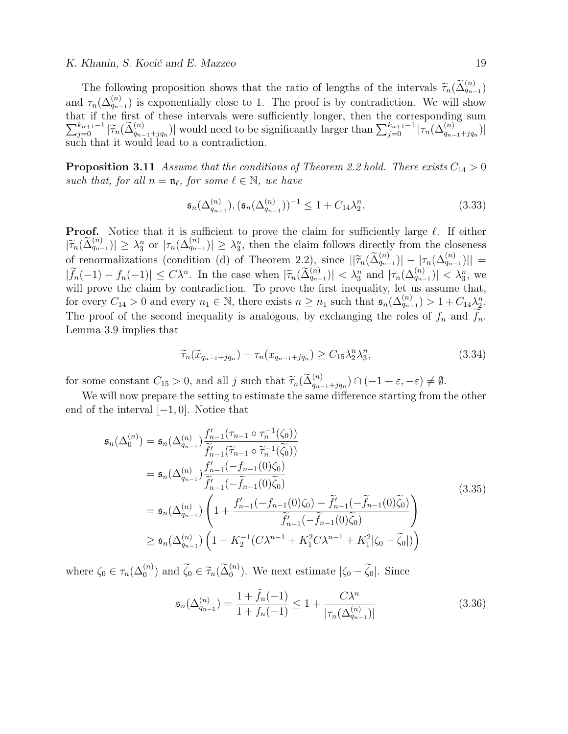#### K. Khanin, S. Kocić and E. Mazzeo 19

The following proposition shows that the ratio of lengths of the intervals  $\widetilde{\tau}_n(\widetilde{\Delta}_{q_{n-1}}^{(n)})$ and  $\tau_n(\Delta_{q_{n-1}}^{(n)})$  is exponentially close to 1. The proof is by contradiction. We will show that if the first of these intervals were sufficiently longer, then the corresponding sum  $\sum_{j=0}^{k_{n+1}-1} |\tilde{\tau}_n(\tilde{\Delta}_{q_{n-1}+jq_n}^{(n)})|$  would need to be significantly larger than  $\sum_{j=0}^{k_{n+1}-1} |\tilde{\tau}_n(\Delta_{q_{n-1}+jq_n}^{(n)})|$ such that it would lead to a contradiction.

**Proposition 3.11** Assume that the conditions of Theorem 2.2 hold. There exists  $C_{14} > 0$ such that, for all  $n = \mathfrak{n}_{\ell}$ , for some  $\ell \in \mathbb{N}$ , we have

$$
\mathfrak{s}_n(\Delta_{q_{n-1}}^{(n)}), (\mathfrak{s}_n(\Delta_{q_{n-1}}^{(n)}))^{-1} \le 1 + C_{14} \lambda_2^n.
$$
\n(3.33)

**Proof.** Notice that it is sufficient to prove the claim for sufficiently large  $\ell$ . If either  $|\widetilde{\tau}_n(\widetilde{\Delta}_{q_{n-1}}^{(n)})| \geq \lambda_3^n$  or  $|\tau_n(\Delta_{q_{n-1}}^{(n)})| \geq \lambda_3^n$ , then the claim follows directly from the closeness of renormalizations (condition (d) of Theorem 2.2), since  $||\widetilde{\tau}_n(\widetilde{\Delta}_{q_{n-1}}^{(n)}) - |\tau_n(\Delta_{q_{n-1}}^{(n)})|| =$  $|\widetilde{f}_n(-1) - f_n(-1)| \leq C \lambda^n$ . In the case when  $|\widetilde{\tau}_n(\widetilde{\Delta}_{q_{n-1}}^{(n)})| < \lambda_3^n$  and  $|\tau_n(\Delta_{q_{n-1}}^{(n)})| < \lambda_3^n$ , we will prove the claim by controllection. To prove the first inequality let us assume that will prove the claim by contradiction. To prove the first inequality, let us assume that, for every  $C_{14} > 0$  and every  $n_1 \in \mathbb{N}$ , there exists  $n \geq n_1$  such that  $\mathfrak{s}_n(\Delta_{q_{n-1}}^{(n)}) > 1 + C_{14} \lambda_2^n$ . The proof of the second inequality is analogous, by exchanging the roles of  $f_n$  and  $f_n$ . Lemma 3.9 implies that

$$
\widetilde{\tau}_n(\widetilde{x}_{q_{n-1}+jq_n}) - \tau_n(x_{q_{n-1}+jq_n}) \ge C_{15} \lambda_2^n \lambda_3^n,
$$
\n(3.34)

for some constant  $C_{15} > 0$ , and all j such that  $\widetilde{\tau}_n(\widetilde{\Delta}_{q_{n-1}+jq_n}^{(n)}) \cap (-1+\varepsilon,-\varepsilon) \neq \emptyset$ .

We will now prepare the setting to estimate the same difference starting from the other end of the interval  $[-1, 0]$ . Notice that

$$
\mathfrak{s}_{n}(\Delta_{0}^{(n)}) = \mathfrak{s}_{n}(\Delta_{q_{n-1}}^{(n)}) \frac{f'_{n-1}(\tau_{n-1} \circ \tau_{n}^{-1}(\zeta_{0}))}{\widetilde{f}'_{n-1}(\widetilde{\tau}_{n-1} \circ \widetilde{\tau}_{n}^{-1}(\widetilde{\zeta}_{0}))}
$$
\n
$$
= \mathfrak{s}_{n}(\Delta_{q_{n-1}}^{(n)}) \frac{f'_{n-1}(-f_{n-1}(0)\zeta_{0})}{\widetilde{f}'_{n-1}(-\widetilde{f}_{n-1}(0)\widetilde{\zeta}_{0})}
$$
\n
$$
= \mathfrak{s}_{n}(\Delta_{q_{n-1}}^{(n)}) \left(1 + \frac{f'_{n-1}(-f_{n-1}(0)\zeta_{0}) - \widetilde{f}'_{n-1}(-\widetilde{f}_{n-1}(0)\widetilde{\zeta}_{0})}{\widetilde{f}'_{n-1}(-\widetilde{f}_{n-1}(0)\widetilde{\zeta}_{0})}\right)
$$
\n
$$
\geq \mathfrak{s}_{n}(\Delta_{q_{n-1}}^{(n)}) \left(1 - K_{2}^{-1}(C\lambda^{n-1} + K_{1}^{2}C\lambda^{n-1} + K_{1}^{2}|\zeta_{0} - \widetilde{\zeta}_{0}|)\right)
$$
\n(3.35)

where  $\zeta_0 \in \tau_n(\Delta_0^{(n)})$  and  $\tilde{\zeta}_0 \in \tilde{\tau}_n(\tilde{\Delta}_0^{(n)})$ . We next estimate  $|\zeta_0 - \tilde{\zeta}_0|$ . Since

$$
\mathfrak{s}_n(\Delta_{q_{n-1}}^{(n)}) = \frac{1 + \tilde{f}_n(-1)}{1 + f_n(-1)} \le 1 + \frac{C\lambda^n}{|\tau_n(\Delta_{q_{n-1}}^{(n)})|}
$$
(3.36)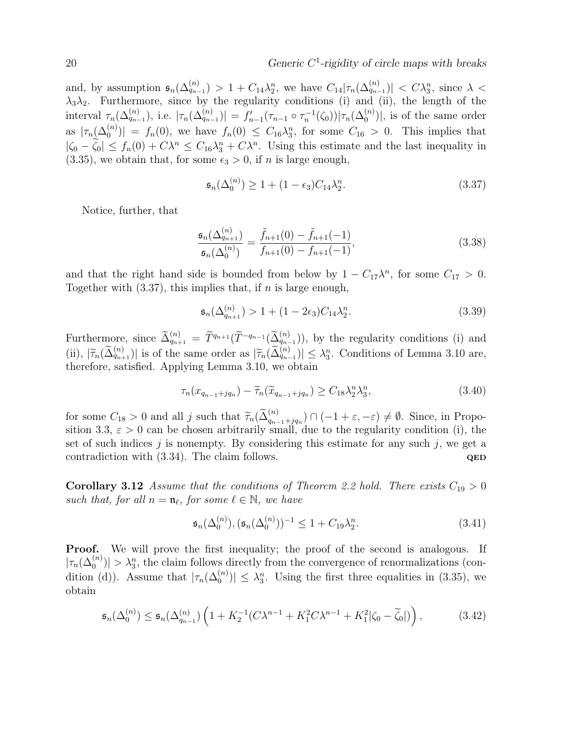and, by assumption  $\mathfrak{s}_n(\Delta_{q_{n-1}}^{(n)}) > 1 + C_{14} \lambda_2^n$ , we have  $C_{14} |\tau_n(\Delta_{q_{n-1}}^{(n)})| < C \lambda_3^n$ , since  $\lambda$  <  $\lambda_3\lambda_2$ . Furthermore, since by the regularity conditions (i) and (ii), the length of the interval  $\tau_n(\Delta_{q_{n-1}}^{(n)}),$  i.e.  $|\tau_n(\Delta_{q_{n-1}}^{(n)})| = f'_{n-1}(\tau_{n-1} \circ \tau_n^{-1}(\zeta_0))|\tau_n(\Delta_0^{(n)})|$ , is of the same order as  $|\tau_n(\Delta_0^{(n)})| = f_n(0)$ , we have  $f_n(0) \leq C_{16} \lambda_3^n$ , for some  $C_{16} > 0$ . This implies that  $|\zeta_0 - \zeta_0| \le f_n(0) + C\lambda^n \le C_{16}\lambda_3^n + C\lambda^n$ . Using this estimate and the last inequality in  $(3.35)$ , we obtain that, for some  $\epsilon_3 > 0$ , if *n* is large enough,

$$
\mathfrak{s}_n(\Delta_0^{(n)}) \ge 1 + (1 - \epsilon_3)C_{14}\lambda_2^n. \tag{3.37}
$$

Notice, further, that

$$
\frac{\mathfrak{s}_n(\Delta_{q_{n+1}}^{(n)})}{\mathfrak{s}_n(\Delta_0^{(n)})} = \frac{\tilde{f}_{n+1}(0) - \tilde{f}_{n+1}(-1)}{f_{n+1}(0) - f_{n+1}(-1)},
$$
\n(3.38)

and that the right hand side is bounded from below by  $1 - C_{17}\lambda^n$ , for some  $C_{17} > 0$ . Together with  $(3.37)$ , this implies that, if n is large enough,

$$
\mathfrak{s}_n(\Delta_{q_{n+1}}^{(n)}) > 1 + (1 - 2\epsilon_3)C_{14}\lambda_2^n. \tag{3.39}
$$

Furthermore, since  $\tilde{\Delta}_{q_{n+1}}^{(n)} = \tilde{T}^{q_{n+1}}(\tilde{T}^{-q_{n-1}}(\tilde{\Delta}_{q_{n-1}}^{(n)}))$ , by the regularity conditions (i) and (ii),  $|\tilde{\tau}_n(\tilde{\Delta}_{q_{n+1}}^{(n)})|$  is of the same order as  $|\tilde{\tau}_n(\tilde{\Delta}_{q_{n-1}}^{(n)})| \leq \lambda_3^n$ . Conditions of Lemma 3.10 are, therefore, satisfied. Applying Lemma 3.10, we obtain

$$
\tau_n(x_{q_{n-1}+jq_n}) - \widetilde{\tau}_n(\widetilde{x}_{q_{n-1}+jq_n}) \ge C_{18} \lambda_2^n \lambda_3^n,
$$
\n(3.40)

for some  $C_{18} > 0$  and all j such that  $\widetilde{\tau}_n(\widetilde{\Delta}_{q_{n-1}+jq_n}^{(n)}) \cap (-1+\varepsilon,-\varepsilon) \neq \emptyset$ . Since, in Proposition 3.3,  $\varepsilon > 0$  can be chosen arbitrarily small, due to the regularity condition (i) the sition 3.3,  $\varepsilon > 0$  can be chosen arbitrarily small, due to the regularity condition (i), the set of such indices j is nonempty. By considering this estimate for any such j, we get a contradiction with  $(3.34)$ . The claim follows.  $QED$ 

**Corollary 3.12** Assume that the conditions of Theorem 2.2 hold. There exists  $C_{19} > 0$ such that, for all  $n = \mathfrak{n}_{\ell}$ , for some  $\ell \in \mathbb{N}$ , we have

$$
\mathfrak{s}_n(\Delta_0^{(n)}), (\mathfrak{s}_n(\Delta_0^{(n)}))^{-1} \le 1 + C_{19} \lambda_2^n. \tag{3.41}
$$

Proof. We will prove the first inequality; the proof of the second is analogous. If  $|\tau_n(\Delta_0^{(n)})| > \lambda_3^n$ , the claim follows directly from the convergence of renormalizations (condition (d)). Assume that  $|\tau_n(\Delta_0^{(n)})| \leq \lambda_3^n$ . Using the first three equalities in (3.35), we obtain

$$
\mathfrak{s}_n(\Delta_0^{(n)}) \le \mathfrak{s}_n(\Delta_{q_{n-1}}^{(n)}) \left( 1 + K_2^{-1} (C \lambda^{n-1} + K_1^2 C \lambda^{n-1} + K_1^2 |\zeta_0 - \tilde{\zeta}_0|) \right),\tag{3.42}
$$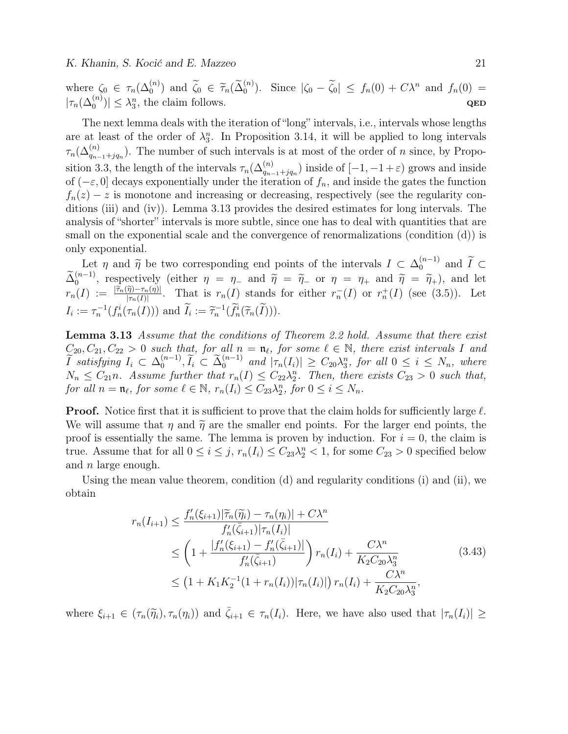where  $\zeta_0 \in \tau_n(\Delta_0^{(n)})$  and  $\widetilde{\zeta}_0 \in \widetilde{\tau}_n(\widetilde{\Delta}_0^{(n)})$ . Since  $|\zeta_0 - \widetilde{\zeta}_0| \leq f_n(0) + C\lambda^n$  and  $f_n(0) =$  $|\tau_n(\Delta_0^{(n)})| \leq \lambda_3^n$ , the claim follows. QED

The next lemma deals with the iteration of "long" intervals, i.e., intervals whose lengths are at least of the order of  $\lambda_3^n$ . In Proposition 3.14, it will be applied to long intervals  $\tau_n(\Delta_{q_{n-1}+jq_n}^{(n)})$ . The number of such intervals is at most of the order of n since, by Proposition 3.3, the length of the intervals  $\tau_n(\Delta_{q_{n-1}+jq_n}^{(n)})$  inside of  $[-1, -1+\varepsilon)$  grows and inside of  $(-\varepsilon, 0]$  decays exponentially under the iteration of  $f_n$ , and inside the gates the function  $f_n(z) - z$  is monotone and increasing or decreasing, respectively (see the regularity conditions (iii) and (iv)). Lemma 3.13 provides the desired estimates for long intervals. The analysis of "shorter" intervals is more subtle, since one has to deal with quantities that are small on the exponential scale and the convergence of renormalizations (condition (d)) is only exponential.

Let  $\eta$  and  $\widetilde{\eta}$  be two corresponding end points of the intervals  $I \subset \Delta_0^{(n-1)}$  $\binom{n-1}{0}$  and  $I \subset$  $\tilde{\Delta}_0^{(n-1)}$ , respectively (either  $\eta = \eta_-$  and  $\tilde{\eta} = \tilde{\eta}_-$  or  $\eta = \eta_+$  and  $\tilde{\eta} = \tilde{\eta}_+$ ), and let  $r_n(I) := \frac{|\tilde{r}_n(\tilde{\eta}) - r_n(\eta)|}{|\tau_n(I)|}$ . That is  $r_n(I)$  stands for either  $r_n(I)$  or  $r_n^+(I)$  (see (3.5)). Let  $I_i := \tau_n^{-1}(f_n^i(\tau_n(I)))$  and  $\tilde{I}_i := \tilde{\tau}_n^{-1}(\tilde{f}_n^i(\tilde{\tau}_n(\tilde{I}))).$ 

**Lemma 3.13** Assume that the conditions of Theorem 2.2 hold. Assume that there exist  $C_{20}, C_{21}, C_{22} > 0$  such that, for all  $n = n_{\ell}$ , for some  $\ell \in \mathbb{N}$ , there exist intervals I and  $\widetilde{I}$  satisfying  $I_i \subset \Delta_0^{(n-1)}$  $\widetilde{U}_0^{(n-1)}$ ,  $\widetilde{I}_i \subset \widetilde{\Delta}_0^{(n-1)}$  and  $|\tau_n(I_i)| \geq C_{20} \lambda_3^n$ , for all  $0 \leq i \leq N_n$ , where  $N_n \leq C_{21}n$ . Assume further that  $r_n(I) \leq C_{22}\lambda_2^n$ . Then, there exists  $C_{23} > 0$  such that, for all  $n = \mathfrak{n}_{\ell}$ , for some  $\ell \in \mathbb{N}$ ,  $r_n(I_i) \leq C_{23} \lambda_2^n$ , for  $0 \leq i \leq N_n$ .

**Proof.** Notice first that it is sufficient to prove that the claim holds for sufficiently large  $\ell$ . We will assume that  $\eta$  and  $\tilde{\eta}$  are the smaller end points. For the larger end points, the proof is essentially the same. The lemma is proven by induction. For  $i = 0$ , the claim is true. Assume that for all  $0 \le i \le j$ ,  $r_n(I_i) \le C_{23} \lambda_2^n < 1$ , for some  $C_{23} > 0$  specified below and  $n$  large enough.

Using the mean value theorem, condition (d) and regularity conditions (i) and (ii), we obtain

$$
r_n(I_{i+1}) \leq \frac{f'_n(\xi_{i+1})|\tilde{\tau}_n(\tilde{\eta}_i) - \tau_n(\eta_i)| + C\lambda^n}{f'_n(\bar{\zeta}_{i+1})|\tau_n(I_i)|} \n\leq \left(1 + \frac{|f'_n(\xi_{i+1}) - f'_n(\bar{\zeta}_{i+1})|}{f'_n(\bar{\zeta}_{i+1})}\right) r_n(I_i) + \frac{C\lambda^n}{K_2 C_{20} \lambda_3^n} \n\leq (1 + K_1 K_2^{-1} (1 + r_n(I_i))|\tau_n(I_i)|) r_n(I_i) + \frac{C\lambda^n}{K_2 C_{20} \lambda_3^n},
$$
\n(3.43)

where  $\xi_{i+1} \in (\tau_n(\widetilde{\eta}_i), \tau_n(\eta_i))$  and  $\overline{\zeta}_{i+1} \in \tau_n(I_i)$ . Here, we have also used that  $|\tau_n(I_i)| \ge$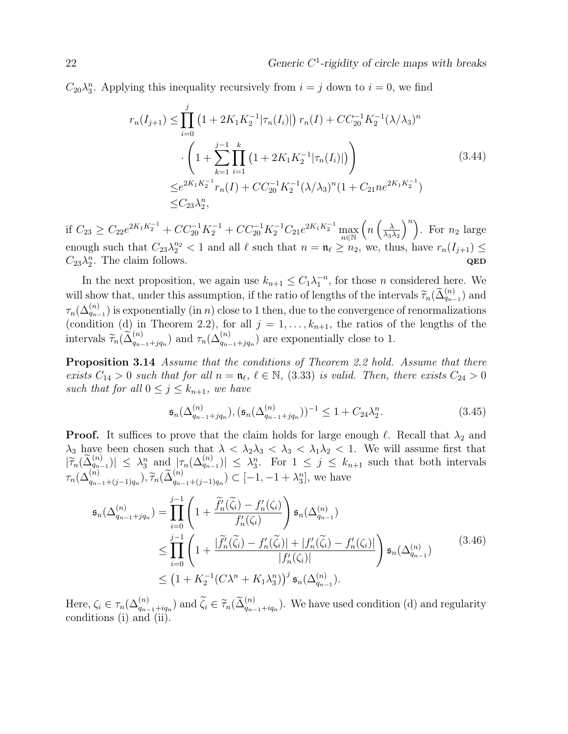$C_{20}\lambda_3^n$ . Applying this inequality recursively from  $i = j$  down to  $i = 0$ , we find

$$
r_n(I_{j+1}) \leq \prod_{i=0}^j \left(1 + 2K_1K_2^{-1}|\tau_n(I_i)|\right) r_n(I) + CC_{20}^{-1}K_2^{-1}(\lambda/\lambda_3)^n
$$

$$
\cdot \left(1 + \sum_{k=1}^{j-1} \prod_{i=1}^k \left(1 + 2K_1K_2^{-1}|\tau_n(I_i)|\right)\right)
$$

$$
\leq e^{2K_1K_2^{-1}} r_n(I) + CC_{20}^{-1}K_2^{-1}(\lambda/\lambda_3)^n(1 + C_{21}ne^{2K_1K_2^{-1}})
$$

$$
\leq C_{23}\lambda_2^n,
$$
\n(3.44)

if  $C_{23} \ge C_{22}e^{2K_1K_2^{-1}} + CC_{20}^{-1}K_2^{-1} + CC_{20}^{-1}K_2^{-1}C_{21}e^{2K_1K_2^{-1}} \max_{n \in \mathbb{N}}$  $\left(n\left(\frac{\lambda}{\lambda_0}\right)\right)$  $\lambda_3\lambda_2$  $\binom{n}{n}$ . For  $n_2$  large enough such that  $C_{23} \lambda_2^{n_2} < 1$  and all  $\ell$  such that  $n = \mathfrak{n}_{\ell} \ge n_2$ , we, thus, have  $r_n(I_{j+1}) \le$  $C_{23}\lambda_2^n$ . The claim follows.  $QED$ 

In the next proposition, we again use  $k_{n+1} \leq C_1 \lambda_1^{-n}$ , for those *n* considered here. We will show that, under this assumption, if the ratio of lengths of the intervals  $\widetilde{\tau}_n(\widetilde{\Delta}_{q_{n-1}}^{(n)})$  and  $\tau_n(\Delta_{q_{n-1}}^{(n)})$  is exponentially (in n) close to 1 then, due to the convergence of renormalizations (condition (d) in Theorem 2.2), for all  $j = 1, \ldots, k_{n+1}$ , the ratios of the lengths of the intervals  $\widetilde{\tau}_n(\widetilde{\Delta}_{q_{n-1}+jq_n}^{(n)})$  and  $\tau_n(\Delta_{q_{n-1}+jq_n}^{(n)})$  are exponentially close to 1.

**Proposition 3.14** Assume that the conditions of Theorem 2.2 hold. Assume that there exists  $C_{14} > 0$  such that for all  $n = \mathfrak{n}_{\ell}, \ell \in \mathbb{N}, (3.33)$  is valid. Then, there exists  $C_{24} > 0$ such that for all  $0 \leq j \leq k_{n+1}$ , we have

$$
\mathfrak{s}_n(\Delta_{q_{n-1}+jq_n}^{(n)}), (\mathfrak{s}_n(\Delta_{q_{n-1}+jq_n}^{(n)}))^{-1} \le 1 + C_{24}\lambda_2^n. \tag{3.45}
$$

**Proof.** It suffices to prove that the claim holds for large enough  $\ell$ . Recall that  $\lambda_2$  and  $\lambda_3$  have been chosen such that  $\lambda < \lambda_2 \lambda_3 < \lambda_3 < \lambda_1 \lambda_2 < 1$ . We will assume first that  $|\widetilde{\tau}_n(\widetilde{\Delta}_{q_{n-1}}^{(n)})| \leq \lambda_3^n$  and  $|\tau_n(\Delta_{q_{n-1}}^{(n)})| \leq \lambda_3^n$ . For  $1 \leq j \leq k_{n+1}$  such that both intervals  $\tau_n(\Delta_{q_{n-1}+(j-1)q_n}^{(n)}), \tilde{\tau}_n(\tilde{\Delta}_{q_{n-1}+(j-1)q_n}^{(n)}) \subset [-1, -1+\lambda_3^n],$  we have

$$
\mathfrak{s}_{n}(\Delta_{q_{n-1}+jq_{n}}^{(n)}) = \prod_{i=0}^{j-1} \left( 1 + \frac{\widetilde{f}_{n}'(\widetilde{\zeta}_{i}) - f_{n}'(\zeta_{i})}{f_{n}'(\zeta_{i})} \right) \mathfrak{s}_{n}(\Delta_{q_{n-1}}^{(n)})
$$
\n
$$
\leq \prod_{i=0}^{j-1} \left( 1 + \frac{|\widetilde{f}_{n}'(\widetilde{\zeta}_{i}) - f_{n}'(\widetilde{\zeta}_{i})| + |f_{n}'(\widetilde{\zeta}_{i}) - f_{n}'(\zeta_{i})|}{|f_{n}'(\zeta_{i})|} \right) \mathfrak{s}_{n}(\Delta_{q_{n-1}}^{(n)})
$$
\n
$$
\leq \left( 1 + K_{2}^{-1} (C\lambda^{n} + K_{1}\lambda_{3}^{n}) \right)^{j} \mathfrak{s}_{n}(\Delta_{q_{n-1}}^{(n)}).
$$
\n(3.46)

Here,  $\zeta_i \in \tau_n(\Delta_{q_{n-1}+iq_n}^{(n)})$  and  $\widetilde{\zeta}_i \in \widetilde{\tau}_n(\widetilde{\Delta}_{q_{n-1}+iq_n}^{(n)})$ . We have used condition (d) and regularity conditions (i) and (ii) conditions (i) and (ii).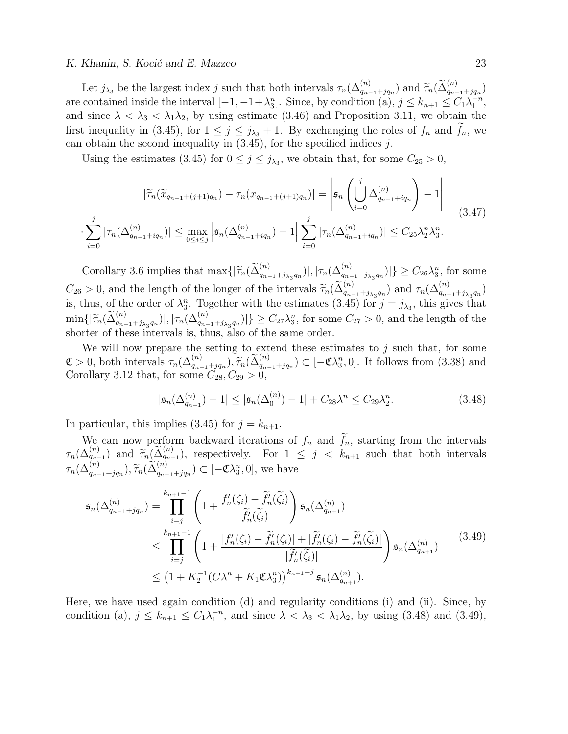#### K. Khanin, S. Kocić and E. Mazzeo 23

Let  $j_{\lambda_3}$  be the largest index j such that both intervals  $\tau_n(\Delta_{q_{n-1}+jq_n}^{(n)})$  and  $\widetilde{\tau}_n(\widetilde{\Delta}_{q_{n-1}+jq_n}^{(n)})$ are contained inside the interval  $[-1, -1+\lambda_3^n]$ . Since, by condition (a),  $j \leq k_{n+1} \leq C_1 \lambda_1^{-n}$ , and since  $\lambda < \lambda_3 < \lambda_1 \lambda_2$ , by using estimate (3.46) and Proposition 3.11, we obtain the first inequality in (3.45), for  $1 \leq j \leq j_{\lambda_3} + 1$ . By exchanging the roles of  $f_n$  and  $f_n$ , we can obtain the second inequality in  $(3.45)$ , for the specified indices j.

Using the estimates (3.45) for  $0 \le j \le j_{\lambda_3}$ , we obtain that, for some  $C_{25} > 0$ ,

$$
|\widetilde{\tau}_n(\widetilde{x}_{q_{n-1}+(j+1)q_n}) - \tau_n(x_{q_{n-1}+(j+1)q_n})| = \left| \mathfrak{s}_n \left( \bigcup_{i=0}^j \Delta_{q_{n-1}+iq_n}^{(n)} \right) - 1 \right| \right|
$$
  

$$
\cdot \sum_{i=0}^j |\tau_n(\Delta_{q_{n-1}+iq_n}^{(n)})| \le \max_{0 \le i \le j} \left| \mathfrak{s}_n(\Delta_{q_{n-1}+iq_n}^{(n)}) - 1 \right| \sum_{i=0}^j |\tau_n(\Delta_{q_{n-1}+iq_n}^{(n)})| \le C_{25} \lambda_2^n \lambda_3^n.
$$
 (3.47)

Corollary 3.6 implies that  $\max\{|\widetilde{\tau}_n(\widetilde{\Delta}_{q_{n-1}+j_{\lambda_3}q_n}^{(n)})|,|\tau_n(\Delta_{q_{n-1}+j_{\lambda_3}q_n}^{(n)})|\}\geq C_{26}\lambda_3^n$ , for some  $C_{26} > 0$ , and the length of the longer of the intervals  $\widetilde{\tau}_n(\widetilde{\Delta}_{q_{n-1}+j_{\lambda_3}q_n}^{(n)})$  and  $\tau_n(\Delta_{q_{n-1}+j_{\lambda_3}q_n}^{(n)})$ is, thus, of the order of  $\lambda_3^n$ . Together with the estimates (3.45) for  $j = j_{\lambda_3}$ , this gives that  $\min\{|\widetilde{\tau}_n(\widetilde{\Delta}_{q_{n-1}+j_{\lambda_3}q_n}^{(n)})|,|\tau_n(\Delta_{q_{n-1}+j_{\lambda_3}q_n}^{(n)})|\}\geq C_{27}\lambda_3^n$ , for some  $C_{27}>0$ , and the length of the shorter of these intervals is, thus, also of the same order.

We will now prepare the setting to extend these estimates to  $j$  such that, for some  $\mathfrak{C} > 0$ , both intervals  $\tau_n(\Delta_{q_{n-1}+jq_n}^{(n)})$ ,  $\widetilde{\tau}_n(\widetilde{\Delta}_{q_{n-1}+jq_n}^{(n)}) \subset [-\mathfrak{C}\lambda_3^n, 0]$ . It follows from (3.38) and Corollary 3.12 that, for some  $C \geq 0$ Corollary 3.12 that, for some  $C_{28}, C_{29} > 0$ ,

$$
|\mathfrak{s}_n(\Delta_{q_{n+1}}^{(n)}) - 1| \le |\mathfrak{s}_n(\Delta_0^{(n)}) - 1| + C_{28}\lambda^n \le C_{29}\lambda_2^n. \tag{3.48}
$$

In particular, this implies (3.45) for  $j = k_{n+1}$ .

We can now perform backward iterations of  $f_n$  and  $f_n$ , starting from the intervals  $\tau_n(\Delta_{q_{n+1}}^{(n)})$  and  $\widetilde{\tau}_n(\widetilde{\Delta}_{q_{n+1}}^{(n)})$ , respectively. For  $1 \leq j \leq k_{n+1}$  such that both intervals  $\tau_n(\Delta_{q_{n-1}+jq_n}^{(n)}), \widetilde{\tau}_n(\widetilde{\Delta}_{q_{n-1}+jq_n}^{(n)}) \subset [-\mathfrak{C}\lambda_3^n, 0],$  we have

$$
\mathfrak{s}_{n}(\Delta_{q_{n-1}+jq_{n}}^{(n)}) = \prod_{i=j}^{k_{n+1}-1} \left( 1 + \frac{f'_{n}(\zeta_{i}) - \widetilde{f}'_{n}(\widetilde{\zeta}_{i})}{\widetilde{f}'_{n}(\widetilde{\zeta}_{i})} \right) \mathfrak{s}_{n}(\Delta_{q_{n+1}}^{(n)})
$$
\n
$$
\leq \prod_{i=j}^{k_{n+1}-1} \left( 1 + \frac{|f'_{n}(\zeta_{i}) - \widetilde{f}'_{n}(\zeta_{i})| + |\widetilde{f}'_{n}(\zeta_{i}) - \widetilde{f}'_{n}(\widetilde{\zeta}_{i})|}{|\widetilde{f}'_{n}(\widetilde{\zeta}_{i})|} \right) \mathfrak{s}_{n}(\Delta_{q_{n+1}}^{(n)}) \qquad (3.49)
$$
\n
$$
\leq \left( 1 + K_{2}^{-1} (C\lambda^{n} + K_{1} \mathfrak{C} \lambda_{3}^{n}) \right)^{k_{n+1}-j} \mathfrak{s}_{n}(\Delta_{q_{n+1}}^{(n)}).
$$

Here, we have used again condition (d) and regularity conditions (i) and (ii). Since, by condition (a),  $j \leq k_{n+1} \leq C_1 \lambda_1^{-n}$ , and since  $\lambda < \lambda_3 < \lambda_1 \lambda_2$ , by using (3.48) and (3.49),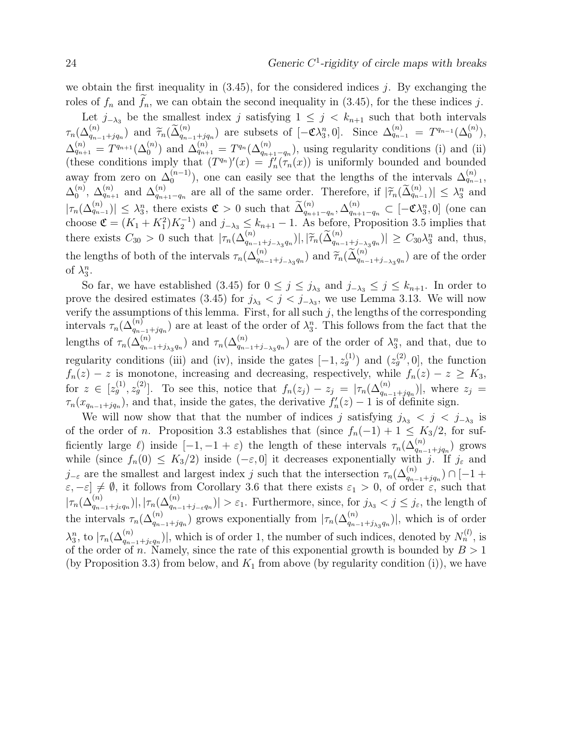we obtain the first inequality in  $(3.45)$ , for the considered indices j. By exchanging the roles of  $f_n$  and  $f_n$ , we can obtain the second inequality in (3.45), for the these indices j.

Let  $j_{-\lambda_3}$  be the smallest index j satisfying  $1 \leq j \leq k_{n+1}$  such that both intervals  $\tau_n(\Delta_{q_{n-1}+jq_n}^{(n)})$  and  $\widetilde{\tau}_n(\widetilde{\Delta}_{q_{n-1}+jq_n}^{(n)})$  are subsets of  $[-\mathfrak{C}\lambda_3^n,0]$ . Since  $\Delta_{q_{n-1}}^{(n)} = T^{q_{n-1}}(\Delta_0^{(n)})$ ,  $\Delta_{q_{n+1}}^{(n)} = T^{q_{n+1}}(\Delta_0^{(n)})$  and  $\Delta_{q_{n+1}}^{(n)} = T^{q_n}(\Delta_{q_{n+1}-q_n}^{(n)})$ , using regularity conditions (i) and (ii) (these conditions imply that  $(T^{q_n})'(x) = f'_n(\tau_n(x))$  is uniformly bounded and bounded away from zero on  $\Delta_0^{(n-1)}$  $\binom{n-1}{0}$ , one can easily see that the lengths of the intervals  $\Delta_{q_{n-1}}^{(n)}$ ,  $\Delta_0^{(n)}$  $\mathcal{L}_{q_{n+1}}^{(n)}$  and  $\mathcal{\Delta}_{q_{n+1}}^{(n)}$  $\begin{array}{ll} (n) \ q_{n+1}-q_n \text{ are all of the same order. Therefore, if } |\tilde{\tau}_n(\tilde{\Delta}_{q_{n-1}}^{(n)})| \leq \lambda_3^n \text{ and } \\ (n) \qquad \lambda_3^{(n)} = \lambda_3^{(n)} \end{array}$  $|\tau_n(\Delta_{q_{n-1}}^{(n)})| \leq \lambda_3^n$ , there exists  $\mathfrak{C} > 0$  such that  $\tilde{\Delta}_{q_{n+1}-q_n}^{(n)}, \Delta_{q_{n+1}-q_n}^{(n)} \subset [-\mathfrak{C}\lambda_3^n, 0]$  (one can choose  $\mathfrak{C} = (K_1 + K_1^2)K_2^{-1}$  and  $j_{-\lambda_3} \leq k_{n+1} - 1$ . As before, Proposition 3.5 implies that there exists  $C_{30} > 0$  such that  $|\tau_n(\Delta_{q_{n-1}+j_{-\lambda_3}q_n}^{(n)})|, |\widetilde{\tau}_n(\widetilde{\Delta}_{q_{n-1}+j_{-\lambda_3}q_n}^{(n)})| \geq C_{30}\lambda_3^n$  and, thus, the lengths of both of the intervals  $\tau_n(\Delta_{q_{n-1}+j_{-\lambda_3}q_n}^{(n)})$  and  $\widetilde{\tau}_n(\widetilde{\Delta}_{q_{n-1}+j_{-\lambda_3}q_n}^{(n)})$  are of the order of  $\lambda_3^n$ .

So far, we have established (3.45) for  $0 \leq j \leq j_{\lambda_3}$  and  $j_{-\lambda_3} \leq j \leq k_{n+1}$ . In order to prove the desired estimates (3.45) for  $j_{\lambda_3} < j < j_{-\lambda_3}$ , we use Lemma 3.13. We will now verify the assumptions of this lemma. First, for all such  $j$ , the lengths of the corresponding intervals  $\tau_n(\Delta_{q_{n-1}+jq_n}^{(n)})$  are at least of the order of  $\lambda_3^n$ . This follows from the fact that the lengths of  $\tau_n(\Delta_{q_{n-1}+j_{\lambda_3}q_n}^{(n)})$  and  $\tau_n(\Delta_{q_{n-1}+j_{-\lambda_3}q_n}^{(n)})$  are of the order of  $\lambda_3^n$ , and that, due to regularity conditions (iii) and (iv), inside the gates  $[-1, z_g^{(1)}]$  and  $(z_g^{(2)}, 0]$ , the function  $f_n(z) - z$  is monotone, increasing and decreasing, respectively, while  $f_n(z) - z \geq K_3$ , for  $z \in [z_g^{(1)}, z_g^{(2)}]$ . To see this, notice that  $f_n(z_j) - z_j = |\tau_n(\Delta_{q_{n-1}+jq_n}^{(n)})|$ , where  $z_j =$  $\tau_n(x_{q_{n-1}+jq_n})$ , and that, inside the gates, the derivative  $f'_n(z) - 1$  is of definite sign.

We will now show that that the number of indices j satisfying  $j_{\lambda_3} < j < j_{-\lambda_3}$  is of the order of n. Proposition 3.3 establishes that (since  $f_n(-1) + 1 \leq K_3/2$ , for sufficiently large  $\ell$ ) inside  $[-1, -1 + \varepsilon]$  the length of these intervals  $\tau_n(\Delta_{q_{n-1}+jq_n}^{(n)})$  grows while (since  $f_n(0) \leq K_3/2$ ) inside  $(-\varepsilon, 0]$  it decreases exponentially with j. If j<sub> $\varepsilon$ </sub> and  $j_{-\varepsilon}$  are the smallest and largest index j such that the intersection  $\tau_n(\Delta_{q_{n-1}+jq_n}^{(n)}) \cap [-1 +$  $[\varepsilon, -\varepsilon] \neq \emptyset$ , it follows from Corollary 3.6 that there exists  $\varepsilon_1 > 0$ , of order  $\varepsilon$ , such that  $|\tau_n(\Delta_{q_{n-1}+j_{\varepsilon}q_n}^{(n)})|, |\tau_n(\Delta_{q_{n-1}+j_{-\varepsilon}q_n}^{(n)})| > \varepsilon_1$ . Furthermore, since, for  $j_{\lambda_3} < j \leq j_{\varepsilon}$ , the length of the intervals  $\tau_n(\Delta_{q_{n-1}+jq_n}^{(n)})$  grows exponentially from  $|\tau_n(\Delta_{q_{n-1}+j_{\lambda_3}q_n}^{(n)})|$ , which is of order  $\lambda_3^n$ , to  $|\tau_n(\Delta_{q_{n-1}+j_{\varepsilon}q_n}^{(n)})|$ , which is of order 1, the number of such indices, denoted by  $N_n^{(l)}$ , is of the order of n. Namely, since the rate of this exponential growth is bounded by  $B > 1$ (by Proposition 3.3) from below, and  $K_1$  from above (by regularity condition (i)), we have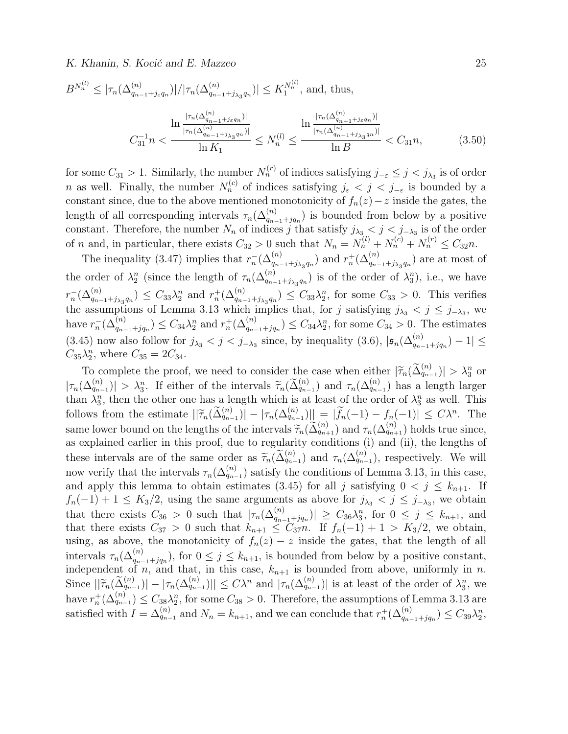K. Khanin, S. Kocić and E. Mazzeo 25

$$
B^{N_n^{(l)}} \le |\tau_n(\Delta_{q_{n-1}+j_{\varepsilon}q_n}^{(n)})|/|\tau_n(\Delta_{q_{n-1}+j_{\lambda_3}q_n}^{(n)})| \le K_1^{N_n^{(l)}}, \text{ and, thus,}
$$

$$
\frac{\ln \frac{|\tau_n(\Delta_{q_{n-1}+j_{\varepsilon}q_n}^{(n)})|}{|\tau_n(\Delta_{q_{n-1}+j_{\lambda_3}q_n}^{(n)})|}}{\ln K_1} \le N_n^{(l)} \le \frac{\ln \frac{|\tau_n(\Delta_{q_{n-1}+j_{\varepsilon}q_n}^{(n)})|}{|\tau_n(\Delta_{q_{n-1}+j_{\lambda_3}q_n}^{(n)})|}}{\ln B} < C_{31}n,
$$
(3.50)

for some  $C_{31} > 1$ . Similarly, the number  $N_n^{(r)}$  of indices satisfying  $j_{-\varepsilon} \leq j < j_{\lambda_3}$  is of order *n* as well. Finally, the number  $N_n^{(c)}$  of indices satisfying  $j_{\varepsilon} < j < j_{-\varepsilon}$  is bounded by a constant since, due to the above mentioned monotonicity of  $f_n(z) - z$  inside the gates, the length of all corresponding intervals  $\tau_n(\Delta_{q_{n-1}+jq_n}^{(n)})$  is bounded from below by a positive constant. Therefore, the number  $N_n$  of indices j that satisfy  $j_{\lambda_3} < j < j_{-\lambda_3}$  is of the order of *n* and, in particular, there exists  $C_{32} > 0$  such that  $N_n = N_n^{(l)} + N_n^{(c)} + N_n^{(r)} \leq C_{32}n$ .

The inequality (3.47) implies that  $r_n^{-}(\Delta_{q_{n-1}+j_{\lambda_3}q_n}^{(n)})$  and  $r_n^{+}(\Delta_{q_{n-1}+j_{\lambda_3}q_n}^{(n)})$  are at most of the order of  $\lambda_2^n$  (since the length of  $\tau_n(\Delta_{q_{n-1}+j_{\lambda_3}q_n}^{(n)})$  is of the order of  $\lambda_3^n$ ), i.e., we have  $r_n^{-}(\Delta_{q_{n-1}+j_{\lambda_3}q_n}^{(n)}) \leq C_{33}\lambda_2^n$  and  $r_n^{+}(\Delta_{q_{n-1}+j_{\lambda_3}q_n}^{(n)}) \leq C_{33}\lambda_2^n$ , for some  $C_{33} > 0$ . This verifies the assumptions of Lemma 3.13 which implies that, for j satisfying  $j_{\lambda_3} < j \leq j_{-\lambda_3}$ , we have  $r_n^{-}(\Delta_{q_{n-1}+jq_n}^{(n)}) \leq C_{34}\lambda_2^n$  and  $r_n^{+}(\Delta_{q_{n-1}+jq_n}^{(n)}) \leq C_{34}\lambda_2^n$ , for some  $C_{34} > 0$ . The estimates (3.45) now also follow for  $j_{\lambda_3} < j < j_{-\lambda_3}$  since, by inequality (3.6),  $|\mathfrak{s}_n(\Delta_{q_{n-1}+jq_n}^{(n)})-1| \leq$  $C_{35}\lambda_2^n$ , where  $C_{35} = 2C_{34}$ .

To complete the proof, we need to consider the case when either  $|\tilde{\tau}_n(\tilde{\Delta}_{q_{n-1}}^{(n)})| > \lambda_3^n$  or  $|\tau_n(\Delta_{q_{n-1}}^{(n)})| > \lambda_3^n$ . If either of the intervals  $\widetilde{\tau}_n(\widetilde{\Delta}_{q_{n-1}}^{(n)})$  and  $\tau_n(\Delta_{q_{n-1}}^{(n)})$  has a length larger<br>than  $\lambda^n$  then the other one has a length which is at least of the order of  $\lambda^n$  as well. This than  $\lambda_3^n$ , then the other one has a length which is at least of the order of  $\lambda_3^n$  as well. This follows from the estimate  $||\widetilde{\tau}_n(\widetilde{\Delta}_{q_{n-1}}^{(n)})|-|\tau_n(\Delta_{q_{n-1}}^{(n)})|| = |\widetilde{f}_n(-1)-f_n(-1)| \leq C\lambda^n$ . The same lower bound on the lengths of the intervals  $\widetilde{\tau}_n(\widetilde{\Delta}_{q_{n+1}}^{(n)})$  and  $\tau_n(\Delta_{q_{n+1}}^{(n)})$  holds true since,<br>as explained earlier in this proof, due to regularity conditions (i) and (ii), the lengths of as explained earlier in this proof, due to regularity conditions (i) and (ii), the lengths of these intervals are of the same order as  $\widetilde{\tau}_n(\widetilde{\Delta}_{q_{n-1}}^{(n)})$  and  $\tau_n(\Delta_{q_{n-1}}^{(n)})$ , respectively. We will now verify that the intervals  $\tau_n(\Delta_{q_{n-1}}^{(n)})$  satisfy the conditions of Lemma 3.13, in this case, and apply this lemma to obtain estimates (3.45) for all j satisfying  $0 < j \leq k_{n+1}$ . If  $f_n(-1) + 1 \leq K_3/2$ , using the same arguments as above for  $j_{\lambda_3} < j \leq j_{-\lambda_3}$ , we obtain that there exists  $C_{36} > 0$  such that  $|\tau_n(\Delta_{q_{n-1}+jq_n}^{(n)})| \geq C_{36}\lambda_3^n$ , for  $0 \leq j \leq k_{n+1}$ , and that there exists  $C_{37} > 0$  such that  $k_{n+1} \leq C_{37}n$ . If  $f_n(-1) + 1 > K_3/2$ , we obtain, using, as above, the monotonicity of  $f_n(z) - z$  inside the gates, that the length of all intervals  $\tau_n(\Delta_{q_{n-1}+jq_n}^{(n)})$ , for  $0 \leq j \leq k_{n+1}$ , is bounded from below by a positive constant, independent of n, and that, in this case,  $k_{n+1}$  is bounded from above, uniformly in n. Since  $||\widetilde{\tau}_n(\widetilde{\Delta}_{q_{n-1}}^{(n)}) - |\tau_n(\Delta_{q_{n-1}}^{(n)})|| \leq C\lambda^n$  and  $|\tau_n(\Delta_{q_{n-1}}^{(n)})|$  is at least of the order of  $\lambda_3^n$ , we have  $r_n^+(\Delta_{q_{n-1}}^{(n)}) \leq C_{38}\lambda_2^n$ , for some  $C_{38} > 0$ . Therefore, the assumptions of Lemma 3.13 are satisfied with  $I = \Delta_{q_{n-1}}^{(n)}$  and  $N_n = k_{n+1}$ , and we can conclude that  $r_n^+(\Delta_{q_{n-1}+jq_n}^{(n)}) \leq C_{39} \lambda_2^n$ ,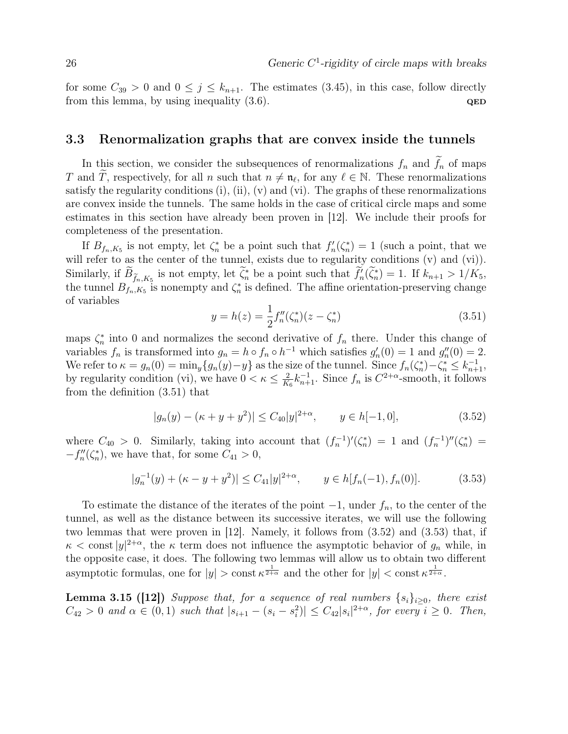for some  $C_{39} > 0$  and  $0 \le j \le k_{n+1}$ . The estimates (3.45), in this case, follow directly from this lemma, by using inequality  $(3.6)$ .  $QED$ 

#### 3.3 Renormalization graphs that are convex inside the tunnels

In this section, we consider the subsequences of renormalizations  $f_n$  and  $\tilde{f}_n$  of maps T and  $\widetilde{T}$ , respectively, for all n such that  $n \neq \mathfrak{n}_{\ell}$ , for any  $\ell \in \mathbb{N}$ . These renormalizations satisfy the regularity conditions  $(i)$ ,  $(ii)$ ,  $(v)$  and  $(vi)$ . The graphs of these renormalizations are convex inside the tunnels. The same holds in the case of critical circle maps and some estimates in this section have already been proven in [12]. We include their proofs for completeness of the presentation.

If  $B_{f_n,K_5}$  is not empty, let  $\zeta_n^*$  be a point such that  $f'_n(\zeta_n^*) = 1$  (such a point, that we will refer to as the center of the tunnel, exists due to regularity conditions (v) and (vi)). Similarly, if  $B_{\tilde{f}_n,K_5}$  is not empty, let  $\zeta_n^*$  be a point such that  $f'_n(\zeta_n^*) = 1$ . If  $k_{n+1} > 1/K_5$ , the tunnel  $B_{f_n,K_5}$  is nonempty and  $\zeta_n^*$  is defined. The affine orientation-preserving change of variables

$$
y = h(z) = \frac{1}{2} f_n''(\zeta_n^*)(z - \zeta_n^*)
$$
\n(3.51)

maps  $\zeta_n^*$  into 0 and normalizes the second derivative of  $f_n$  there. Under this change of variables  $f_n$  is transformed into  $g_n = h \circ f_n \circ h^{-1}$  which satisfies  $g'_n(0) = 1$  and  $g''_n(0) = 2$ . We refer to  $\kappa = g_n(0) = \min_y \{g_n(y) - y\}$  as the size of the tunnel. Since  $f_n(\zeta_n^*) - \zeta_n^* \leq k_{n+1}^{-1}$ , by regularity condition (vi), we have  $0 < \kappa \leq \frac{2}{K}$  $\frac{2}{K_6}k_{n+1}^{-1}$ . Since  $f_n$  is  $C^{2+\alpha}$ -smooth, it follows from the definition (3.51) that

$$
|g_n(y) - (\kappa + y + y^2)| \le C_{40}|y|^{2+\alpha}, \qquad y \in h[-1, 0], \tag{3.52}
$$

where  $C_{40} > 0$ . Similarly, taking into account that  $(f_n^{-1})'(\zeta_n^*) = 1$  and  $(f_n^{-1})''(\zeta_n^*) =$  $-f''_n(\zeta_n^*),$  we have that, for some  $C_{41} > 0$ ,

$$
|g_n^{-1}(y) + (\kappa - y + y^2)| \le C_{41}|y|^{2+\alpha}, \qquad y \in h[f_n(-1), f_n(0)]. \tag{3.53}
$$

To estimate the distance of the iterates of the point  $-1$ , under  $f_n$ , to the center of the tunnel, as well as the distance between its successive iterates, we will use the following two lemmas that were proven in [12]. Namely, it follows from (3.52) and (3.53) that, if  $\kappa < \text{const } |y|^{2+\alpha}$ , the  $\kappa$  term does not influence the asymptotic behavior of  $g_n$  while, in the opposite case, it does. The following two lemmas will allow us to obtain two different asymptotic formulas, one for  $|y| > \text{const} \kappa^{\frac{1}{2+\alpha}}$  and the other for  $|y| < \text{const} \kappa^{\frac{1}{2+\alpha}}$ .

**Lemma 3.15 ([12])** Suppose that, for a sequence of real numbers  $\{s_i\}_{i>0}$ , there exist  $C_{42} > 0$  and  $\alpha \in (0,1)$  such that  $|s_{i+1} - (s_i - s_i^2)| \leq C_{42} |s_i|^{2+\alpha}$ , for every  $i \geq 0$ . Then,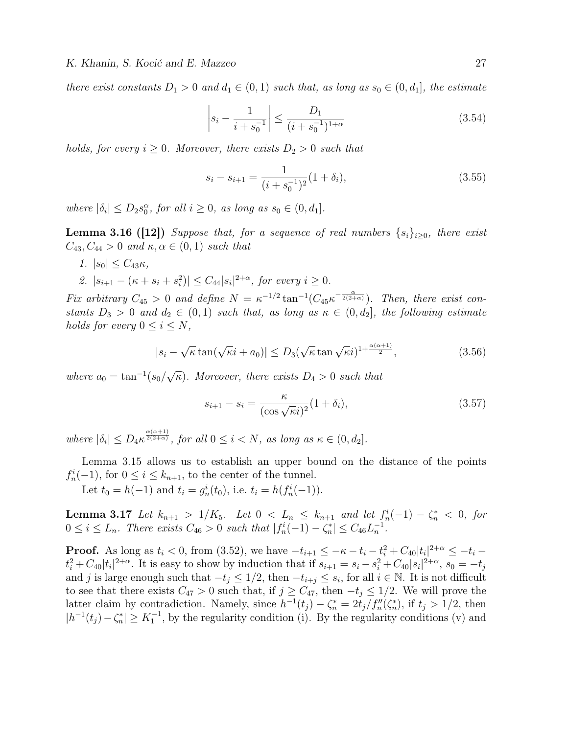there exist constants  $D_1 > 0$  and  $d_1 \in (0,1)$  such that, as long as  $s_0 \in (0,d_1]$ , the estimate

$$
\left| s_i - \frac{1}{i + s_0^{-1}} \right| \le \frac{D_1}{(i + s_0^{-1})^{1+\alpha}} \tag{3.54}
$$

holds, for every  $i \geq 0$ . Moreover, there exists  $D_2 > 0$  such that

$$
s_i - s_{i+1} = \frac{1}{(i + s_0^{-1})^2} (1 + \delta_i), \tag{3.55}
$$

where  $|\delta_i| \leq D_2 s_0^{\alpha}$ , for all  $i \geq 0$ , as long as  $s_0 \in (0, d_1]$ .

**Lemma 3.16 ([12])** Suppose that, for a sequence of real numbers  $\{s_i\}_{i>0}$ , there exist  $C_{43}, C_{44} > 0$  and  $\kappa, \alpha \in (0,1)$  such that

- 1.  $|s_0| \leq C_{43} \kappa$ ,
- 2.  $|s_{i+1} (\kappa + s_i + s_i^2)| \leq C_{44} |s_i|^{2+\alpha}$ , for every  $i \geq 0$ .

Fix arbitrary  $C_{45} > 0$  and define  $N = \kappa^{-1/2} \tan^{-1} (C_{45} \kappa^{-\frac{\alpha}{2(2+\alpha)}})$ . Then, there exist constants  $D_3 > 0$  and  $d_2 \in (0,1)$  such that, as long as  $\kappa \in (0,d_2]$ , the following estimate holds for every  $0 \leq i \leq N$ ,

$$
|s_i - \sqrt{\kappa} \tan(\sqrt{\kappa}i + a_0)| \le D_3(\sqrt{\kappa} \tan \sqrt{\kappa}i)^{1 + \frac{\alpha(\alpha+1)}{2}}, \tag{3.56}
$$

where  $a_0 = \tan^{-1}(s_0)$ √  $\overline{\kappa}$ ). Moreover, there exists  $D_4 > 0$  such that

$$
s_{i+1} - s_i = \frac{\kappa}{(\cos\sqrt{\kappa}i)^2} (1 + \delta_i),\tag{3.57}
$$

where  $|\delta_i| \leq D_4 \kappa^{\frac{\alpha(\alpha+1)}{2(2+\alpha)}}$ , for all  $0 \leq i \leq N$ , as long as  $\kappa \in (0, d_2]$ .

Lemma 3.15 allows us to establish an upper bound on the distance of the points  $f_n^i(-1)$ , for  $0 \le i \le k_{n+1}$ , to the center of the tunnel.

Let  $t_0 = h(-1)$  and  $t_i = g_n^i(t_0)$ , i.e.  $t_i = h(f_n^i(-1))$ .

**Lemma 3.17** Let  $k_{n+1} > 1/K_5$ . Let  $0 < L_n \leq k_{n+1}$  and let  $f_n^i(-1) - \zeta_n^* < 0$ , for  $0 \le i \le L_n$ . There exists  $C_{46} > 0$  such that  $|f_n^i(-1) - \zeta_n^*| \le C_{46} L_n^{-1}$ .

**Proof.** As long as  $t_i < 0$ , from (3.52), we have  $-t_{i+1} \leq -\kappa - t_i - t_i^2 + C_{40} |t_i|^{2+\alpha} \leq -t_i$  $t_i^2 + C_{40}|t_i|^{2+\alpha}$ . It is easy to show by induction that if  $s_{i+1} = s_i - s_i^2 + C_{40}|s_i|^{2+\alpha}$ ,  $s_0 = -t_j$ and j is large enough such that  $-t_j \leq 1/2$ , then  $-t_{i+j} \leq s_i$ , for all  $i \in \mathbb{N}$ . It is not difficult to see that there exists  $C_{47} > 0$  such that, if  $j \geq C_{47}$ , then  $-t_j \leq 1/2$ . We will prove the latter claim by contradiction. Namely, since  $h^{-1}(t_j) - \zeta_n^* = 2t_j/f_n''(\zeta_n^*)$ , if  $t_j > 1/2$ , then  $|h^{-1}(t_j) - \zeta_n^*| \ge K_1^{-1}$ , by the regularity condition (i). By the regularity conditions (v) and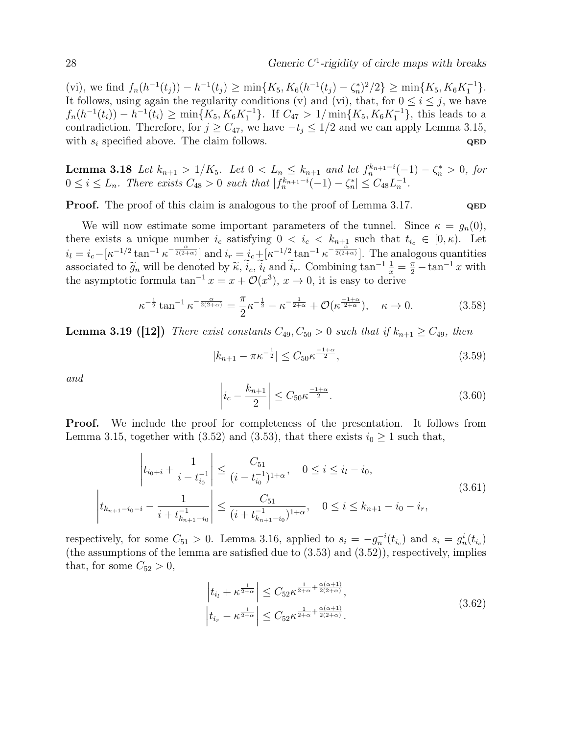(vi), we find  $f_n(h^{-1}(t_j)) - h^{-1}(t_j) \ge \min\{K_5, K_6(h^{-1}(t_j) - \zeta_n^*)^2/2\} \ge \min\{K_5, K_6K_1^{-1}\}.$ It follows, using again the regularity conditions (v) and (vi), that, for  $0 \le i \le j$ , we have  $f_n(h^{-1}(t_i)) - h^{-1}(t_i) \ge \min\{K_5, K_6K_1^{-1}\}.$  If  $C_{47} > 1/\min\{K_5, K_6K_1^{-1}\},$  this leads to a contradiction. Therefore, for  $j \geq C_{47}$ , we have  $-t_j \leq 1/2$  and we can apply Lemma 3.15, with  $s_i$  specified above. The claim follows.  $QED$ 

**Lemma 3.18** Let  $k_{n+1} > 1/K_5$ . Let  $0 < L_n \leq k_{n+1}$  and let  $f_n^{k_{n+1}-i}(-1) - \zeta_n^* > 0$ , for  $0 \leq i \leq L_n$ . There exists  $C_{48} > 0$  such that  $|f_n^{k_{n+1}-i}(-1) - \zeta_n^*| \leq C_{48}L_n^{-1}$ .

**Proof.** The proof of this claim is analogous to the proof of Lemma 3.17. QED

We will now estimate some important parameters of the tunnel. Since  $\kappa = g_n(0)$ , there exists a unique number  $i_c$  satisfying  $0 < i_c < k_{n+\frac{1}{\alpha}}$  such that  $t_{i_c} \in [0, \kappa)$ . Let  $i_l = i_c - \left[\kappa^{-1/2} \tan^{-1} \kappa^{-\frac{\alpha}{2(2+\alpha)}}\right]$  and  $i_r = i_c + \left[\kappa^{-1/2} \tan^{-1} \kappa^{-\frac{\alpha}{2(2+\alpha)}}\right]$ . The analogous quantities associated to  $\tilde{g}_n$  will be denoted by  $\tilde{\kappa}, \tilde{i}_c, \tilde{i}_l$  and  $\tilde{i}_r$ . Combining  $\tan^{-1} \frac{1}{x} = \frac{\pi}{2} - \tan^{-1} x$  with the asymptotic formula  $\tan^{-1} x = x + O(x^3)$ ,  $x \to 0$  it is easy to derive the asymptotic formula  $\tan^{-1} x = x + \mathcal{O}(x^3), x \to 0$ , it is easy to derive

$$
\kappa^{-\frac{1}{2}} \tan^{-1} \kappa^{-\frac{\alpha}{2(2+\alpha)}} = \frac{\pi}{2} \kappa^{-\frac{1}{2}} - \kappa^{-\frac{1}{2+\alpha}} + \mathcal{O}(\kappa^{\frac{-1+\alpha}{2+\alpha}}), \quad \kappa \to 0.
$$
 (3.58)

**Lemma 3.19 ([12])** There exist constants  $C_{49}$ ,  $C_{50} > 0$  such that if  $k_{n+1} \ge C_{49}$ , then

$$
|k_{n+1} - \pi \kappa^{-\frac{1}{2}}| \le C_{50} \kappa^{\frac{-1+\alpha}{2}},\tag{3.59}
$$

and

$$
\left| i_c - \frac{k_{n+1}}{2} \right| \le C_{50} \kappa^{\frac{-1+\alpha}{2}}.
$$
\n(3.60)

**Proof.** We include the proof for completeness of the presentation. It follows from Lemma 3.15, together with (3.52) and (3.53), that there exists  $i_0 \geq 1$  such that,

$$
\left| t_{i_0+i} + \frac{1}{i - t_{i_0}^{-1}} \right| \le \frac{C_{51}}{(i - t_{i_0}^{-1})^{1+\alpha}}, \quad 0 \le i \le i_l - i_0,
$$
\n
$$
\left| t_{k_{n+1}-i_0-i} - \frac{1}{i + t_{k_{n+1}-i_0}^{-1}} \right| \le \frac{C_{51}}{(i + t_{k_{n+1}-i_0}^{-1})^{1+\alpha}}, \quad 0 \le i \le k_{n+1} - i_0 - i_r,
$$
\n(3.61)

respectively, for some  $C_{51} > 0$ . Lemma 3.16, applied to  $s_i = -g_n^{-i}(t_{i_c})$  and  $s_i = g_n^{i}(t_{i_c})$ (the assumptions of the lemma are satisfied due to (3.53) and (3.52)), respectively, implies that, for some  $C_{52} > 0$ ,

$$
\left| t_{i_l} + \kappa^{\frac{1}{2+\alpha}} \right| \leq C_{52} \kappa^{\frac{1}{2+\alpha} + \frac{\alpha(\alpha+1)}{2(2+\alpha)}},
$$
\n
$$
\left| t_{i_r} - \kappa^{\frac{1}{2+\alpha}} \right| \leq C_{52} \kappa^{\frac{1}{2+\alpha} + \frac{\alpha(\alpha+1)}{2(2+\alpha)}}.
$$
\n(3.62)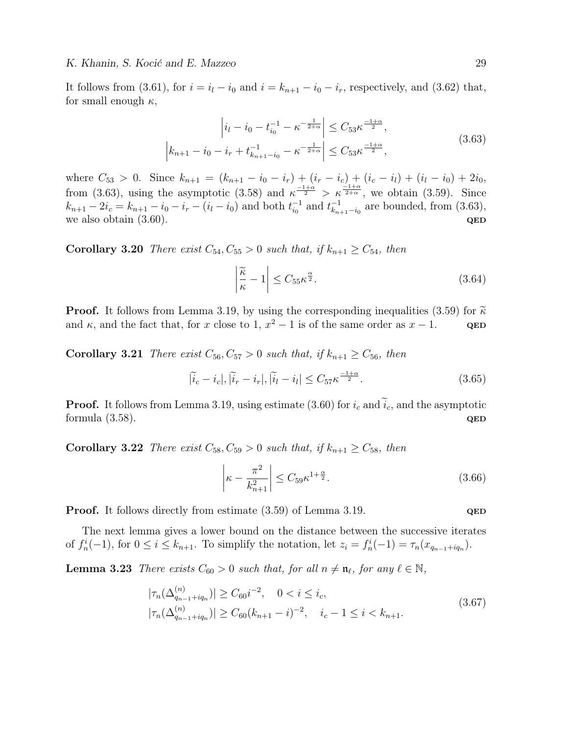It follows from (3.61), for  $i = i_l - i_0$  and  $i = k_{n+1} - i_0 - i_r$ , respectively, and (3.62) that, for small enough  $\kappa$ ,

$$
\left| i_l - i_0 - t_{i_0}^{-1} - \kappa^{-\frac{1}{2+\alpha}} \right| \le C_{53} \kappa^{\frac{-1+\alpha}{2}},
$$
  

$$
\left| k_{n+1} - i_0 - i_r + t_{k_{n+1}-i_0}^{-1} - \kappa^{-\frac{1}{2+\alpha}} \right| \le C_{53} \kappa^{\frac{-1+\alpha}{2}},
$$
\n(3.63)

where  $C_{53} > 0$ . Since  $k_{n+1} = (k_{n+1} - i_0 - i_r) + (i_r - i_c) + (i_c - i_l) + (i_l - i_0) + 2i_0$ , from (3.63), using the asymptotic (3.58) and  $\kappa^{\frac{-1+\alpha}{2}} > \kappa^{\frac{-1+\alpha}{2+\alpha}}$ , we obtain (3.59). Since  $k_{n+1} - 2i_c = k_{n+1} - i_0 - i_r - (i_l - i_0)$  and both  $t_{i_0}^{-1}$  $_{i_0}^{-1}$  and  $t_{k_n}^{-1}$  $\frac{-1}{k_{n+1}-i_0}$  are bounded, from (3.63), we also obtain  $(3.60)$ . QED

**Corollary 3.20** There exist  $C_{54}$ ,  $C_{55} > 0$  such that, if  $k_{n+1} \ge C_{54}$ , then

$$
\left|\frac{\widetilde{\kappa}}{\kappa} - 1\right| \le C_{55} \kappa^{\frac{\alpha}{2}}.\tag{3.64}
$$

**Proof.** It follows from Lemma 3.19, by using the corresponding inequalities (3.59) for  $\tilde{\kappa}$  and  $\kappa$ , and the fact that, for x close to 1,  $x^2 - 1$  is of the same order as  $x - 1$ . and  $\kappa$ , and the fact that, for x close to 1,  $x^2 - 1$  is of the same order as  $x - 1$ . QED

**Corollary 3.21** There exist  $C_{56}$ ,  $C_{57} > 0$  such that, if  $k_{n+1} \ge C_{56}$ , then

$$
|\tilde{i}_c - i_c|, |\tilde{i}_r - i_r|, |\tilde{i}_l - i_l| \le C_{57} \kappa^{\frac{-1+\alpha}{2}}.
$$
\n(3.65)

**Proof.** It follows from Lemma 3.19, using estimate (3.60) for  $i_c$  and  $\tilde{i}_c$ , and the asymptotic formula (3.58). formula  $(3.58)$ .

**Corollary 3.22** There exist  $C_{58}$ ,  $C_{59} > 0$  such that, if  $k_{n+1} \ge C_{58}$ , then

$$
\left| \kappa - \frac{\pi^2}{k_{n+1}^2} \right| \le C_{59} \kappa^{1 + \frac{\alpha}{2}}.
$$
\n(3.66)

**Proof.** It follows directly from estimate (3.59) of Lemma 3.19.  $QED$ 

The next lemma gives a lower bound on the distance between the successive iterates of  $f_n^i(-1)$ , for  $0 \le i \le k_{n+1}$ . To simplify the notation, let  $z_i = f_n^i(-1) = \tau_n(x_{q_{n-1}+iq_n})$ .

**Lemma 3.23** There exists  $C_{60} > 0$  such that, for all  $n \neq \mathfrak{n}_{\ell}$ , for any  $\ell \in \mathbb{N}$ ,

$$
|\tau_n(\Delta_{q_{n-1}+iq_n}^{(n)})| \ge C_{60}i^{-2}, \quad 0 < i \le i_c,
$$
  

$$
|\tau_n(\Delta_{q_{n-1}+iq_n}^{(n)})| \ge C_{60}(k_{n+1}-i)^{-2}, \quad i_c-1 \le i < k_{n+1}.
$$
 (3.67)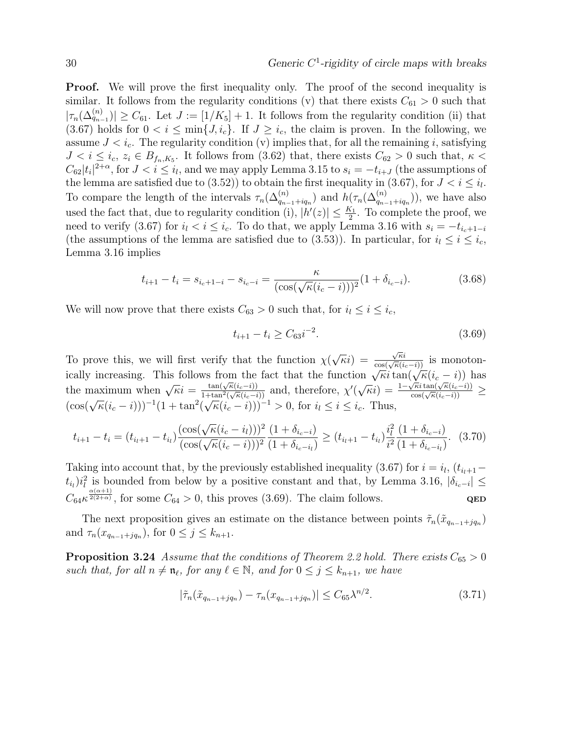**Proof.** We will prove the first inequality only. The proof of the second inequality is similar. It follows from the regularity conditions (v) that there exists  $C_{61} > 0$  such that  $|\tau_n(\Delta_{q_{n-1}}^{(n)})| \geq C_{61}$ . Let  $J := [1/K_5] + 1$ . It follows from the regularity condition (ii) that (3.67) holds for  $0 < i \le \min\{J, i_c\}$ . If  $J \ge i_c$ , the claim is proven. In the following, we assume  $J < i_c$ . The regularity condition (v) implies that, for all the remaining i, satisfying  $J < i \leq i_c, z_i \in B_{f_n,K_5}$ . It follows from (3.62) that, there exists  $C_{62} > 0$  such that,  $\kappa <$  $C_{62}|t_i|^{2+\alpha}$ , for  $J < i \leq i_l$ , and we may apply Lemma 3.15 to  $s_i = -t_{i+J}$  (the assumptions of the lemma are satisfied due to (3.52)) to obtain the first inequality in (3.67), for  $J < i \leq i_l$ . To compare the length of the intervals  $\tau_n(\Delta_{q_{n-1}+iq_n}^{(n)})$  and  $h(\tau_n(\Delta_{q_{n-1}+iq_n}^{(n)}))$ , we have also used the fact that, due to regularity condition (i),  $|h'(z)| \leq \frac{K_1}{2}$ . To complete the proof, we need to verify (3.67) for  $i_l < i \leq i_c$ . To do that, we apply Lemma 3.16 with  $s_i = -t_{i_c+1-i}$ (the assumptions of the lemma are satisfied due to (3.53)). In particular, for  $i_l \leq i \leq i_c$ , Lemma 3.16 implies

$$
t_{i+1} - t_i = s_{i_c+1-i} - s_{i_c-i} = \frac{\kappa}{(\cos(\sqrt{\kappa}(i_c - i)))^2} (1 + \delta_{i_c-i}).
$$
\n(3.68)

We will now prove that there exists  $C_{63} > 0$  such that, for  $i_l \leq i \leq i_c$ ,

$$
t_{i+1} - t_i \ge C_{63} i^{-2}.\tag{3.69}
$$

To prove this, we will first verify that the function  $\chi$ √  $\overline{\kappa}i) =$  $\frac{\sqrt{\kappa}i}{\cos(\sqrt{\kappa}(i_c-i))}$  is monotonically increasing. This follows from the fact that the function  $\sqrt{\kappa}i \tan(\sqrt{\kappa}(i_c - i))$  has<br>the maximum when  $\sqrt{\kappa}i = \frac{\tan(\sqrt{\kappa}(i_c - i))}{1 + \tan^2(\sqrt{\kappa}(i_c - i))}$  and, therefore,  $\chi'(\sqrt{\kappa}i) = \frac{1 - \sqrt{\kappa}i \tan(\sqrt{\kappa}(i_c - i))}{\cos(\sqrt{\kappa}(i_c - i))$  $\frac{\tan(\sqrt{\kappa}(i_c-i))}{1+\tan^2(\sqrt{\kappa}(i_c-i))}$  and, therefore,  $\chi'$  $\sqrt{\kappa}i$ ) =  $\frac{1-\sqrt{\kappa}i\tan(\sqrt{\kappa}(i_c-i))}{\cos(\sqrt{\kappa}(i_c-i))} \ge$  $(\cos(\sqrt{\kappa}(i_c - i)))^{-1}(1 + \tan^2($  $\sqrt{\kappa}(i_c - i))$  and, differently,  $\chi(\sqrt{k}(\ell_i - i)))^{-1} > 0$ , for  $i_l \leq i \leq i_c$ . Thus,

$$
t_{i+1} - t_i = (t_{i_l+1} - t_{i_l}) \frac{(\cos(\sqrt{\kappa}(i_c - i_l)))^2}{(\cos(\sqrt{\kappa}(i_c - i)))^2} \frac{(1 + \delta_{i_c - i})}{(1 + \delta_{i_c - i_l})} \ge (t_{i_l+1} - t_{i_l}) \frac{i_l^2}{i^2} \frac{(1 + \delta_{i_c - i})}{(1 + \delta_{i_c - i_l})}. \tag{3.70}
$$

Taking into account that, by the previously established inequality (3.67) for  $i = i_l$ ,  $(t_{i_l+1} (t_{i_l})$  $i_l^2$  is bounded from below by a positive constant and that, by Lemma 3.16,  $|\delta_{i_c-i}| \leq$  $C_{64} \kappa^{\frac{\alpha(\alpha+1)}{2(2+\alpha)}}$ , for some  $C_{64} > 0$ , this proves (3.69). The claim follows. QED

The next proposition gives an estimate on the distance between points  $\tilde{\tau}_n(\tilde{x}_{q_{n-1}+jq_n})$ and  $\tau_n(x_{q_{n-1}+jq_n})$ , for  $0 \leq j \leq k_{n+1}$ .

**Proposition 3.24** Assume that the conditions of Theorem 2.2 hold. There exists  $C_{65} > 0$ such that, for all  $n \neq \mathfrak{n}_{\ell}$ , for any  $\ell \in \mathbb{N}$ , and for  $0 \leq j \leq k_{n+1}$ , we have

$$
|\tilde{\tau}_n(\tilde{x}_{q_{n-1}+jq_n}) - \tau_n(x_{q_{n-1}+jq_n})| \le C_{65} \lambda^{n/2}.
$$
\n(3.71)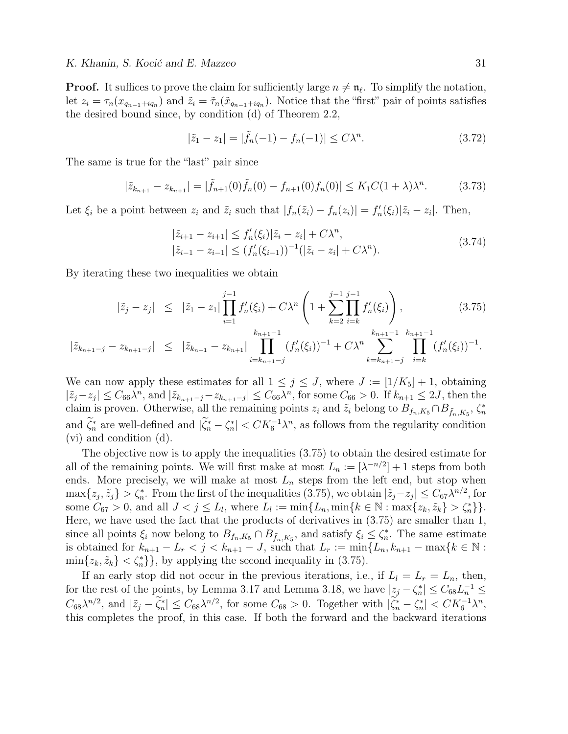**Proof.** It suffices to prove the claim for sufficiently large  $n \neq \mathfrak{n}_{\ell}$ . To simplify the notation, let  $z_i = \tau_n(x_{q_{n-1}+iq_n})$  and  $\tilde{z}_i = \tilde{\tau}_n(\tilde{x}_{q_{n-1}+iq_n})$ . Notice that the "first" pair of points satisfies the desired bound since, by condition (d) of Theorem 2.2,

$$
|\tilde{z}_1 - z_1| = |\tilde{f}_n(-1) - f_n(-1)| \le C\lambda^n.
$$
 (3.72)

The same is true for the "last" pair since

$$
|\tilde{z}_{k_{n+1}} - z_{k_{n+1}}| = |\tilde{f}_{n+1}(0)\tilde{f}_n(0) - f_{n+1}(0)f_n(0)| \le K_1 C (1 + \lambda)\lambda^n.
$$
 (3.73)

Let  $\xi_i$  be a point between  $z_i$  and  $\tilde{z}_i$  such that  $|f_n(\tilde{z}_i) - f_n(z_i)| = f'_n(\xi_i) |\tilde{z}_i - z_i|$ . Then,

$$
\begin{aligned} |\tilde{z}_{i+1} - z_{i+1}| &\le f'_n(\xi_i) |\tilde{z}_i - z_i| + C\lambda^n, \\ |\tilde{z}_{i-1} - z_{i-1}| &\le (f'_n(\xi_{i-1}))^{-1} (|\tilde{z}_i - z_i| + C\lambda^n). \end{aligned} \tag{3.74}
$$

By iterating these two inequalities we obtain

$$
|\tilde{z}_j - z_j| \leq |\tilde{z}_1 - z_1| \prod_{i=1}^{j-1} f'_n(\xi_i) + C\lambda^n \left( 1 + \sum_{k=2}^{j-1} \prod_{i=k}^{j-1} f'_n(\xi_i) \right), \tag{3.75}
$$

$$
|\tilde{z}_{k_{n+1}-j}-z_{k_{n+1}-j}| \leq |\tilde{z}_{k_{n+1}}-z_{k_{n+1}}| \prod_{i=k_{n+1}-j}^{k_{n+1}-1} (f'_{n}(\xi_{i}))^{-1} + C\lambda^{n} \sum_{k=k_{n+1}-j}^{k_{n+1}-1} \prod_{i=k}^{k_{n+1}-1} (f'_{n}(\xi_{i}))^{-1}.
$$

We can now apply these estimates for all  $1 \leq j \leq J$ , where  $J := [1/K_5] + 1$ , obtaining  $|\tilde{z}_j - z_j| \leq C_{66} \lambda^n$ , and  $|\tilde{z}_{k_{n+1}-j} - z_{k_{n+1}-j}| \leq C_{66} \lambda^n$ , for some  $C_{66} > 0$ . If  $k_{n+1} \leq 2J$ , then the claim is proven. Otherwise, all the remaining points  $z_i$  and  $\tilde{z}_i$  belong to  $B_{f_n,K_5} \cap B_{\tilde{f}_n,K_5}$ ,  $\zeta_n^*$ and  $\widetilde{\zeta}_n^*$  are well-defined and  $|\widetilde{\zeta}_n^* - \zeta_n^*| < CK_6^{-1}\lambda^n$ , as follows from the regularity condition (vi) and condition (d).

The objective now is to apply the inequalities (3.75) to obtain the desired estimate for all of the remaining points. We will first make at most  $L_n := [\lambda^{-n/2}] + 1$  steps from both ends. More precisely, we will make at most  $L_n$  steps from the left end, but stop when  $\max\{z_j, \tilde{z}_j\} > \zeta_n^*$ . From the first of the inequalities  $(3.75)$ , we obtain  $|\tilde{z}_j - z_j| \leq C_{67} \lambda^{n/2}$ , for some  $C_{67} > 0$ , and all  $J < j \le L_l$ , where  $L_l := \min\{L_n, \min\{k \in \mathbb{N} : \max\{z_k, \tilde{z}_k\} > \zeta_n^*\}\}.$ Here, we have used the fact that the products of derivatives in (3.75) are smaller than 1, since all points  $\xi_i$  now belong to  $B_{f_n,K_5} \cap B_{\tilde{f}_n,K_5}$ , and satisfy  $\xi_i \leq \zeta_n^*$ . The same estimate is obtained for  $k_{n+1} - L_r < j < k_{n+1} - J$ , such that  $L_r := \min\{L_n, k_{n+1} - \max\{k \in \mathbb{N} :$  $\min\{z_k, \tilde{z}_k\} < \zeta_n^*\}$ , by applying the second inequality in (3.75).

If an early stop did not occur in the previous iterations, i.e., if  $L_l = L_r = L_n$ , then, for the rest of the points, by Lemma 3.17 and Lemma 3.18, we have  $|z_j - \zeta_n^*| \le C_{68} L_n^{-1} \le$  $C_{68}\lambda^{n/2}$ , and  $|\tilde{z}_j - \tilde{\zeta}_n^*| \leq C_{68}\lambda^{n/2}$ , for some  $C_{68} > 0$ . Together with  $|\tilde{\zeta}_n^* - \zeta_n^*| < CK_6^{-1}\lambda^n$ , this completes the proof, in this case. If both the forward and the backward iterations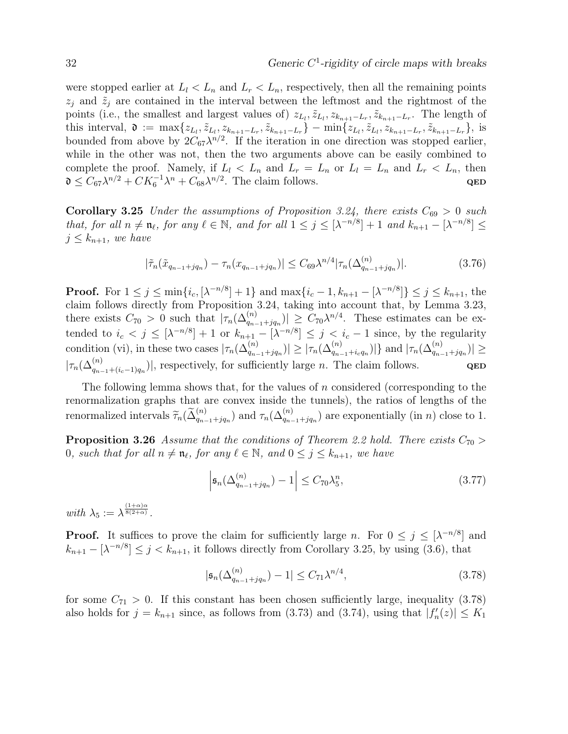were stopped earlier at  $L_l < L_n$  and  $L_r < L_n$ , respectively, then all the remaining points  $z_j$  and  $\tilde{z}_j$  are contained in the interval between the leftmost and the rightmost of the points (i.e., the smallest and largest values of)  $z_{L_i}, \tilde{z}_{L_i}, z_{k_{n+1}-L_r}, \tilde{z}_{k_{n+1}-L_r}$ . The length of this interval,  $\mathfrak{d} := \max\{z_{L_l}, \tilde{z}_{L_l}, z_{k_{n+1}-L_r}, \tilde{z}_{k_{n+1}-L_r}\} - \min\{z_{L_l}, \tilde{z}_{L_l}, z_{k_{n+1}-L_r}, \tilde{z}_{k_{n+1}-L_r}\},$  is bounded from above by  $2C_{67}\lambda^{n/2}$ . If the iteration in one direction was stopped earlier, while in the other was not, then the two arguments above can be easily combined to complete the proof. Namely, if  $L_l < L_n$  and  $L_r = L_n$  or  $L_l = L_n$  and  $L_r < L_n$ , then  $\mathfrak{d} \leq C_{67} \lambda^{n/2} + C K_6^{-1} \lambda^n + C_{68} \lambda^{n/2}$ . The claim follows. QED

**Corollary 3.25** Under the assumptions of Proposition 3.24, there exists  $C_{69} > 0$  such that, for all  $n \neq \mathfrak{n}_{\ell}$ , for any  $\ell \in \mathbb{N}$ , and for all  $1 \leq j \leq [\lambda^{-n/8}] + 1$  and  $k_{n+1} - [\lambda^{-n/8}] \leq$  $j \leq k_{n+1}$ , we have

$$
|\tilde{\tau}_n(\tilde{x}_{q_{n-1}+jq_n}) - \tau_n(x_{q_{n-1}+jq_n})| \leq C_{69} \lambda^{n/4} |\tau_n(\Delta_{q_{n-1}+jq_n}^{(n)})|.
$$
 (3.76)

**Proof.** For  $1 \le j \le \min\{i_c, [\lambda^{-n/8}] + 1\}$  and  $\max\{i_c - 1, k_{n+1} - [\lambda^{-n/8}] \} \le j \le k_{n+1}$ , the claim follows directly from Proposition 3.24, taking into account that, by Lemma 3.23, there exists  $C_{70} > 0$  such that  $|\tau_n(\Delta_{q_{n-1}+jq_n}^{(n)})| \geq C_{70}\lambda^{n/4}$ . These estimates can be extended to  $i_c < j \leq [\lambda^{-n/8}] + 1$  or  $k_{n+1} - [\lambda^{-n/8}] \leq j < i_c - 1$  since, by the regularity condition (vi), in these two cases  $|\tau_n(\Delta_{q_{n-1}+jq_n}^{(n)})| \geq |\tau_n(\Delta_{q_{n-1}+iq_n}^{(n)})|$  and  $|\tau_n(\Delta_{q_{n-1}+jq_n}^{(n)})| \geq$  $|\tau_n(\Delta_{q_{n-1}+(i_c-1)q_n}^{(n)})|$ , respectively, for sufficiently large *n*. The claim follows. QED

The following lemma shows that, for the values of  $n$  considered (corresponding to the renormalization graphs that are convex inside the tunnels), the ratios of lengths of the renormalized intervals  $\widetilde{\tau}_n(\widetilde{\Delta}_{q_{n-1}+jq_n}^{(n)})$  and  $\tau_n(\Delta_{q_{n-1}+jq_n}^{(n)})$  are exponentially (in n) close to 1.

**Proposition 3.26** Assume that the conditions of Theorem 2.2 hold. There exists  $C_{70}$ 0, such that for all  $n \neq n_\ell$ , for any  $\ell \in \mathbb{N}$ , and  $0 \leq j \leq k_{n+1}$ , we have

$$
\left|\mathfrak{s}_{n}(\Delta_{q_{n-1}+jq_n}^{(n)})-1\right| \leq C_{70}\lambda_5^n,\tag{3.77}
$$

with  $\lambda_5 := \lambda^{\frac{(1+\alpha)\alpha}{8(2+\alpha)}}$ .

**Proof.** It suffices to prove the claim for sufficiently large n. For  $0 \leq j \leq [\lambda^{-n/8}]$  and  $k_{n+1} - \left[\lambda^{-n/8}\right] \leq j < k_{n+1}$ , it follows directly from Corollary 3.25, by using (3.6), that

$$
|\mathfrak{s}_n(\Delta_{q_{n-1}+jq_n}^{(n)}) - 1| \le C_{71} \lambda^{n/4},\tag{3.78}
$$

for some  $C_{71} > 0$ . If this constant has been chosen sufficiently large, inequality (3.78) also holds for  $j = k_{n+1}$  since, as follows from (3.73) and (3.74), using that  $|f_n'(z)| \leq K_1$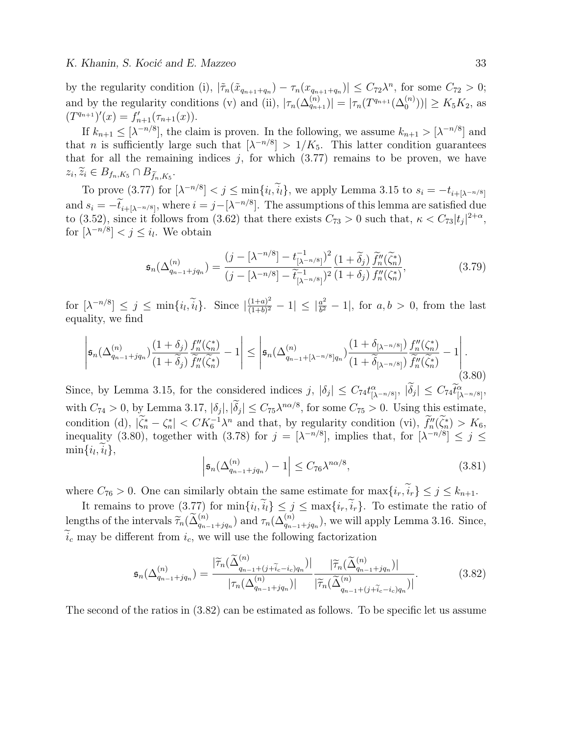by the regularity condition (i),  $|\tilde{\tau}_n(\tilde{x}_{q_{n+1}+q_n}) - \tau_n(x_{q_{n+1}+q_n})| \leq C_{72} \lambda^n$ , for some  $C_{72} > 0$ ; and by the regularity conditions (v) and (ii),  $|\tau_n(\Delta_{q_{n+1}}^{(n)})| = |\tau_n(T^{q_{n+1}}(\Delta_0^{(n)}))| \ge K_5K_2$ , as  $(T^{q_{n+1}})'(x) = f'_{n+1}(\tau_{n+1}(x)).$ 

If  $k_{n+1} \leq [\lambda^{-n/8}]$ , the claim is proven. In the following, we assume  $k_{n+1} > [\lambda^{-n/8}]$  and that *n* is sufficiently large such that  $[\lambda^{-n/8}] > 1/K_5$ . This latter condition guarantees that for all the remaining indices  $j$ , for which  $(3.77)$  remains to be proven, we have  $z_i, \widetilde{z}_i \in B_{f_n,K_5} \cap B_{\widetilde{f}_n,K_5}.$ 

To prove (3.77) for  $\left[\lambda^{-n/8}\right] < j \le \min\{i_l, i_l\}$ , we apply Lemma 3.15 to  $s_i = -t_{i+\left[\lambda^{-n/8}\right]}$ and  $s_i = -\tilde{t}_{i+[\lambda^{-n/8}]},$  where  $i = j - [\lambda^{-n/8}]$ . The assumptions of this lemma are satisfied due to (3.52), since it follows from (3.62) that there exists  $C_{73} > 0$  such that,  $\kappa < C_{73} |t_j|^{2+\alpha}$ , for  $[\lambda^{-n/8}] < j \leq i_l$ . We obtain

$$
\mathfrak{s}_{n}(\Delta_{q_{n-1}+jq_{n}}^{(n)}) = \frac{(j - [\lambda^{-n/8}] - t_{[\lambda^{-n/8}]}^{-1})^{2}}{(j - [\lambda^{-n/8}] - \tilde{t}_{[\lambda^{-n/8}]}^{-1})^{2}} \frac{(1 + \tilde{\delta}_{j})}{(1 + \delta_{j})} \frac{\tilde{f}_{n}''(\tilde{\zeta}_{n}^{*})}{f_{n}''(\zeta_{n}^{*})},
$$
(3.79)

for  $[\lambda^{-n/8}] \leq j \leq \min\{i_l, \tilde{i}_l\}.$  Since  $|\frac{(1+a)^2}{(1+b)^2}|$  $\frac{(1+a)^2}{(1+b)^2} - 1 \vert \leq \vert \frac{a^2}{b^2} \vert$  $\frac{a^2}{b^2} - 1$ , for  $a, b > 0$ , from the last equality, we find

$$
\left|\mathfrak{s}_{n}(\Delta_{q_{n-1}+jq_n}^{(n)})\frac{(1+\delta_j)}{(1+\widetilde{\delta}_j)}\frac{f''_{n}(\zeta_n^*)}{\widetilde{f}''_{n}(\widetilde{\zeta}_n^*)}-1\right|\leq \left|\mathfrak{s}_{n}(\Delta_{q_{n-1}+[\lambda^{-n/8}]q_n}^{(n)})\frac{(1+\delta_{[\lambda^{-n/8}]})}{(1+\widetilde{\delta}_{[\lambda^{-n/8}]})}\frac{f''_{n}(\zeta_n^*)}{\widetilde{f}''_{n}(\widetilde{\zeta}_n^*)}-1\right|.
$$
\n(3.80)

Since, by Lemma 3.15, for the considered indices  $j, |\delta_j| \leq C_{74} t^{\alpha}_{\lambda^{-n/8}j}, |\delta_j| \leq C_{74} \tilde{t}^{\alpha}_{\lambda^{-n/8}j},$ with  $C_{74} > 0$ , by Lemma 3.17,  $|\delta_j|, |\delta_j| \le C_{75} \lambda^{n\alpha/8}$ , for some  $C_{75} > 0$ . Using this estimate, condition (d),  $|\widetilde{\zeta}_n^* - \zeta_n^*| < CK_6^{-1} \lambda^n$  and that, by regularity condition (vi),  $\widetilde{f}_n''(\widetilde{\zeta}_n^*) > K_6$ inequality (3.80), together with (3.78) for  $j = [\lambda^{-n/8}]$ , implies that, for  $[\lambda^{-n/8}] \le j \le$  $\min\{i_l, i_l\},\$ 

$$
\left|\mathfrak{s}_{n}(\Delta_{q_{n-1}+jq_n}^{(n)})-1\right| \leq C_{76}\lambda^{n\alpha/8},\tag{3.81}
$$

where  $C_{76} > 0$ . One can similarly obtain the same estimate for  $\max\{i_r, \tilde{i}_r\} \leq j \leq k_{n+1}$ .

It remains to prove  $(3.77)$  for  $\min\{i_l, i_l\} \leq j \leq \max\{i_r, i_r\}$ . To estimate the ratio of lengths of the intervals  $\widetilde{\tau}_n(\widetilde{\Delta}_{q_{n-1}+jq_n}^{(n)})$  and  $\tau_n(\Delta_{q_{n-1}+jq_n}^{(n)})$ , we will apply Lemma 3.16. Since,  $\tilde{i}_c$  may be different from  $i_c$ , we will use the following factorization

$$
\mathfrak{s}_{n}(\Delta_{q_{n-1}+jq_{n}}^{(n)}) = \frac{|\widetilde{\tau}_{n}(\widetilde{\Delta}_{q_{n-1}+(j+\widetilde{i}_{c}-i_{c})q_{n}}^{(n)})|}{|\tau_{n}(\Delta_{q_{n-1}+jq_{n}}^{(n)})|} \frac{|\widetilde{\tau}_{n}(\widetilde{\Delta}_{q_{n-1}+jq_{n}}^{(n)})|}{|\widetilde{\tau}_{n}(\widetilde{\Delta}_{q_{n-1}+(j+\widetilde{i}_{c}-i_{c})q_{n}}^{(n)})|}. \tag{3.82}
$$

The second of the ratios in (3.82) can be estimated as follows. To be specific let us assume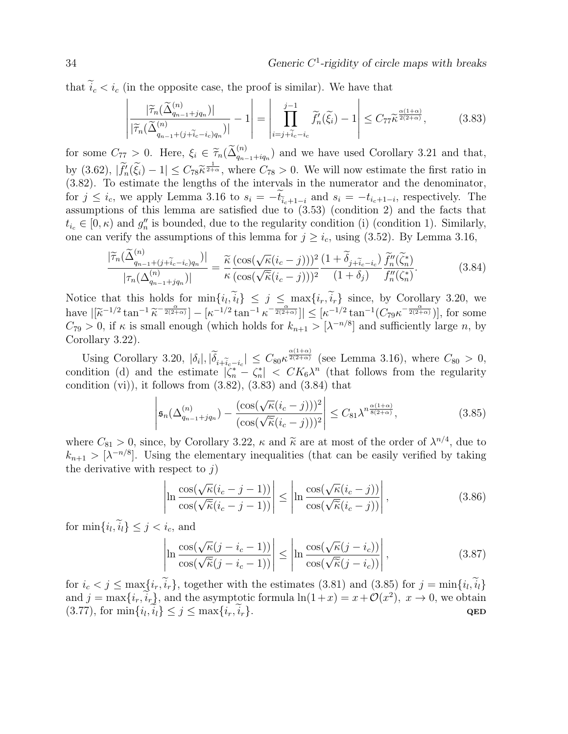that  $\tilde{i}_c < i_c$  (in the opposite case, the proof is similar). We have that

$$
\left| \frac{|\widetilde{\tau}_n(\widetilde{\Delta}_{q_{n-1}+jq_n}^{(n)})|}{|\widetilde{\tau}_n(\widetilde{\Delta}_{q_{n-1}+(j+\widetilde{i}_c-i_c)q_n}^{(n)})|} - 1 \right| = \left| \prod_{i=j+\widetilde{i}_c-i_c}^{j-1} \widetilde{f}'_n(\widetilde{\xi}_i) - 1 \right| \le C_{77} \widetilde{\kappa}^{\frac{\alpha(1+\alpha)}{2(2+\alpha)}},\tag{3.83}
$$

for some  $C_{77} > 0$ . Here,  $\xi_i \in \widetilde{\tau}_n(\widetilde{\Delta}_{q_{n-1}+iq_n}^{(n)})$  and we have used Corollary 3.21 and that, by  $(3.62)$ ,  $|\tilde{f}_n'(\tilde{\xi}_i) - 1| \leq C_{78} \tilde{\kappa}^{\frac{1}{2+\alpha}}$ , where  $C_{78} > 0$ . We will now estimate the first ratio in (3.82). To estimate the longitude of the intervals in the numerator and the dependence (3.82). To estimate the lengths of the intervals in the numerator and the denominator, for  $j \leq i_c$ , we apply Lemma 3.16 to  $s_i = -t_{\tilde{i}_c+1-i}$  and  $s_i = -t_{i_c+1-i}$ , respectively. The assumptions of this lemma are satisfied due to (3.53) (condition 2) and the facts that  $t_{i_c} \in [0, \kappa)$  and  $g''_n$  is bounded, due to the regularity condition (i) (condition 1). Similarly, one can verify the assumptions of this lemma for  $j \geq i_c$ , using (3.52). By Lemma 3.16,

$$
\frac{|\widetilde{\tau}_n(\widetilde{\Delta}_{q_{n-1}+(j+\widetilde{i}_c-i_c)q_n}^{(n)})|}{|\tau_n(\Delta_{q_{n-1}+jq_n}^{(n)})|} = \frac{\widetilde{\kappa}}{\kappa} \frac{(\cos(\sqrt{\kappa}(i_c-j)))^2 (1+\widetilde{\delta}_{j+\widetilde{i}_c-i_c})}{(\cos(\sqrt{\widetilde{\kappa}}(i_c-j)))^2} \frac{\widetilde{f}_n''(\widetilde{\zeta}_n^*)}{(1+\delta_j)}.
$$
(3.84)

Notice that this holds for  $\min\{i_l, i_l\} \leq j \leq \max\{i_r, i_r\}$  since, by Corollary 3.20, we have  $|[\widetilde{\kappa}^{-1/2} \tan^{-1} \widetilde{\kappa}^{-\frac{\alpha}{2(2+\alpha)}}] - [\kappa^{-1/2} \tan^{-1} \kappa^{-\frac{\alpha}{2(2+\alpha)}}]| \leq [\kappa^{-1/2} \tan^{-1} (C_{79} \kappa^{-\frac{\alpha}{2(2+\alpha)}})],$  for some<br> $C \to 0$  if  $\kappa$  is small enough (which holds for  $k > 0$ ,  $|\kappa|^{1/2}$  and sufficiently large  $n$  $C_{79} > 0$ , if  $\kappa$  is small enough (which holds for  $k_{n+1} > [\lambda^{-n/8}]$  and sufficiently large n, by Corollary 3.22).

Using Corollary 3.20,  $|\delta_i|, |\tilde{\delta}_{i+\tilde{i}_c-i_c}| \leq C_{80} \kappa^{\frac{\alpha(1+\alpha)}{2(2+\alpha)}}$  (see Lemma 3.16), where  $C_{80} > 0$ , condition (d) and the estimate  $|\zeta_n^* - \zeta_n^*| < CK_6\lambda^n$  (that follows from the regularity condition  $(vi)$ , it follows from  $(3.82)$ ,  $(3.83)$  and  $(3.84)$  that

$$
\left| \mathfrak{s}_{n}(\Delta_{q_{n-1}+jq_n}^{(n)}) - \frac{(\cos(\sqrt{\kappa}(i_c-j)))^2}{(\cos(\sqrt{\kappa}(i_c-j)))^2} \right| \leq C_{81} \lambda^{n \frac{\alpha(1+\alpha)}{8(2+\alpha)}}, \tag{3.85}
$$

where  $C_{81} > 0$ , since, by Corollary 3.22,  $\kappa$  and  $\tilde{\kappa}$  are at most of the order of  $\lambda^{n/4}$ , due to  $\kappa \geq 1 - n/8$ . Height the elementary inequalities (that can be easily verified by taking  $k_{n+1} > [\lambda^{-n/8}]$ . Using the elementary inequalities (that can be easily verified by taking the derivative with respect to  $j$ )

$$
\left| \ln \frac{\cos(\sqrt{\kappa}(i_c - j - 1))}{\cos(\sqrt{\kappa}(i_c - j - 1))} \right| \le \left| \ln \frac{\cos(\sqrt{\kappa}(i_c - j))}{\cos(\sqrt{\kappa}(i_c - j))} \right|,
$$
\n(3.86)

for  $\min\{i_l, i_l\} \leq j < i_c$ , and

$$
\left| \ln \frac{\cos(\sqrt{\kappa}(j - i_c - 1))}{\cos(\sqrt{\kappa}(j - i_c - 1))} \right| \le \left| \ln \frac{\cos(\sqrt{\kappa}(j - i_c))}{\cos(\sqrt{\kappa}(j - i_c))} \right|,
$$
\n(3.87)

for  $i_c < j \leq \max\{i_r, i_r\}$ , together with the estimates (3.81) and (3.85) for  $j = \min\{i_l, i_l\}$ and  $j = \max\{i_r, i_r\}$ , and the asymptotic formula  $\ln(1+x) = x + \mathcal{O}(x^2)$ ,  $x \to 0$ , we obtain (3.77), for  $\min\{i_l, i_l\} \le j \le \max\{i_r, i_r\}.$  QED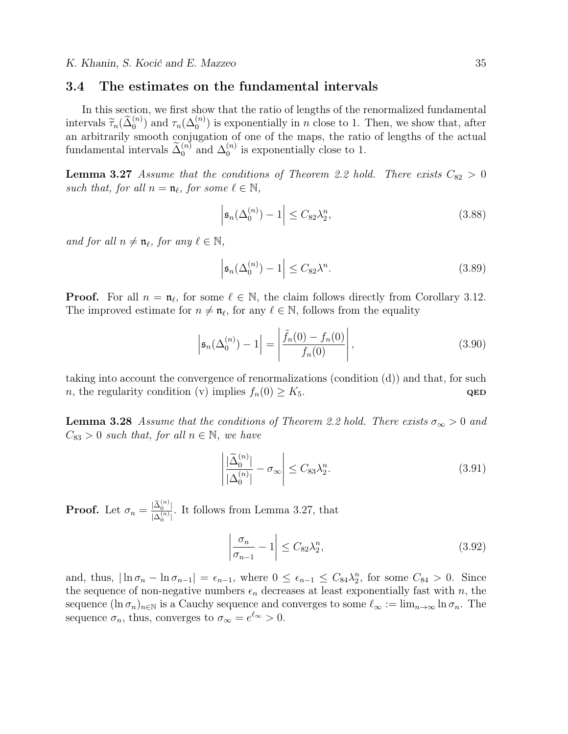#### 3.4 The estimates on the fundamental intervals

In this section, we first show that the ratio of lengths of the renormalized fundamental intervals  $\widetilde{\tau}_n(\widetilde{\Delta}_0^{(n)})$  and  $\tau_n(\Delta_0^{(n)})$  is exponentially in n close to 1. Then, we show that, after<br>on orbitrarily smooth conjugation of one of the maps, the ratio of longths of the actual an arbitrarily smooth conjugation of one of the maps, the ratio of lengths of the actual fundamental intervals  $\tilde{\Delta}_0^{(n)}$  and  $\Delta_0^{(n)}$  $\binom{n}{0}$  is exponentially close to 1.

**Lemma 3.27** Assume that the conditions of Theorem 2.2 hold. There exists  $C_{82} > 0$ such that, for all  $n = \mathfrak{n}_{\ell}$ , for some  $\ell \in \mathbb{N}$ ,

$$
\left|\mathfrak{s}_{n}(\Delta_{0}^{(n)})-1\right| \leq C_{82}\lambda_{2}^{n},\tag{3.88}
$$

and for all  $n \neq \mathfrak{n}_{\ell}$ , for any  $\ell \in \mathbb{N}$ ,

$$
\left|\mathfrak{s}_{n}(\Delta_{0}^{(n)})-1\right| \leq C_{82}\lambda^{n}.\tag{3.89}
$$

**Proof.** For all  $n = \mathfrak{n}_{\ell}$ , for some  $\ell \in \mathbb{N}$ , the claim follows directly from Corollary 3.12. The improved estimate for  $n \neq \mathfrak{n}_{\ell}$ , for any  $\ell \in \mathbb{N}$ , follows from the equality

$$
\left| \mathfrak{s}_{n}(\Delta_{0}^{(n)}) - 1 \right| = \left| \frac{\tilde{f}_{n}(0) - f_{n}(0)}{f_{n}(0)} \right|,
$$
\n(3.90)

taking into account the convergence of renormalizations (condition (d)) and that, for such n, the regularity condition (v) implies  $f_n(0) \geq K_5$ . QED

**Lemma 3.28** Assume that the conditions of Theorem 2.2 hold. There exists  $\sigma_{\infty} > 0$  and  $C_{83} > 0$  such that, for all  $n \in \mathbb{N}$ , we have

$$
\left| \frac{\widetilde{\Delta}_0^{(n)}}{|\Delta_0^{(n)}|} - \sigma_\infty \right| \le C_{83} \lambda_2^n. \tag{3.91}
$$

**Proof.** Let  $\sigma_n = \frac{|\tilde{\Delta}_0^{(n)}|}{\Delta_n^{(n)}|}$  $\frac{|\Delta_0^{(n)}|}{|\Delta_0^{(n)}|}$ . It follows from Lemma 3.27, that

$$
\left|\frac{\sigma_n}{\sigma_{n-1}} - 1\right| \le C_{82} \lambda_2^n,\tag{3.92}
$$

and, thus,  $|\ln \sigma_n - \ln \sigma_{n-1}| = \epsilon_{n-1}$ , where  $0 \leq \epsilon_{n-1} \leq C_{84} \lambda_2^n$ , for some  $C_{84} > 0$ . Since the sequence of non-negative numbers  $\epsilon_n$  decreases at least exponentially fast with n, the sequence  $(\ln \sigma_n)_{n \in \mathbb{N}}$  is a Cauchy sequence and converges to some  $\ell_{\infty} := \lim_{n \to \infty} \ln \sigma_n$ . The sequence  $\sigma_n$ , thus, converges to  $\sigma_{\infty} = e^{\ell_{\infty}} > 0$ .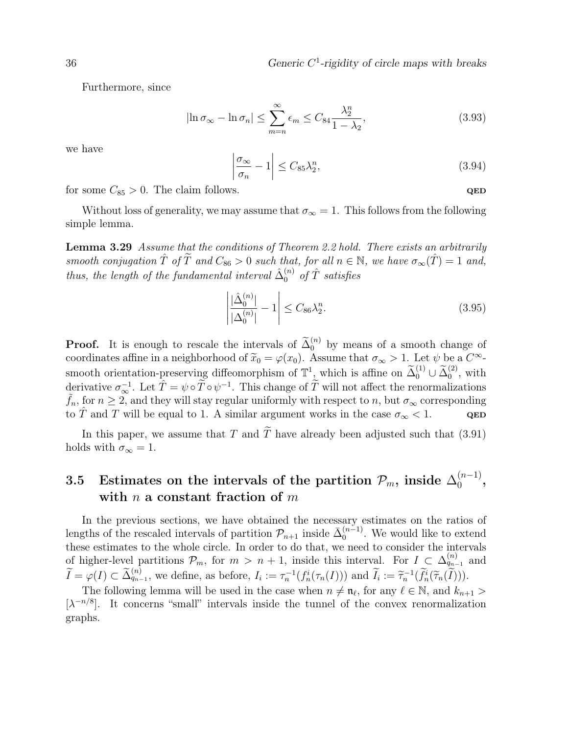Furthermore, since

$$
|\ln \sigma_{\infty} - \ln \sigma_n| \le \sum_{m=n}^{\infty} \epsilon_m \le C_{84} \frac{\lambda_2^n}{1 - \lambda_2},
$$
\n(3.93)

we have

$$
\left|\frac{\sigma_{\infty}}{\sigma_n} - 1\right| \le C_{85} \lambda_2^n,\tag{3.94}
$$

for some  $C_{85} > 0$ . The claim follows.  $QED$ 

Without loss of generality, we may assume that  $\sigma_{\infty} = 1$ . This follows from the following simple lemma.

**Lemma 3.29** Assume that the conditions of Theorem 2.2 hold. There exists an arbitrarily smooth conjugation  $\hat{T}$  of  $\tilde{T}$  and  $C_{86} > 0$  such that, for all  $n \in \mathbb{N}$ , we have  $\sigma_{\infty}(\hat{T}) = 1$  and, thus, the length of the fundamental interval  $\hat{\Delta}_0^{(n)}$  of  $\hat{T}$  satisfies

$$
\left| \frac{\hat{\Delta}_0^{(n)}}{|\Delta_0^{(n)}|} - 1 \right| \le C_{86} \lambda_2^n.
$$
\n(3.95)

**Proof.** It is enough to rescale the intervals of  $\tilde{\Delta}_0^{(n)}$  by means of a smooth change of coordinates affine in a neighborhood of  $\tilde{x}_0 = \varphi(x_0)$ . Assume that  $\sigma_{\infty} > 1$ . Let  $\psi$  be a  $C^{\infty}$ smooth orientation-preserving diffeomorphism of  $\mathbb{T}^1$ , which is affine on  $\widetilde{\Delta}_0^{(1)} \cup \widetilde{\Delta}_0^{(2)}$ , with derivative  $\sigma_{\infty}^{-1}$ . Let  $\hat{T} = \psi \circ \tilde{T} \circ \psi^{-1}$ . This change of  $\tilde{T}$  will not affect the renormalizations  $\tilde{f}_n$ , for  $n \geq 2$ , and they will stay regular uniformly with respect to n, but  $\sigma_{\infty}$  corresponding to T and T will be equal to 1. A similar argument works in the case  $\sigma_{\infty} < 1$ . QED

In this paper, we assume that T and  $\widetilde{T}$  have already been adjusted such that (3.91) holds with  $\sigma_{\infty} = 1$ .

#### 3.5 Estimates on the intervals of the partition  $\mathcal{P}_m,$  inside  $\Delta_0^{(n-1)}$  $\binom{n-1}{0}$ , with n a constant fraction of  $m$

In the previous sections, we have obtained the necessary estimates on the ratios of lengths of the rescaled intervals of partition  $\mathcal{P}_{n+1}$  inside  $\bar{\Delta}_0^{(n-1)}$  $\binom{n-1}{0}$ . We would like to extend these estimates to the whole circle. In order to do that, we need to consider the intervals of higher-level partitions  $\mathcal{P}_m$ , for  $m > n + 1$ , inside this interval. For  $I \subset \Delta_{q_{n-1}}^{(n)}$  and  $\widetilde{I} = \varphi(I) \subset \widetilde{\Delta}_{q_{n-1}}^{(n)}$ , we define, as before,  $I_i := \tau_n^{-1}(f_n^i(\tau_n(I)))$  and  $\widetilde{I}_i := \widetilde{\tau}_n^{-1}(\widetilde{f}_n^i(\widetilde{\tau}_n(\widetilde{I}))).$ 

The following lemma will be used in the case when  $n \neq \mathfrak{n}_{\ell}$ , for any  $\ell \in \mathbb{N}$ , and  $k_{n+1} >$ [ $\lambda^{-n/8}$ ]. It concerns "small" intervals inside the tunnel of the convex renormalization graphs.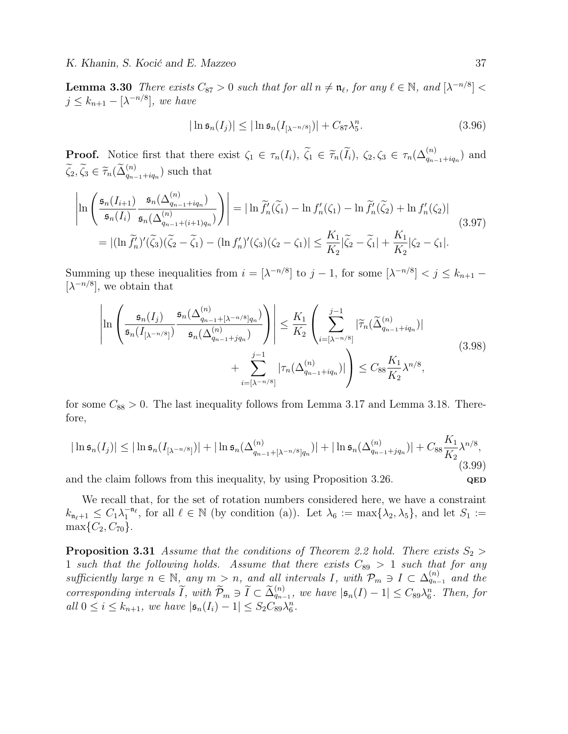**Lemma 3.30** There exists  $C_{87} > 0$  such that for all  $n \neq n_\ell$ , for any  $\ell \in \mathbb{N}$ , and  $[\lambda^{-n/8}] <$  $j \leq k_{n+1} - [\lambda^{-n/8}],$  we have

$$
|\ln \mathfrak{s}_n(I_j)| \leq |\ln \mathfrak{s}_n(I_{\lbrack \lambda^{-n/8} \rbrack})| + C_{87} \lambda_5^n. \tag{3.96}
$$

**Proof.** Notice first that there exist  $\zeta_1 \in \tau_n(I_i)$ ,  $\tilde{\zeta}_1 \in \tilde{\tau}_n(\tilde{I}_i)$ ,  $\zeta_2, \zeta_3 \in \tau_n(\Delta_{q_{n-1}+iq_n}^{(n)})$  and  $\widetilde{\zeta}_2, \widetilde{\zeta}_3 \in \widetilde{\tau}_n(\widetilde{\Delta}_{q_{n-1}+iq_n}^{(n)})$  such that

$$
\left| \ln \left( \frac{\mathfrak{s}_n(I_{i+1})}{\mathfrak{s}_n(I_i)} \frac{\mathfrak{s}_n(\Delta_{q_{n-1}+iq_n}^{(n)})}{\mathfrak{s}_n(\Delta_{q_{n-1}+(i+1)q_n}^{(n)})} \right) \right| = |\ln \widetilde{f}_n'(\widetilde{\zeta}_1) - \ln f_n'(\zeta_1) - \ln \widetilde{f}_n'(\widetilde{\zeta}_2) + \ln f_n'(\zeta_2)|
$$
\n
$$
= |(\ln \widetilde{f}_n')'(\widetilde{\zeta}_3)(\widetilde{\zeta}_2 - \widetilde{\zeta}_1) - (\ln f_n')'(\zeta_3)(\zeta_2 - \zeta_1)| \le \frac{K_1}{K_2} |\widetilde{\zeta}_2 - \widetilde{\zeta}_1| + \frac{K_1}{K_2} |\zeta_2 - \zeta_1|.
$$
\n(3.97)

Summing up these inequalities from  $i = [\lambda^{-n/8}]$  to  $j - 1$ , for some  $[\lambda^{-n/8}] < j \leq k_{n+1}$  $[\lambda^{-n/8}]$ , we obtain that

$$
\left| \ln \left( \frac{\mathfrak{s}_n(I_j)}{\mathfrak{s}_n(I_{[\lambda^{-n/8}]})} \frac{\mathfrak{s}_n(\Delta_{q_{n-1}+[\lambda^{-n/8}]q_n}^{(n)})}{\mathfrak{s}_n(\Delta_{q_{n-1}+jq_n}^{(n)})} \right) \right| \leq \frac{K_1}{K_2} \left( \sum_{i=[\lambda^{-n/8}]}^{j-1} |\widetilde{\tau}_n(\widetilde{\Delta}_{q_{n-1}+iq_n}^{(n)})| + \sum_{i=[\lambda^{-n/8}]}^{j-1} |\tau_n(\Delta_{q_{n-1}+iq_n}^{(n)})| \right) \leq C_{88} \frac{K_1}{K_2} \lambda^{n/8}, \tag{3.98}
$$

for some  $C_{88} > 0$ . The last inequality follows from Lemma 3.17 and Lemma 3.18. Therefore,

$$
|\ln \mathfrak{s}_n(I_j)| \leq |\ln \mathfrak{s}_n(I_{[\lambda^{-n/8}]})| + |\ln \mathfrak{s}_n(\Delta_{q_{n-1} + [\lambda^{-n/8}]q_n}^{(n)})| + |\ln \mathfrak{s}_n(\Delta_{q_{n-1} + jq_n}^{(n)})| + C_{88} \frac{K_1}{K_2} \lambda^{n/8},
$$
\n(3.99)

and the claim follows from this inequality, by using Proposition 3.26. QED

We recall that, for the set of rotation numbers considered here, we have a constraint  $k_{\mathfrak{n}_{\ell}+1} \leq C_1 \lambda_1^{-\mathfrak{n}_{\ell}}$ , for all  $\ell \in \mathbb{N}$  (by condition (a)). Let  $\lambda_6 := \max\{\lambda_2, \lambda_5\}$ , and let  $S_1 :=$  $\max\{C_2, C_{70}\}.$ 

**Proposition 3.31** Assume that the conditions of Theorem 2.2 hold. There exists  $S_2 >$ 1 such that the following holds. Assume that there exists  $C_{89} > 1$  such that for any sufficiently large  $n \in \mathbb{N}$ , any  $m > n$ , and all intervals I, with  $\mathcal{P}_m \ni I \subset \Delta_{q_{n-1}}^{(n)}$  and the corresponding intervals  $\widetilde{I}$ , with  $\widetilde{\mathcal{P}}_m \ni \widetilde{I} \subset \widetilde{\Delta}_{q_{n-1}}^{(n)}$ , we have  $|\mathfrak{s}_n(I)-1| \leq C_{89}\lambda_6^n$ . Then, for all  $0 \le i \le k_{n+1}$ , we have  $|\mathfrak{s}_n(I_i) - 1| \le S_2 C_{89} \lambda_6^n$ .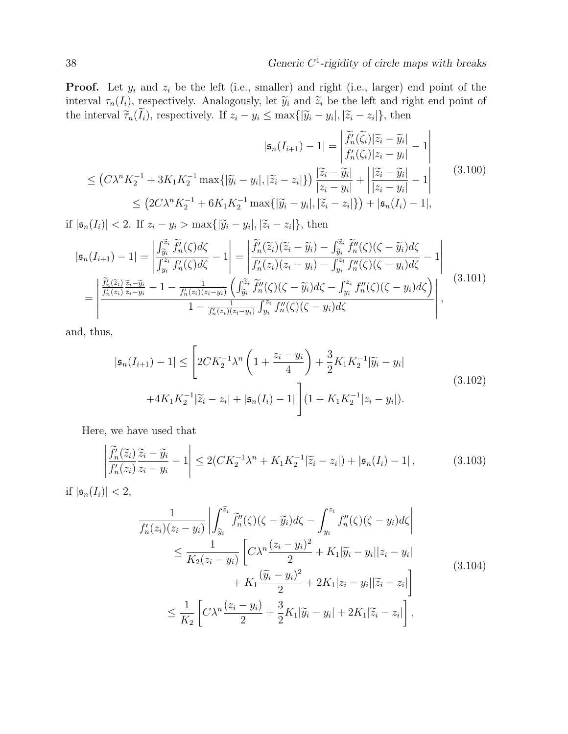**Proof.** Let  $y_i$  and  $z_i$  be the left (i.e., smaller) and right (i.e., larger) end point of the interval  $\tau_n(I_i)$ , respectively. Analogously, let  $\widetilde{y}_i$  and  $\widetilde{z}_i$  be the left and right end point of the interval  $\tilde{\tau}_n(I_i)$ , respectively. If  $z_i - y_i \le \max\{|\tilde{y}_i - y_i|, |\tilde{z}_i - z_i|\}$ , then

$$
|\mathfrak{s}_n(I_{i+1}) - 1| = \left| \frac{\widetilde{f}'_n(\widetilde{\zeta}_i) |\widetilde{z}_i - \widetilde{y}_i|}{f'_n(\zeta_i) |z_i - y_i|} - 1 \right|
$$
  
\n
$$
\leq (C\lambda^n K_2^{-1} + 3K_1 K_2^{-1} \max\{|\widetilde{y}_i - y_i|, |\widetilde{z}_i - z_i|\}) \frac{|\widetilde{z}_i - \widetilde{y}_i|}{|z_i - y_i|} + \left| \frac{|\widetilde{z}_i - \widetilde{y}_i|}{|z_i - y_i|} - 1 \right|
$$
  
\n
$$
\leq (2C\lambda^n K_2^{-1} + 6K_1 K_2^{-1} \max\{|\widetilde{y}_i - y_i|, |\widetilde{z}_i - z_i|\}) + |\mathfrak{s}_n(I_i) - 1|,
$$
\n(3.100)

if  $|\mathfrak{s}_n(I_i)| < 2$ . If  $z_i - y_i > \max\{|\widetilde{y}_i - y_i|, |\widetilde{z}_i - z_i|\}$ , then

$$
|\mathfrak{s}_{n}(I_{i+1}) - 1| = \left| \frac{\int_{\widetilde{y}_{i}}^{\widetilde{z}_{i}} \widetilde{f}_{n}'(\zeta) d\zeta}{\int_{y_{i}}^{z_{i}} f_{n}'(\zeta) d\zeta} - 1 \right| = \left| \frac{\widetilde{f}_{n}'(\widetilde{z}_{i})(\widetilde{z}_{i} - \widetilde{y}_{i}) - \int_{\widetilde{y}_{i}}^{\widetilde{z}_{i}} \widetilde{f}_{n}''(\zeta)(\zeta - \widetilde{y}_{i}) d\zeta}{\int_{y_{i}}^{z_{i}} f_{n}'(\zeta)(\zeta - y_{i}) - \int_{y_{i}}^{z_{i}} f_{n}''(\zeta)(\zeta - y_{i}) d\zeta} - 1 \right|
$$
\n
$$
= \left| \frac{\widetilde{f}_{n}'(\widetilde{z}_{i}) \widetilde{z}_{i} - \widetilde{y}_{i}}{\int_{y_{i}}^{z_{i}} \widetilde{z}_{i} - y_{i}} - 1 - \frac{1}{f_{n}'(z_{i})(z_{i} - y_{i})} \left( \int_{\widetilde{y}_{i}}^{\widetilde{z}_{i}} \widetilde{f}_{n}''(\zeta)(\zeta - \widetilde{y}_{i}) d\zeta - \int_{y_{i}}^{z_{i}} f_{n}''(\zeta)(\zeta - y_{i}) d\zeta \right) \right|, \qquad (3.101)
$$
\n
$$
1 - \frac{1}{f_{n}'(z_{i})(z_{i} - y_{i})} \int_{y_{i}}^{z_{i}} f_{n}''(\zeta)(\zeta - y_{i}) d\zeta
$$

and, thus,

$$
|\mathfrak{s}_n(I_{i+1}) - 1| \leq \left[2CK_2^{-1}\lambda^n \left(1 + \frac{z_i - y_i}{4}\right) + \frac{3}{2}K_1K_2^{-1}|\widetilde{y}_i - y_i| \right. \\ \left. + 4K_1K_2^{-1}|\widetilde{z}_i - z_i| + |\mathfrak{s}_n(I_i) - 1|\right](1 + K_1K_2^{-1}|z_i - y_i|). \tag{3.102}
$$

Here, we have used that

$$
\left| \frac{\widetilde{f}_n'(\widetilde{z}_i)}{f_n'(z_i)} \frac{\widetilde{z}_i - \widetilde{y}_i}{z_i - y_i} - 1 \right| \le 2(CK_2^{-1}\lambda^n + K_1K_2^{-1}|\widetilde{z}_i - z_i|) + |\mathfrak{s}_n(I_i) - 1|,
$$
\n(3.103)

if  $|\mathfrak{s}_n(I_i)| < 2$ ,

$$
\frac{1}{f'_n(z_i)(z_i - y_i)} \left| \int_{\widetilde{y}_i}^{\widetilde{z}_i} \widetilde{f''}_n(\zeta)(\zeta - \widetilde{y}_i) d\zeta - \int_{y_i}^{z_i} f''_n(\zeta)(\zeta - y_i) d\zeta \right|
$$
\n
$$
\leq \frac{1}{K_2(z_i - y_i)} \left[ C\lambda^n \frac{(z_i - y_i)^2}{2} + K_1 |\widetilde{y}_i - y_i| |z_i - y_i| + K_1 \frac{(\widetilde{y}_i - y_i)^2}{2} + 2K_1 |z_i - y_i| |\widetilde{z}_i - z_i| \right]
$$
\n
$$
\leq \frac{1}{K_2} \left[ C\lambda^n \frac{(z_i - y_i)}{2} + \frac{3}{2} K_1 |\widetilde{y}_i - y_i| + 2K_1 |\widetilde{z}_i - z_i| \right],
$$
\n(3.104)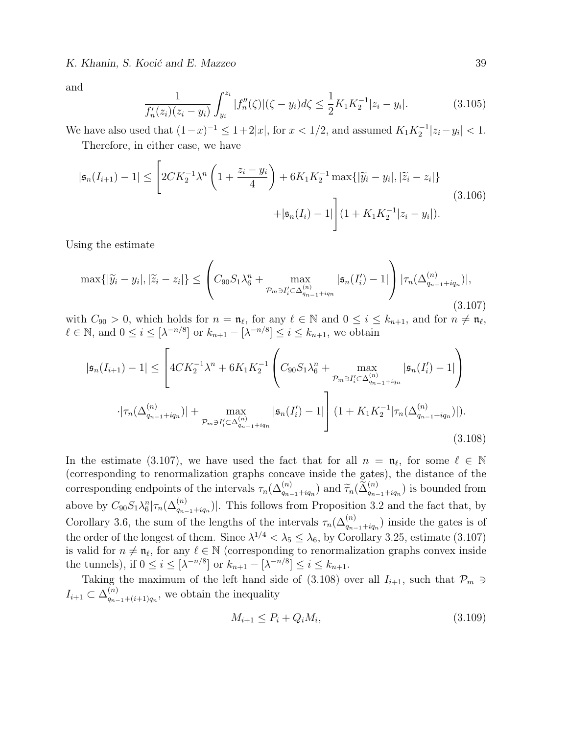K. Khanin, S. Kocić and E. Mazzeo 39

and

$$
\frac{1}{f'_n(z_i)(z_i - y_i)} \int_{y_i}^{z_i} |f''_n(\zeta)|(\zeta - y_i) d\zeta \le \frac{1}{2} K_1 K_2^{-1} |z_i - y_i|.
$$
\n(3.105)

We have also used that  $(1-x)^{-1} \leq 1+2|x|$ , for  $x < 1/2$ , and assumed  $K_1K_2^{-1}|z_i - y_i| < 1$ . Therefore, in either case, we have

$$
|\mathfrak{s}_n(I_{i+1}) - 1| \leq \left[2CK_2^{-1}\lambda^n \left(1 + \frac{z_i - y_i}{4}\right) + 6K_1K_2^{-1} \max\{|\widetilde{y}_i - y_i|, |\widetilde{z}_i - z_i|\} + |\mathfrak{s}_n(I_i) - 1|\right] (1 + K_1K_2^{-1}|z_i - y_i|).
$$
\n(3.106)

Using the estimate

$$
\max\{|\widetilde{y}_i - y_i|, |\widetilde{z}_i - z_i|\} \leq \left(C_{90}S_1\lambda_6^n + \max_{\mathcal{P}_m \ni I_i' \subset \Delta_{q_{n-1}+iq_n}^{(n)}} |\mathfrak{s}_n(I_i') - 1|\right) |\tau_n(\Delta_{q_{n-1}+iq_n}^{(n)})|,
$$
\n(3.107)

with  $C_{90} > 0$ , which holds for  $n = \mathfrak{n}_{\ell}$ , for any  $\ell \in \mathbb{N}$  and  $0 \leq i \leq k_{n+1}$ , and for  $n \neq \mathfrak{n}_{\ell}$ ,  $\ell \in \mathbb{N}$ , and  $0 \leq i \leq [\lambda^{-n/8}]$  or  $k_{n+1} - [\lambda^{-n/8}] \leq i \leq k_{n+1}$ , we obtain

$$
|\mathfrak{s}_{n}(I_{i+1}) - 1| \leq \left[ 4CK_{2}^{-1}\lambda^{n} + 6K_{1}K_{2}^{-1} \left( C_{90}S_{1}\lambda_{6}^{n} + \max_{\mathcal{P}_{m}\ni I_{i}^{\prime}\subset\Delta_{q_{n-1}+iq_{n}}^{(n)}} |\mathfrak{s}_{n}(I_{i}^{\prime}) - 1| \right) \right]
$$

$$
\cdot |\tau_{n}(\Delta_{q_{n-1}+iq_{n}}^{(n)})| + \max_{\mathcal{P}_{m}\ni I_{i}^{\prime}\subset\Delta_{q_{n-1}+iq_{n}}^{(n)}} |\mathfrak{s}_{n}(I_{i}^{\prime}) - 1| \right] (1 + K_{1}K_{2}^{-1}|\tau_{n}(\Delta_{q_{n-1}+iq_{n}}^{(n)})|).
$$
(3.108)

In the estimate (3.107), we have used the fact that for all  $n = \mathfrak{n}_{\ell}$ , for some  $\ell \in \mathbb{N}$ (corresponding to renormalization graphs concave inside the gates), the distance of the corresponding endpoints of the intervals  $\tau_n(\Delta_{q_{n-1}+iq_n}^{(n)})$  and  $\widetilde{\tau}_n(\widetilde{\Delta}_{q_{n-1}+iq_n}^{(n)})$  is bounded from above by  $C_{90}S_1\lambda_6^n|\tau_n(\Delta_{q_{n-1}+iq_n}^{(n)})|$ . This follows from Proposition 3.2 and the fact that, by Corollary 3.6, the sum of the lengths of the intervals  $\tau_n(\Delta_{q_{n-1}+iq_n}^{(n)})$  inside the gates is of the order of the longest of them. Since  $\lambda^{1/4} < \lambda_5 \leq \lambda_6$ , by Corollary 3.25, estimate (3.107) is valid for  $n \neq \mathfrak{n}_{\ell}$ , for any  $\ell \in \mathbb{N}$  (corresponding to renormalization graphs convex inside the tunnels), if  $0 \le i \le [\lambda^{-n/8}]$  or  $k_{n+1} - [\lambda^{-n/8}] \le i \le k_{n+1}$ .

Taking the maximum of the left hand side of (3.108) over all  $I_{i+1}$ , such that  $\mathcal{P}_m \ni$  $I_{i+1} \subset \Delta_{a_{n-1}}^{(n)}$  $\binom{n}{q_{n-1}+(i+1)q_n}$ , we obtain the inequality

$$
M_{i+1} \le P_i + Q_i M_i, \tag{3.109}
$$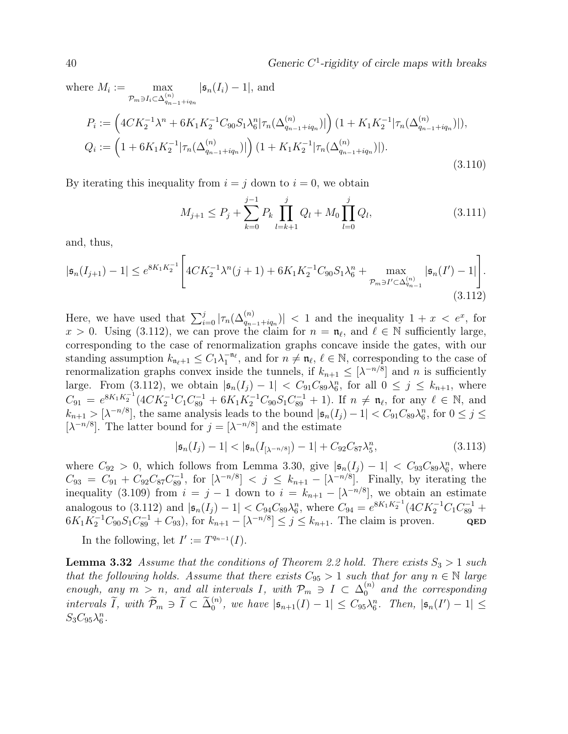$40$  Generic  $C<sup>1</sup>$ -rigidity of circle maps with breaks

where 
$$
M_i := \max_{p_m \ni I_i \subset \Delta_{q_{n-1}+iq_n}^{(n)}} |\mathfrak{s}_n(I_i) - 1|
$$
, and  
\n
$$
P_i := \left(4CK_2^{-1}\lambda^n + 6K_1K_2^{-1}C_{90}S_1\lambda_6^n|\tau_n(\Delta_{q_{n-1}+iq_n}^{(n)})|\right)(1 + K_1K_2^{-1}|\tau_n(\Delta_{q_{n-1}+iq_n}^{(n)})|),
$$
\n
$$
Q_i := \left(1 + 6K_1K_2^{-1}|\tau_n(\Delta_{q_{n-1}+iq_n}^{(n)})|\right)(1 + K_1K_2^{-1}|\tau_n(\Delta_{q_{n-1}+iq_n}^{(n)})|).
$$
\n(3.110)

By iterating this inequality from  $i = j$  down to  $i = 0$ , we obtain

$$
M_{j+1} \le P_j + \sum_{k=0}^{j-1} P_k \prod_{l=k+1}^j Q_l + M_0 \prod_{l=0}^j Q_l, \tag{3.111}
$$

and, thus,

$$
|\mathfrak{s}_n(I_{j+1}) - 1| \le e^{8K_1K_2^{-1}} \Bigg[ 4CK_2^{-1} \lambda^n(j+1) + 6K_1K_2^{-1}C_{90}S_1\lambda_6^n + \max_{\mathcal{P}_m \ni I' \subset \Delta_{q_{n-1}}^{(n)}} |\mathfrak{s}_n(I') - 1| \Bigg]. \tag{3.112}
$$

Here, we have used that  $\sum_{i=0}^{j} |\tau_n(\Delta_{q_{n-1}+iq_n}^{(n)})| < 1$  and the inequality  $1+x < e^x$ , for  $x > 0$ . Using (3.112), we can prove the claim for  $n = \mathfrak{n}_{\ell}$ , and  $\ell \in \mathbb{N}$  sufficiently large, corresponding to the case of renormalization graphs concave inside the gates, with our standing assumption  $k_{\mathfrak{n}_{\ell}+1} \leq C_1 \lambda_1^{-\mathfrak{n}_{\ell}}$ , and for  $n \neq \mathfrak{n}_{\ell}, \ell \in \mathbb{N}$ , corresponding to the case of renormalization graphs convex inside the tunnels, if  $k_{n+1} \leq [\lambda^{-n/8}]$  and n is sufficiently large. From (3.112), we obtain  $|\mathfrak{s}_n(I_j) - 1| < C_{91}C_{89}\lambda_6^n$ , for all  $0 \leq j \leq k_{n+1}$ , where  $C_{91} = e^{8K_1K_2^{-1}}(4CK_2^{-1}C_1C_{89}^{-1} + 6K_1K_2^{-1}C_{90}S_1C_{89}^{-1} + 1)$ . If  $n \neq \mathfrak{n}_{\ell}$ , for any  $\ell \in \mathbb{N}$ , and  $k_{n+1} > [\lambda^{-n/8}]$ , the same analysis leads to the bound  $|\mathfrak{s}_n(I_j) - 1| < C_{91}C_{89}\lambda_6^n$ , for  $0 \le j \le k$ [ $\lambda^{-n/8}$ ]. The latter bound for  $j = \lceil \lambda^{-n/8} \rceil$  and the estimate

$$
|\mathfrak{s}_n(I_j) - 1| < |\mathfrak{s}_n(I_{[\lambda^{-n/8}]}) - 1| + C_{92}C_{87}\lambda_5^n,\tag{3.113}
$$

where  $C_{92} > 0$ , which follows from Lemma 3.30, give  $|\mathfrak{s}_n(I_j) - 1| < C_{93}C_{89}\lambda_6^n$ , where  $C_{93} = C_{91} + C_{92}C_{87}C_{89}^{-1}$ , for  $[\lambda^{-n/8}] < j \leq k_{n+1} - [\lambda^{-n/8}]$ . Finally, by iterating the inequality (3.109) from  $i = j - 1$  down to  $i = k_{n+1} - [\lambda^{-n/8}]$ , we obtain an estimate analogous to (3.112) and  $|\mathfrak{s}_n(I_j) - 1| < C_{94}C_{89}\lambda_6^n$ , where  $C_{94} = e^{8K_1K_2^{-1}}(4CK_2^{-1}C_1C_{89}^{-1} +$  $6K_1K_2^{-1}C_{90}S_1C_{89}^{-1}+C_{93}$ , for  $k_{n+1}-[\lambda^{-n/8}]\leq j\leq k_{n+1}$ . The claim is proven. QED

In the following, let  $I' := T^{q_{n-1}}(I)$ .

**Lemma 3.32** Assume that the conditions of Theorem 2.2 hold. There exists  $S_3 > 1$  such that the following holds. Assume that there exists  $C_{95} > 1$  such that for any  $n \in \mathbb{N}$  large enough, any  $m > n$ , and all intervals I, with  $\mathcal{P}_m \ni I \subset \Delta_0^{(n)}$  and the corresponding intervals  $\widetilde{I}$ , with  $\widetilde{\mathcal{P}}_m \ni \widetilde{I} \subset \widetilde{\Delta}_0^{(n)}$ , we have  $|\mathfrak{s}_{n+1}(I)-1| \leq C_{95} \lambda_6^n$ . Then,  $|\mathfrak{s}_n(I')-1| \leq C_{96} \lambda_6^n$ .  $S_3C_{95}\lambda_6^n$ .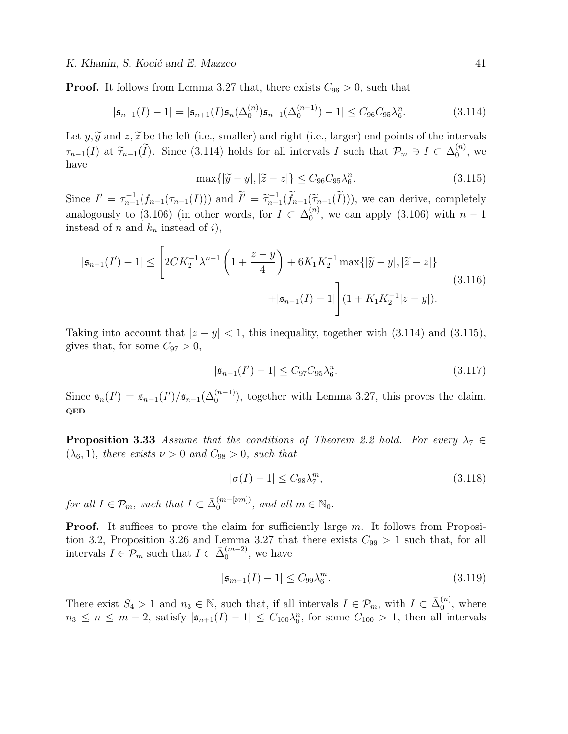**Proof.** It follows from Lemma 3.27 that, there exists  $C_{96} > 0$ , such that

$$
|\mathfrak{s}_{n-1}(I) - 1| = |\mathfrak{s}_{n+1}(I)\mathfrak{s}_n(\Delta_0^{(n)})\mathfrak{s}_{n-1}(\Delta_0^{(n-1)}) - 1| \leq C_{96}C_{95}\lambda_6^n. \tag{3.114}
$$

Let y,  $\widetilde{y}$  and z,  $\widetilde{z}$  be the left (i.e., smaller) and right (i.e., larger) end points of the intervals  $\tau_{n-1}(I)$  at  $\tilde{\tau}_{n-1}(\tilde{I})$ . Since (3.114) holds for all intervals I such that  $\mathcal{P}_m \ni I \subset \Delta_0^{(n)}$  $\binom{n}{0}$ , we have

$$
\max\{|\widetilde{y} - y|, |\widetilde{z} - z|\} \le C_{96}C_{95}\lambda_6^n. \tag{3.115}
$$

Since  $I' = \tau_{n-1}^{-1}(f_{n-1}(\tau_{n-1}(I)))$  and  $\widetilde{I}' = \widetilde{\tau}_{n-1}^{-1}(\widetilde{f}_{n-1}(\widetilde{\tau}_{n-1}(I))),$  we can derive, completely analogously to (3.106) (in other words, for  $I \subset \Delta_0^{(n)}$  $\binom{n}{0}$ , we can apply (3.106) with  $n-1$ instead of n and  $k_n$  instead of i),

$$
|\mathfrak{s}_{n-1}(I') - 1| \leq \left[2CK_2^{-1}\lambda^{n-1}\left(1 + \frac{z-y}{4}\right) + 6K_1K_2^{-1}\max\{|\widetilde{y} - y|, |\widetilde{z} - z|\} + |\mathfrak{s}_{n-1}(I) - 1|\right](1 + K_1K_2^{-1}|z - y|).
$$
\n(3.116)

Taking into account that  $|z - y| < 1$ , this inequality, together with (3.114) and (3.115), gives that, for some  $C_{97} > 0$ ,

$$
|\mathfrak{s}_{n-1}(I') - 1| \leq C_{97} C_{95} \lambda_6^n. \tag{3.117}
$$

Since  $\mathfrak{s}_n(I') = \mathfrak{s}_{n-1}(I')/\mathfrak{s}_{n-1}(\Delta_0^{(n-1)})$ , together with Lemma 3.27, this proves the claim. QED

**Proposition 3.33** Assume that the conditions of Theorem 2.2 hold. For every  $\lambda_7 \in$  $(\lambda_6, 1)$ , there exists  $\nu > 0$  and  $C_{98} > 0$ , such that

$$
|\sigma(I) - 1| \le C_{98} \lambda_7^m,\tag{3.118}
$$

for all  $I \in \mathcal{P}_m$ , such that  $I \subset \bar{\Delta}_0^{(m-[vm])}$  $_0^{(m-[vm])}$ , and all  $m \in \mathbb{N}_0$ .

**Proof.** It suffices to prove the claim for sufficiently large  $m$ . It follows from Proposition 3.2, Proposition 3.26 and Lemma 3.27 that there exists  $C_{99} > 1$  such that, for all intervals  $I \in \mathcal{P}_m$  such that  $I \subset \bar{\Delta}_0^{(m-2)}$  $\binom{(m-2)}{0}$ , we have

$$
|\mathfrak{s}_{m-1}(I)-1| \leq C_{99} \lambda_6^m. \tag{3.119}
$$

There exist  $S_4 > 1$  and  $n_3 \in \mathbb{N}$ , such that, if all intervals  $I \in \mathcal{P}_m$ , with  $I \subset \bar{\Delta}_0^{(n)}$  $\binom{n}{0}$ , where  $n_3 \leq n \leq m-2$ , satisfy  $|\mathfrak{s}_{n+1}(I)-1| \leq C_{100}\lambda_6^n$ , for some  $C_{100} > 1$ , then all intervals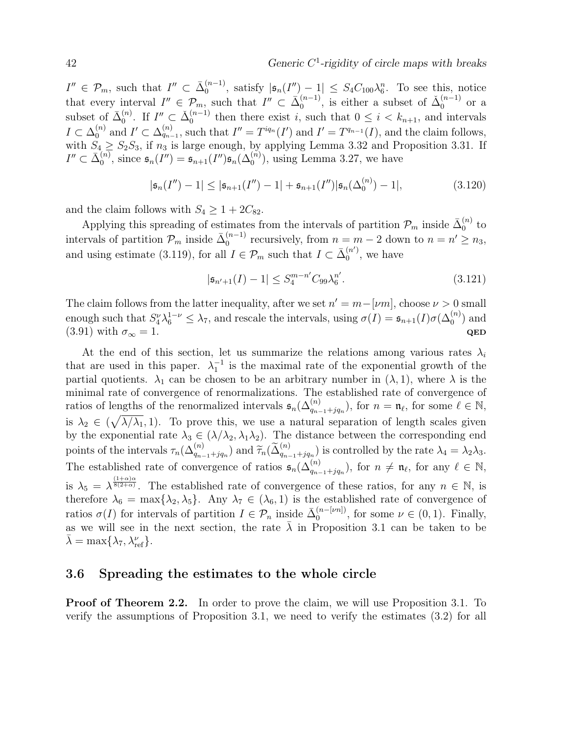$I'' \in \mathcal{P}_m$ , such that  $I'' \subset \overline{\Delta}_0^{(n-1)}$  $\int_0^{(n-1)}$ , satisfy  $|\mathfrak{s}_n(I'')-1| \leq S_4 C_{100} \lambda_6^n$ . To see this, notice that every interval  $I'' \in \mathcal{P}_m$ , such that  $I'' \subset \overline{\Delta}_0^{(n-1)}$  $\zeta_0^{(n-1)}$ , is either a subset of  $\check{\Delta}_0^{(n-1)}$  $\binom{n-1}{0}$  or a subset of  $\bar{\Delta}_0^{(n)}$  $\Omega_0^{(n)}$ . If  $I'' \subset \check{\Delta}_0^{(n-1)}$  $t_0^{(n-1)}$  then there exist i, such that  $0 \leq i \leq k_{n+1}$ , and intervals  $I \subset \Delta_0^{(n)}$  $\mathcal{I}_{0}^{(n)}$  and  $I' \subset \Delta_{q_{n-1}}^{(n)}$ , such that  $I'' = T^{iq_n}(I')$  and  $I' = T^{q_{n-1}}(I)$ , and the claim follows, with  $S_4 \geq S_2 S_3$ , if  $n_3$  is large enough, by applying Lemma 3.32 and Proposition 3.31. If  $I''\subset \bar{\Delta}_0^{(n)}$  $\mathfrak{s}_0^{(n)}$ , since  $\mathfrak{s}_n(I'') = \mathfrak{s}_{n+1}(I'')\mathfrak{s}_n(\Delta_0^{(n)})$ , using Lemma 3.27, we have

$$
|\mathfrak{s}_n(I'') - 1| \le |\mathfrak{s}_{n+1}(I'') - 1| + \mathfrak{s}_{n+1}(I'')|\mathfrak{s}_n(\Delta_0^{(n)}) - 1|,
$$
\n(3.120)

and the claim follows with  $S_4 \geq 1 + 2C_{82}$ .

Applying this spreading of estimates from the intervals of partition  $\mathcal{P}_m$  inside  $\bar{\Delta}_0^{(n)}$  $_0^{(n)}$  to intervals of partition  $\mathcal{P}_m$  inside  $\bar{\Delta}_0^{(n-1)}$  $n_0^{(n-1)}$  recursively, from  $n = m - 2$  down to  $n = n' \ge n_3$ , and using estimate (3.119), for all  $I \in \mathcal{P}_m$  such that  $I \subset \overline{\Delta}_0^{(n')}$  $\binom{n}{0}$ , we have

$$
|\mathfrak{s}_{n'+1}(I) - 1| \le S_4^{m-n'} C_{99} \lambda_6^{n'}.
$$
\n(3.121)

The claim follows from the latter inequality, after we set  $n' = m - \lfloor \nu m \rfloor$ , choose  $\nu > 0$  small enough such that  $S_4^{\nu} \lambda_6^{1-\nu} \leq \lambda_7$ , and rescale the intervals, using  $\sigma(I) = \mathfrak{s}_{n+1}(I) \sigma(\Delta_0^{(n)})$  and (3.91) with  $\sigma_{\infty} = 1$ . QED

At the end of this section, let us summarize the relations among various rates  $\lambda_i$ that are used in this paper.  $\lambda_1^{-1}$  is the maximal rate of the exponential growth of the partial quotients.  $\lambda_1$  can be chosen to be an arbitrary number in  $(\lambda, 1)$ , where  $\lambda$  is the minimal rate of convergence of renormalizations. The established rate of convergence of ratios of lengths of the renormalized intervals  $\mathfrak{s}_n(\Delta_{q_{n-1}+jq_n}^{(n)}),$  for  $n = \mathfrak{n}_{\ell}$ , for some  $\ell \in \mathbb{N}$ , is  $\lambda_2 \in (\sqrt{\lambda/\lambda_1}, 1)$ . To prove this, we use a natural separation of length scales given by the exponential rate  $\lambda_3 \in (\lambda/\lambda_2, \lambda_1\lambda_2)$ . The distance between the corresponding end points of the intervals  $\tau_n(\Delta_{q_{n-1}+jq_n}^{(n)})$  and  $\widetilde{\tau}_n(\widetilde{\Delta}_{q_{n-1}+jq_n}^{(n)})$  is controlled by the rate  $\lambda_4 = \lambda_2\lambda_3$ . The established rate of convergence of ratios  $\mathfrak{s}_n(\Delta_{q_{n-1}+jq_n}^{(n)}),$  for  $n \neq \mathfrak{n}_{\ell}$ , for any  $\ell \in \mathbb{N}$ , is  $\lambda_5 = \lambda^{\frac{(1+\alpha)\alpha}{8(2+\alpha)}}$ . The established rate of convergence of these ratios, for any  $n \in \mathbb{N}$ , is therefore  $\lambda_6 = \max{\lambda_2, \lambda_5}$ . Any  $\lambda_7 \in (\lambda_6, 1)$  is the established rate of convergence of ratios  $\sigma(I)$  for intervals of partition  $I \in \mathcal{P}_n$  inside  $\bar{\Delta}_0^{(n-[vn])}$  $\mathcal{O}_0^{(n-[\nu n])}$ , for some  $\nu \in (0,1)$ . Finally, as we will see in the next section, the rate  $\bar{\lambda}$  in Proposition 3.1 can be taken to be  $\bar{\lambda} = \max\{\lambda_7, \lambda_{\text{ref}}^{\nu}\}.$ 

### 3.6 Spreading the estimates to the whole circle

Proof of Theorem 2.2. In order to prove the claim, we will use Proposition 3.1. To verify the assumptions of Proposition 3.1, we need to verify the estimates (3.2) for all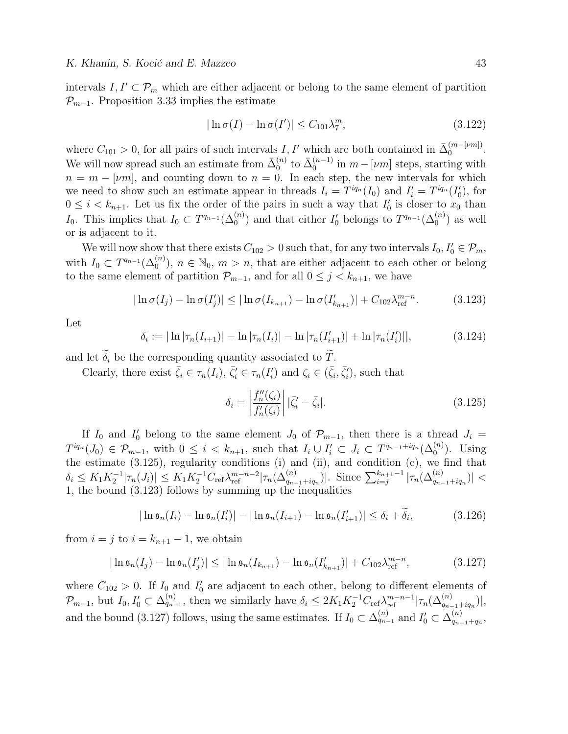intervals  $I, I' \subset \mathcal{P}_m$  which are either adjacent or belong to the same element of partition  $\mathcal{P}_{m-1}$ . Proposition 3.33 implies the estimate

$$
|\ln \sigma(I) - \ln \sigma(I')| \le C_{101} \lambda_7^m,
$$
\n(3.122)

where  $C_{101} > 0$ , for all pairs of such intervals I, I' which are both contained in  $\bar{\Delta}_0^{(m-[vm])}$  $\binom{m - \nu m}{0}$ . We will now spread such an estimate from  $\bar{\Delta}_0^{(n)}$  $_0^{(n)}$  to  $\bar{\Delta}_0^{(n-1)}$  $\binom{n-1}{0}$  in  $m-[\nu m]$  steps, starting with  $n = m - \lfloor \nu m \rfloor$ , and counting down to  $n = 0$ . In each step, the new intervals for which we need to show such an estimate appear in threads  $I_i = T^{iq_n}(I_0)$  and  $I'_i = T^{iq_n}(I'_0)$ , for  $0 \leq i \leq k_{n+1}$ . Let us fix the order of the pairs in such a way that  $I'_0$  is closer to  $x_0$  than I<sub>0</sub>. This implies that  $I_0 \subset T^{q_{n-1}}(\Delta_0^{(n)})$  and that either  $I'_0$  belongs to  $T^{q_{n-1}}(\Delta_0^{(n)})$  as well or is adjacent to it.

We will now show that there exists  $C_{102} > 0$  such that, for any two intervals  $I_0, I'_0 \in \mathcal{P}_m$ , with  $I_0 \subset T^{q_{n-1}}(\Delta_0^{(n)})$ ,  $n \in \mathbb{N}_0$ ,  $m > n$ , that are either adjacent to each other or belong to the same element of partition  $\mathcal{P}_{m-1}$ , and for all  $0 \leq j \leq k_{n+1}$ , we have

$$
|\ln \sigma(I_j) - \ln \sigma(I'_j)| \leq |\ln \sigma(I_{k_{n+1}}) - \ln \sigma(I'_{k_{n+1}})| + C_{102} \lambda_{\text{ref}}^{m-n}.
$$
 (3.123)

Let

$$
\delta_i := |\ln |\tau_n(I_{i+1})| - \ln |\tau_n(I_i)| - \ln |\tau_n(I_{i+1}')| + \ln |\tau_n(I_i')||,
$$
\n(3.124)

and let  $\widetilde{\delta}_i$  be the corresponding quantity associated to  $\widetilde{T}$ .

Clearly, there exist  $\bar{\zeta}_i \in \tau_n(I_i)$ ,  $\bar{\zeta}'_i \in \tau_n(I'_i)$  and  $\zeta_i \in (\bar{\zeta}_i, \bar{\zeta}'_i)$ , such that

$$
\delta_i = \left| \frac{f_n''(\zeta_i)}{f_n'(\zeta_i)} \right| |\bar{\zeta}_i' - \bar{\zeta}_i|. \tag{3.125}
$$

If  $I_0$  and  $I'_0$  belong to the same element  $J_0$  of  $\mathcal{P}_{m-1}$ , then there is a thread  $J_i =$  $T^{iq_n}(J_0) \in \mathcal{P}_{m-1}$ , with  $0 \leq i \leq k_{n+1}$ , such that  $I_i \cup I'_i \subset J_i \subset T^{q_{n-1}+iq_n}(\Delta_0^{(n)})$ . Using the estimate  $(3.125)$ , regularity conditions  $(i)$  and  $(ii)$ , and condition  $(c)$ , we find that  $\delta_i \leq K_1 K_2^{-1} |\tau_n(J_i)| \leq K_1 K_2^{-1} C_{\text{ref}} \lambda_{\text{ref}}^{m-n-2} |\tau_n(\Delta_{q_{n-1}+iq_n}^{(n)})|$ . Since  $\sum_{i=j}^{k_{n+1}-1} |\tau_n(\Delta_{q_{n-1}+iq_n}^{(n)})| <$ 1, the bound (3.123) follows by summing up the inequalities

$$
|\ln \mathfrak{s}_n(I_i) - \ln \mathfrak{s}_n(I'_i)| - |\ln \mathfrak{s}_n(I_{i+1}) - \ln \mathfrak{s}_n(I'_{i+1})| \leq \delta_i + \widetilde{\delta}_i,
$$
\n(3.126)

from  $i = j$  to  $i = k_{n+1} - 1$ , we obtain

$$
|\ln \mathfrak{s}_n(I_j) - \ln \mathfrak{s}_n(I'_j)| \leq |\ln \mathfrak{s}_n(I_{k_{n+1}}) - \ln \mathfrak{s}_n(I'_{k_{n+1}})| + C_{102} \lambda_{\text{ref}}^{m-n},
$$
\n(3.127)

where  $C_{102} > 0$ . If  $I_0$  and  $I'_0$  are adjacent to each other, belong to different elements of  $\mathcal{P}_{m-1}$ , but  $I_0, I'_0 \subset \Delta_{q_{n-1}}^{(n)}$ , then we similarly have  $\delta_i \leq 2K_1K_2^{-1}C_{\text{ref}}\lambda_{\text{ref}}^{m-n-1}|\tau_n(\Delta_{q_{n-1}+iq_n}^{(n)})|$ , and the bound (3.127) follows, using the same estimates. If  $I_0 \subset \Delta_{q_{n-1}}^{(n)}$  and  $I'_0 \subset \Delta_{q_{n-1}}^{(n)}$  $q_{n-1}+q_n,$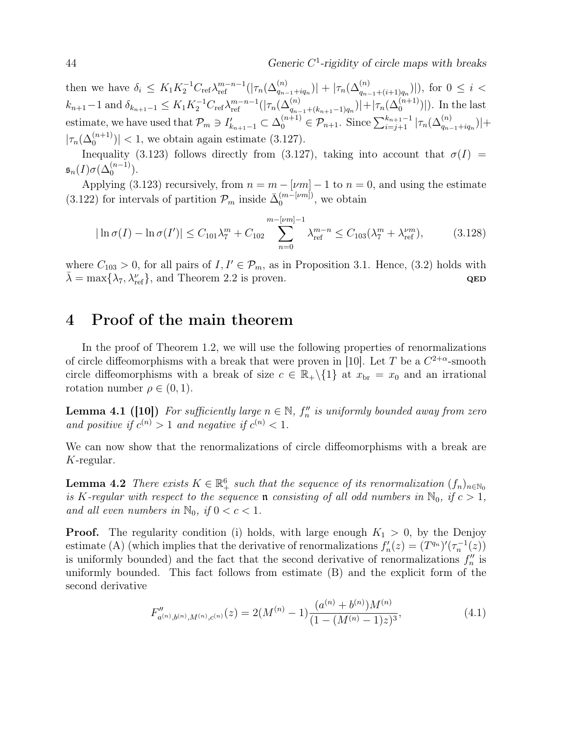44 Generic C 1 -rigidity of circle maps with breaks

then we have  $\delta_i \leq K_1 K_2^{-1} C_{\text{ref}} \lambda_{\text{ref}}^{m-n-1} (|\tau_n(\Delta_{q_{n-1}+iq_n}^{(n)})| + |\tau_n(\Delta_{q_{n-1}+(i+1)q_n}^{(n)})|)$ , for  $0 \leq i <$  $k_{n+1}-1$  and  $\delta_{k_{n+1}-1} \leq K_1 K_2^{-1} C_{\text{ref}} \lambda_{\text{ref}}^{m-n-1}(|\tau_n(\Delta_{q_{n-1}+(k_{n+1}-1)q_n}^{(n)})| + |\tau_n(\Delta_0^{(n+1)})|$ . In the last estimate, we have used that  $\mathcal{P}_m \ni I'_{k_{n+1}-1} \subset \Delta_0^{(n+1)} \in \mathcal{P}_{n+1}$ . Since  $\sum_{i=j+1}^{k_{n+1}-1} |\tau_n(\Delta_{q_{n-1}+iq_n}^{(n)})| +$  $|\tau_n(\Delta_0^{(n+1)})|$  < 1, we obtain again estimate (3.127).

Inequality (3.123) follows directly from (3.127), taking into account that  $\sigma(I)$  =  $\mathfrak{s}_n(I) \sigma(\Delta_0^{(n-1)}).$ 

Applying (3.123) recursively, from  $n = m - \lfloor \nu m \rfloor - 1$  to  $n = 0$ , and using the estimate (3.122) for intervals of partition  $\mathcal{P}_m$  inside  $\bar{\Delta}_0^{(m-[vm])}$  $_0^{(m-[\nu m])}$ , we obtain

$$
|\ln \sigma(I) - \ln \sigma(I')| \le C_{101}\lambda_7^m + C_{102} \sum_{n=0}^{m-[vm]-1} \lambda_{\text{ref}}^{m-n} \le C_{103}(\lambda_7^m + \lambda_{\text{ref}}^{vm}),
$$
 (3.128)

where  $C_{103} > 0$ , for all pairs of  $I, I' \in \mathcal{P}_m$ , as in Proposition 3.1. Hence, (3.2) holds with  $\bar{\lambda} = \max\{\lambda_7, \lambda_{\text{ref}}^{\nu}\},\$ and Theorem 2.2 is proven. QED

## 4 Proof of the main theorem

In the proof of Theorem 1.2, we will use the following properties of renormalizations of circle diffeomorphisms with a break that were proven in [10]. Let T be a  $C^{2+\alpha}$ -smooth circle diffeomorphisms with a break of size  $c \in \mathbb{R}_+ \backslash \{1\}$  at  $x_{\text{br}} = x_0$  and an irrational rotation number  $\rho \in (0, 1)$ .

**Lemma 4.1 ([10])** For sufficiently large  $n \in \mathbb{N}$ ,  $f''_n$  is uniformly bounded away from zero and positive if  $c^{(n)} > 1$  and negative if  $c^{(n)} < 1$ .

We can now show that the renormalizations of circle diffeomorphisms with a break are K-regular.

**Lemma 4.2** There exists  $K \in \mathbb{R}_+^6$  such that the sequence of its renormalization  $(f_n)_{n \in \mathbb{N}_0}$ is K-regular with respect to the sequence **n** consisting of all odd numbers in  $\mathbb{N}_0$ , if  $c > 1$ , and all even numbers in  $\mathbb{N}_0$ , if  $0 < c < 1$ .

**Proof.** The regularity condition (i) holds, with large enough  $K_1 > 0$ , by the Denjoy estimate (A) (which implies that the derivative of renormalizations  $f'_n(z) = (T^{q_n})'(\tau_n^{-1}(z))$ is uniformly bounded) and the fact that the second derivative of renormalizations  $f''_n$  is uniformly bounded. This fact follows from estimate (B) and the explicit form of the second derivative

$$
F''_{a^{(n)},b^{(n)},M^{(n)},c^{(n)}}(z) = 2(M^{(n)} - 1)\frac{(a^{(n)} + b^{(n)})M^{(n)}}{(1 - (M^{(n)} - 1)z)^3},
$$
\n(4.1)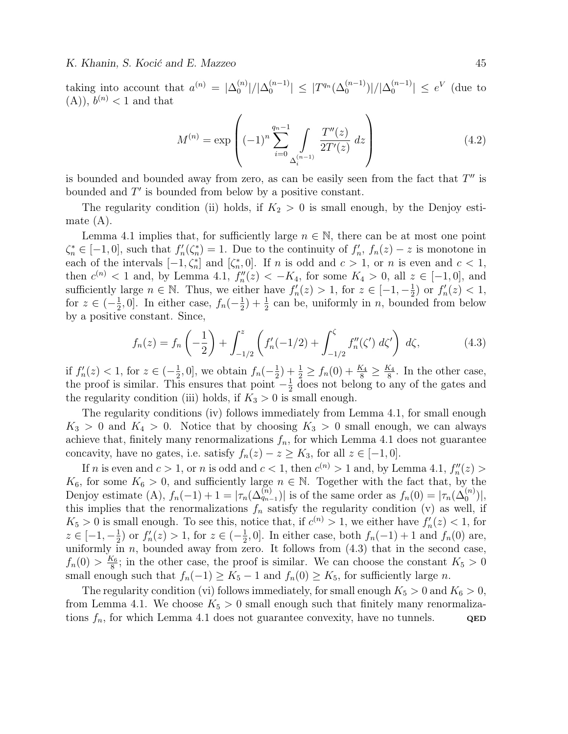taking into account that  $a^{(n)} = |\Delta_0^{(n)}|$  $\left\lfloor\binom{n}{0}\right\rfloor/\big|\Delta_0^{(n-1)}\big|$  $\left| \sum_{0}^{(n-1)} \right| \leq |T^{q_n}(\Delta_0^{(n-1)})|/|\Delta_0^{(n-1)}|$  $\binom{n-1}{0}$   $\leq e^V$  (due to  $(A)$ ,  $b^{(n)} < 1$  and that

$$
M^{(n)} = \exp\left((-1)^n \sum_{i=0}^{q_n - 1} \int\limits_{\Delta_i^{(n-1)}} \frac{T''(z)}{2T'(z)} \, dz\right) \tag{4.2}
$$

is bounded and bounded away from zero, as can be easily seen from the fact that  $T''$  is bounded and  $T'$  is bounded from below by a positive constant.

The regularity condition (ii) holds, if  $K_2 > 0$  is small enough, by the Denjoy estimate (A).

Lemma 4.1 implies that, for sufficiently large  $n \in \mathbb{N}$ , there can be at most one point  $\zeta_n^* \in [-1,0],$  such that  $f_n'(\zeta_n^*) = 1$ . Due to the continuity of  $f_n', f_n(z) - z$  is monotone in each of the intervals  $[-1, \zeta_n^*]$  and  $[\zeta_n^*, 0]$ . If n is odd and  $c > 1$ , or n is even and  $c < 1$ , then  $c^{(n)} < 1$  and, by Lemma 4.1,  $f''_n(z) < -K_4$ , for some  $K_4 > 0$ , all  $z \in [-1,0]$ , and sufficiently large  $n \in \mathbb{N}$ . Thus, we either have  $f'_n(z) > 1$ , for  $z \in [-1, -\frac{1}{2}]$  $(\frac{1}{2})$  or  $f'_n(z) < 1$ , for  $z \in \left(-\frac{1}{2}\right)$  $\frac{1}{2}$ , 0]. In either case,  $f_n(-\frac{1}{2})$  $(\frac{1}{2}) + \frac{1}{2}$  can be, uniformly in *n*, bounded from below by a positive constant. Since,

$$
f_n(z) = f_n\left(-\frac{1}{2}\right) + \int_{-1/2}^z \left(f'_n(-1/2) + \int_{-1/2}^\zeta f''_n(\zeta') d\zeta'\right) d\zeta,
$$
 (4.3)

if  $f'_n(z) < 1$ , for  $z \in (-\frac{1}{2})$  $\frac{1}{2}$ , 0], we obtain  $f_n(-\frac{1}{2})$  $(\frac{1}{2}) + \frac{1}{2} \geq f_n(0) + \frac{K_4}{8} \geq \frac{K_4}{8}$  $\frac{\zeta_4}{8}$ . In the other case, the proof is similar. This ensures that point  $-\frac{1}{2}$  $\frac{1}{2}$  does not belong to any of the gates and the regularity condition (iii) holds, if  $K_3 > 0$  is small enough.

The regularity conditions (iv) follows immediately from Lemma 4.1, for small enough  $K_3 > 0$  and  $K_4 > 0$ . Notice that by choosing  $K_3 > 0$  small enough, we can always achieve that, finitely many renormalizations  $f_n$ , for which Lemma 4.1 does not guarantee concavity, have no gates, i.e. satisfy  $f_n(z) - z \geq K_3$ , for all  $z \in [-1, 0]$ .

If *n* is even and  $c > 1$ , or *n* is odd and  $c < 1$ , then  $c^{(n)} > 1$  and, by Lemma 4.1,  $f''_n(z) >$  $K_6$ , for some  $K_6 > 0$ , and sufficiently large  $n \in \mathbb{N}$ . Together with the fact that, by the Denjoy estimate (A),  $f_n(-1) + 1 = |\tau_n(\Delta_{q_{n-1}}^{(n)})|$  is of the same order as  $f_n(0) = |\tau_n(\Delta_0^{(n)})|$ , this implies that the renormalizations  $f_n$  satisfy the regularity condition (v) as well, if  $K_5 > 0$  is small enough. To see this, notice that, if  $c^{(n)} > 1$ , we either have  $f'_n(z) < 1$ , for  $z \in [-1, -\frac{1}{2}]$  $(\frac{1}{2})$  or  $f'_n(z) > 1$ , for  $z \in (-\frac{1}{2})$  $\frac{1}{2}$ , 0]. In either case, both  $f_n(-1) + 1$  and  $f_n(0)$  are, uniformly in  $n$ , bounded away from zero. It follows from  $(4.3)$  that in the second case,  $f_n(0) > \frac{K_6}{8}$  $\frac{\zeta_6}{8}$ ; in the other case, the proof is similar. We can choose the constant  $K_5 > 0$ small enough such that  $f_n(-1) \geq K_5 - 1$  and  $f_n(0) \geq K_5$ , for sufficiently large n.

The regularity condition (vi) follows immediately, for small enough  $K_5 > 0$  and  $K_6 > 0$ , from Lemma 4.1. We choose  $K_5 > 0$  small enough such that finitely many renormalizations  $f_n$ , for which Lemma 4.1 does not guarantee convexity, have no tunnels.  $QED$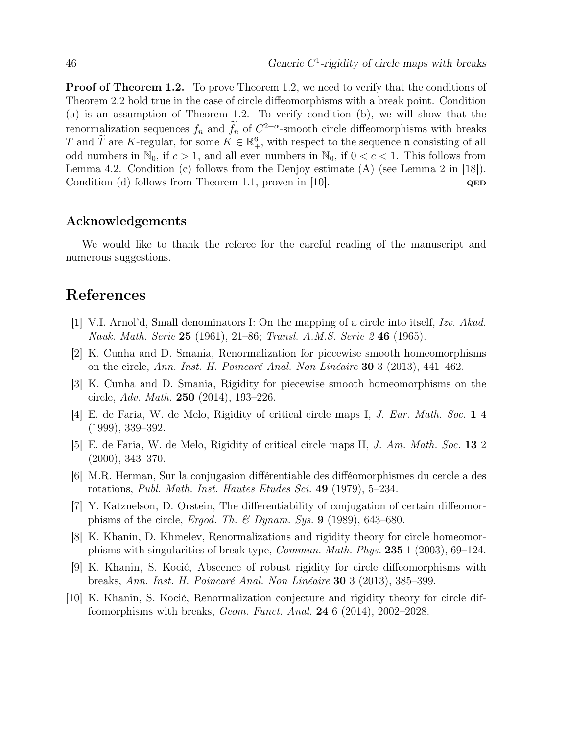**Proof of Theorem 1.2.** To prove Theorem 1.2, we need to verify that the conditions of Theorem 2.2 hold true in the case of circle diffeomorphisms with a break point. Condition (a) is an assumption of Theorem 1.2. To verify condition (b), we will show that the renormalization sequences  $f_n$  and  $\overline{f_n}$  of  $C^{2+\alpha}$ -smooth circle diffeomorphisms with breaks T and  $\widetilde{T}$  are K-regular, for some  $K \in \mathbb{R}^6_+$ , with respect to the sequence n consisting of all odd numbers in  $\mathbb{N}_0$ , if  $c > 1$ , and all even numbers in  $\mathbb{N}_0$ , if  $0 < c < 1$ . This follows from Lemma 4.2. Condition (c) follows from the Denjoy estimate  $(A)$  (see Lemma 2 in [18]). Condition (d) follows from Theorem 1.1, proven in [10]. QED

### Acknowledgements

We would like to thank the referee for the careful reading of the manuscript and numerous suggestions.

## References

- [1] V.I. Arnol'd, Small denominators I: On the mapping of a circle into itself, Izv. Akad. Nauk. Math. Serie 25 (1961), 21–86; Transl. A.M.S. Serie 2 46 (1965).
- [2] K. Cunha and D. Smania, Renormalization for piecewise smooth homeomorphisms on the circle, Ann. Inst. H. Poincaré Anal. Non Linéaire 30 3 (2013), 441–462.
- [3] K. Cunha and D. Smania, Rigidity for piecewise smooth homeomorphisms on the circle, Adv. Math. 250 (2014), 193–226.
- [4] E. de Faria, W. de Melo, Rigidity of critical circle maps I, J. Eur. Math. Soc. 1 4 (1999), 339–392.
- [5] E. de Faria, W. de Melo, Rigidity of critical circle maps II, J. Am. Math. Soc. 13 2 (2000), 343–370.
- [6] M.R. Herman, Sur la conjugasion différentiable des difféomorphismes du cercle a des rotations, Publ. Math. Inst. Hautes Etudes Sci. 49 (1979), 5–234.
- [7] Y. Katznelson, D. Orstein, The differentiability of conjugation of certain diffeomorphisms of the circle, Ergod. Th. & Dynam. Sys.  $9$  (1989), 643-680.
- [8] K. Khanin, D. Khmelev, Renormalizations and rigidity theory for circle homeomorphisms with singularities of break type, Commun. Math. Phys. 235 1 (2003), 69–124.
- [9] K. Khanin, S. Kocić, Abscence of robust rigidity for circle diffeomorphisms with breaks, Ann. Inst. H. Poincaré Anal. Non Linéaire 30 3 (2013), 385–399.
- [10] K. Khanin, S. Kocić, Renormalization conjecture and rigidity theory for circle diffeomorphisms with breaks, *Geom. Funct. Anal.* **24** 6  $(2014)$ ,  $2002-2028$ .